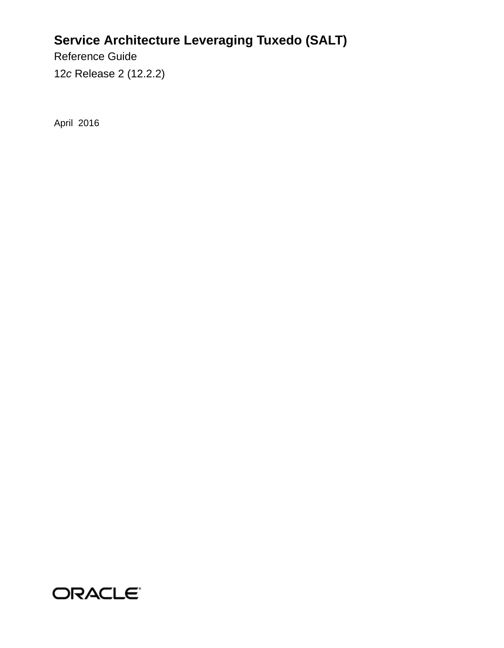## **Service Architecture Leveraging Tuxedo (SALT)**

Reference Guide 12*c* Release 2 (12.2.2)

April 2016

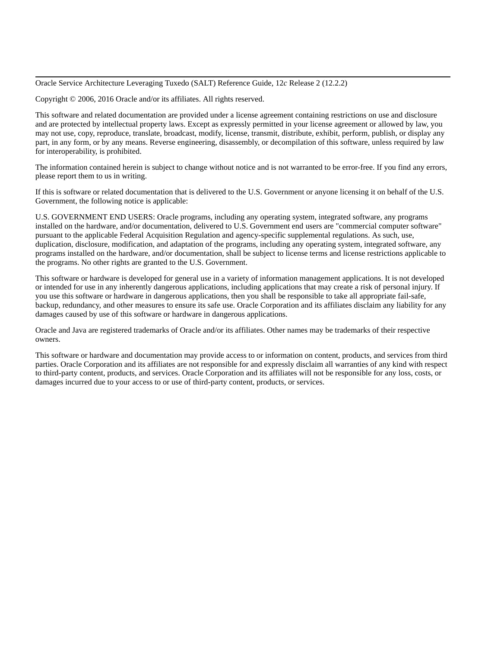Oracle Service Architecture Leveraging Tuxedo (SALT) Reference Guide, 12*c* Release 2 (12.2.2)

Copyright © 2006, 2016 Oracle and/or its affiliates. All rights reserved.

This software and related documentation are provided under a license agreement containing restrictions on use and disclosure and are protected by intellectual property laws. Except as expressly permitted in your license agreement or allowed by law, you may not use, copy, reproduce, translate, broadcast, modify, license, transmit, distribute, exhibit, perform, publish, or display any part, in any form, or by any means. Reverse engineering, disassembly, or decompilation of this software, unless required by law for interoperability, is prohibited.

The information contained herein is subject to change without notice and is not warranted to be error-free. If you find any errors, please report them to us in writing.

If this is software or related documentation that is delivered to the U.S. Government or anyone licensing it on behalf of the U.S. Government, the following notice is applicable:

U.S. GOVERNMENT END USERS: Oracle programs, including any operating system, integrated software, any programs installed on the hardware, and/or documentation, delivered to U.S. Government end users are "commercial computer software" pursuant to the applicable Federal Acquisition Regulation and agency-specific supplemental regulations. As such, use, duplication, disclosure, modification, and adaptation of the programs, including any operating system, integrated software, any programs installed on the hardware, and/or documentation, shall be subject to license terms and license restrictions applicable to the programs. No other rights are granted to the U.S. Government.

This software or hardware is developed for general use in a variety of information management applications. It is not developed or intended for use in any inherently dangerous applications, including applications that may create a risk of personal injury. If you use this software or hardware in dangerous applications, then you shall be responsible to take all appropriate fail-safe, backup, redundancy, and other measures to ensure its safe use. Oracle Corporation and its affiliates disclaim any liability for any damages caused by use of this software or hardware in dangerous applications.

Oracle and Java are registered trademarks of Oracle and/or its affiliates. Other names may be trademarks of their respective owners.

This software or hardware and documentation may provide access to or information on content, products, and services from third parties. Oracle Corporation and its affiliates are not responsible for and expressly disclaim all warranties of any kind with respect to third-party content, products, and services. Oracle Corporation and its affiliates will not be responsible for any loss, costs, or damages incurred due to your access to or use of third-party content, products, or services.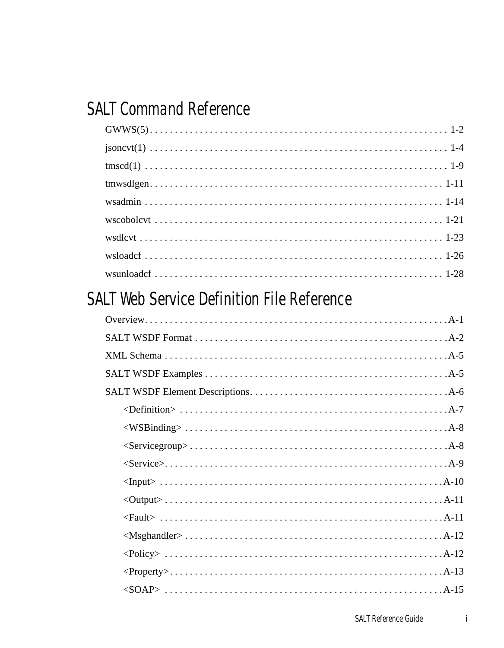## **SALT Command Reference**

## SALT Web Service Definition File Reference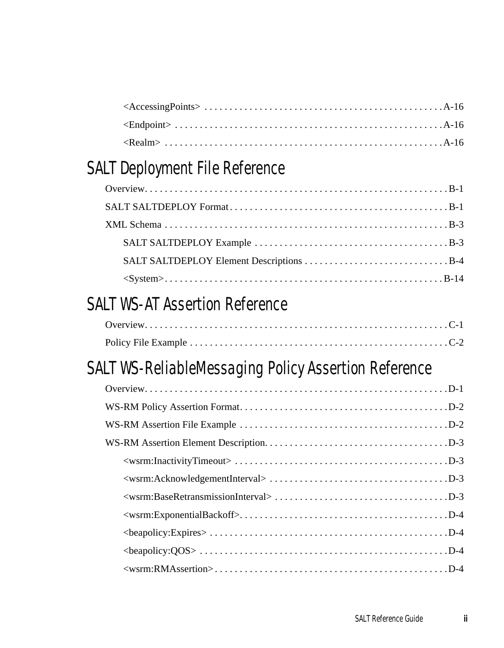## [SALT Deployment File Reference](#page-50-0)

## [SALT WS-AT Assertion Reference](#page-66-0)

## [SALT WS-ReliableMessaging Policy Assertion Reference](#page-68-0)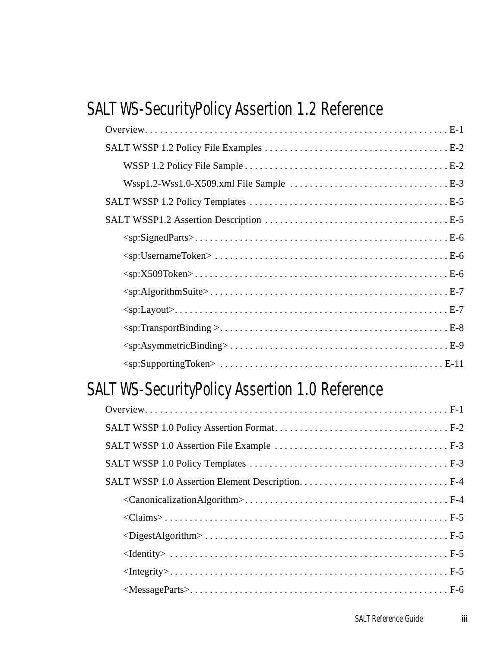## [SALT WS-SecurityPolicy Assertion 1.2 Reference](#page-72-0)

## [SALT WS-SecurityPolicy Assertion 1.0 Reference](#page-84-0)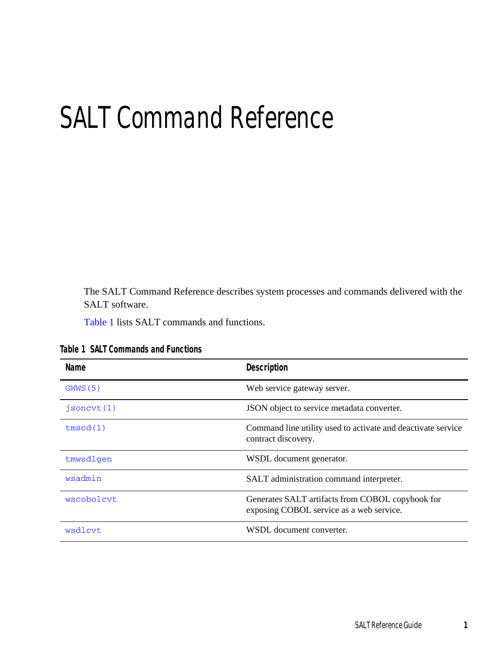# <span id="page-6-0"></span>SALT Command Reference

The SALT Command Reference describes system processes and commands delivered with the SALT software.

[Table](#page-6-1) 1 lists SALT commands and functions.

| <b>Name</b> | <b>Description</b>                                                                           |
|-------------|----------------------------------------------------------------------------------------------|
| GWWS(5)     | Web service gateway server.                                                                  |
| isonct(1)   | JSON object to service metadata converter.                                                   |
| tmscd(1)    | Command line utility used to activate and deactivate service<br>contract discovery.          |
| tmwsdlgen   | WSDL document generator.                                                                     |
| wsadmin     | SALT administration command interpreter.                                                     |
| wscobolcvt  | Generates SALT artifacts from COBOL copybook for<br>exposing COBOL service as a web service. |
| wsdlcvt     | WSDL document converter.                                                                     |

<span id="page-6-1"></span>**Table 1 SALT Commands and Functions**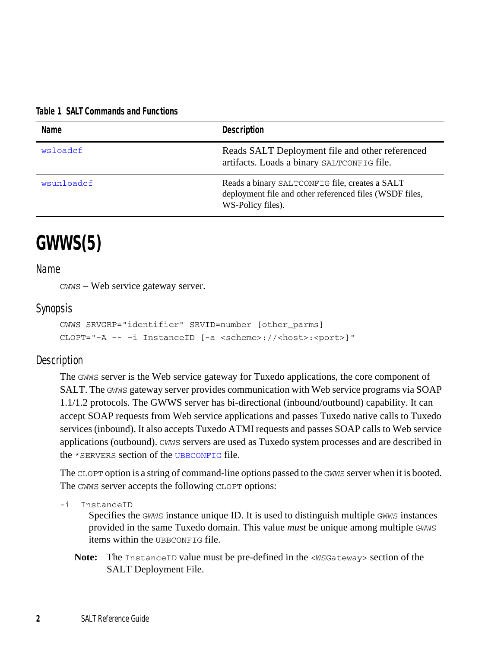#### **Table 1 SALT Commands and Functions**

| Name       | Description                                                                                                                    |
|------------|--------------------------------------------------------------------------------------------------------------------------------|
| wsloadcf   | Reads SALT Deployment file and other referenced<br>artifacts. Loads a binary SALTCONFIG file.                                  |
| wsunloadcf | Reads a binary SALTCONFIG file, creates a SALT<br>deployment file and other referenced files (WSDF files,<br>WS-Policy files). |

## <span id="page-7-0"></span>**GWWS(5)**

### Name

GWWS – Web service gateway server.

### Synopsis

```
GWWS SRVGRP="identifier" SRVID=number [other_parms]
CLOPT="-A -- –i InstanceID [-a <scheme>://<host>:<port>]"
```
### **Description**

The GWWS server is the Web service gateway for Tuxedo applications, the core component of SALT. The GWWS gateway server provides communication with Web service programs via SOAP 1.1/1.2 protocols. The GWWS server has bi-directional (inbound/outbound) capability. It can accept SOAP requests from Web service applications and passes Tuxedo native calls to Tuxedo services (inbound). It also accepts Tuxedo ATMI requests and passes SOAP calls to Web service applications (outbound). GWWS servers are used as Tuxedo system processes and are described in the \*SERVERS section of the [UBBCONFIG](../../../tuxedo/docs1222/rf5/rf5.html) file.

The CLOPT option is a string of command-line options passed to the GWWS server when it is booted. The GWWS server accepts the following CLOPT options:

-i InstanceID

Specifies the GWWS instance unique ID. It is used to distinguish multiple GWWS instances provided in the same Tuxedo domain. This value *must* be unique among multiple GWWS items within the UBBCONFIG file.

**Note:** The InstanceID value must be pre-defined in the <WSGateway> section of the SALT Deployment File.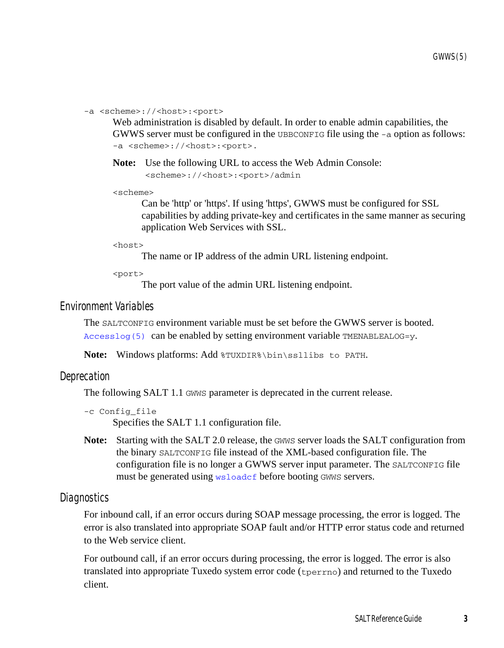-a <scheme>://<host>:<port>

Web administration is disabled by default. In order to enable admin capabilities, the GWWS server must be configured in the UBBCONFIG file using the  $-a$  option as follows: -a <scheme>://<host>:<port>.

**Note:** Use the following URL to access the Web Admin Console: <scheme>://<host>:<port>/admin

<scheme>

Can be 'http' or 'https'. If using 'https', GWWS must be configured for SSL capabilities by adding private-key and certificates in the same manner as securing application Web Services with SSL.

<host>

The name or IP address of the admin URL listening endpoint.

 $\text{short}$ 

The port value of the admin URL listening endpoint.

#### Environment Variables

The SALTCONFIG environment variable must be set before the GWWS server is booted. [Accesslog\(5\)](../../../tuxedo/docs1222/rf5/rf5.html) can be enabled by setting environment variable TMENABLEALOG=y.

Note: Windows platforms: Add \\tapp{YUXDIR\\bin\ssllibs to PATH.

#### Deprecation

The following SALT 1.1 GWWS parameter is deprecated in the current release.

```
-c Config_file
```
Specifies the SALT 1.1 configuration file.

**Note:** Starting with the SALT 2.0 release, the GWWS server loads the SALT configuration from the binary SALTCONFIG file instead of the XML-based configuration file. The configuration file is no longer a GWWS server input parameter. The SALTCONFIG file must be generated using [wsloadcf](#page-31-0) before booting GWWS servers.

#### Diagnostics

For inbound call, if an error occurs during SOAP message processing, the error is logged. The error is also translated into appropriate SOAP fault and/or HTTP error status code and returned to the Web service client.

For outbound call, if an error occurs during processing, the error is logged. The error is also translated into appropriate Tuxedo system error code (tperrno) and returned to the Tuxedo client.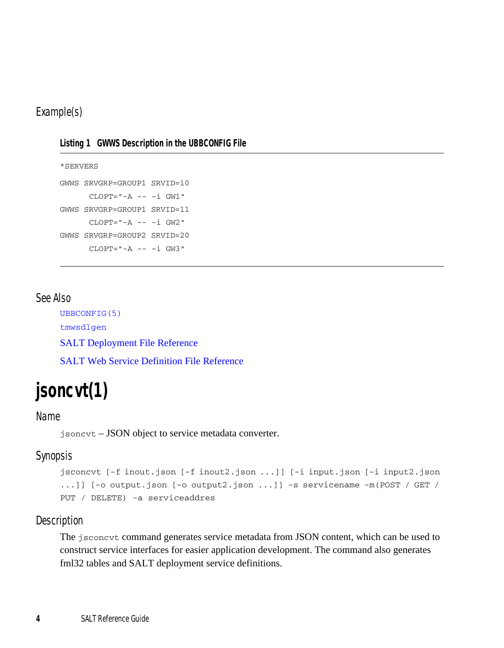## Example(s)

| Listing 1 GWWS Description in the UBBCONFIG File |  |  |
|--------------------------------------------------|--|--|
|                                                  |  |  |

```
*SERVERS
GWWS SRVGRP=GROUP1 SRVID=10
      CLOPT="A -- -i GW1"GWWS SRVGRP=GROUP1 SRVID=11
     CLOPT="A -- -i GW2"GWWS SRVGRP=GROUP2 SRVID=20
     CLOPT="A -- -i GW3"
```
## See Also

[UBBCONFIG\(5\)](../../../tuxedo/docs1222/rf5/rf5.html) [tmwsdlgen](../ref/index.html) [SALT Deployment File Reference](../ref/deploy.html) [SALT Web Service Definition File Reference](../ref/wsdf.html)

## <span id="page-9-0"></span>**jsoncvt(1)**

## Name

jsoncvt – JSON object to service metadata converter.

## Synopsis

```
jsconcvt [-f inout.json [-f inout2.json ...]] [-i input.json [-i input2.json 
...]] [-o output.json [-o output2.json ...]] -s servicename -m(POST / GET / 
PUT / DELETE) -a serviceaddres
```
## Description

The jsconcvt command generates service metadata from JSON content, which can be used to construct service interfaces for easier application development. The command also generates fml32 tables and SALT deployment service definitions.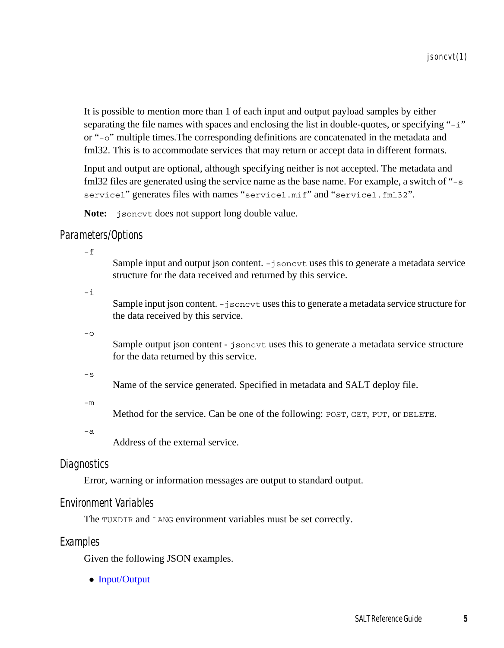It is possible to mention more than 1 of each input and output payload samples by either separating the file names with spaces and enclosing the list in double-quotes, or specifying "-i" or "-o" multiple times.The corresponding definitions are concatenated in the metadata and fml32. This is to accommodate services that may return or accept data in different formats.

Input and output are optional, although specifying neither is not accepted. The metadata and fml32 files are generated using the service name as the base name. For example, a switch of "-s service1" generates files with names "service1.mif" and "service1.fml32".

Note: *jsoncvt* does not support long double value.

### Parameters/Options

 $-*f*$ 

Sample input and output json content. -jsoncvt uses this to generate a metadata service structure for the data received and returned by this service.

-i

Sample input json content. -jsoncyt uses this to generate a metadata service structure for the data received by this service.

 $-\Omega$ 

Sample output json content - jsoncvt uses this to generate a metadata service structure for the data returned by this service.

 $-\leq$ 

Name of the service generated. Specified in metadata and SALT deploy file.

-m

Method for the service. Can be one of the following: POST, GET, PUT, or DELETE.

-a

Address of the external service.

## **Diagnostics**

Error, warning or information messages are output to standard output.

## Environment Variables

The TUXDIR and LANG environment variables must be set correctly.

### Examples

Given the following JSON examples.

• [Input/Output](#page-11-0)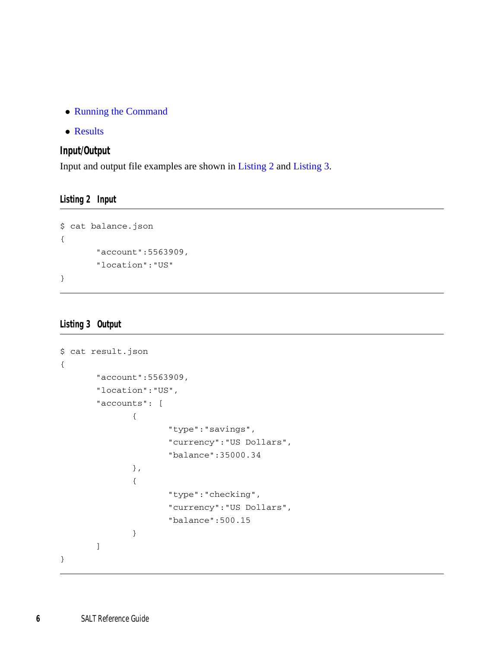- [Running the Command](#page-12-0)
- [Results](#page-12-1)

### <span id="page-11-0"></span>**Input/Output**

Input and output file examples are shown in [Listing](#page-11-1) 2 and [Listing](#page-11-2) 3.

<span id="page-11-1"></span>**Listing 2 Input**

```
$ cat balance.json
{
       "account":5563909,
       "location":"US"
}
```
### <span id="page-11-2"></span>**Listing 3 Output**

```
$ cat result.json
{
       "account":5563909,
       "location":"US",
       "accounts": [
               {
                      "type":"savings",
                      "currency":"US Dollars",
                      "balance":35000.34
               },
               {
                      "type":"checking",
                      "currency":"US Dollars",
                      "balance":500.15
               }
       \, \, \,}
```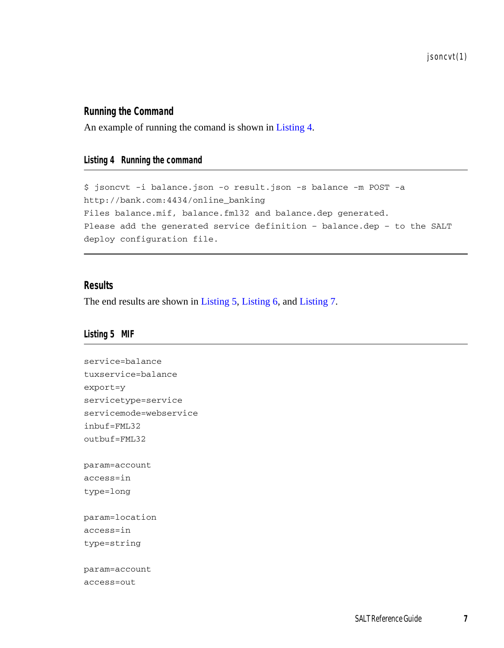jsoncvt(1)

## <span id="page-12-0"></span>**Running the Command**

An example of running the comand is shown in [Listing](#page-12-2) 4.

#### <span id="page-12-2"></span>**Listing 4 Running the command**

\$ jsoncvt -i balance.json -o result.json -s balance -m POST -a http://bank.com:4434/online\_banking Files balance.mif, balance.fml32 and balance.dep generated. Please add the generated service definition – balance.dep – to the SALT deploy configuration file.

#### <span id="page-12-1"></span>**Results**

The end results are shown in [Listing](#page-12-3) 5, [Listing](#page-13-0) 6, and [Listing](#page-14-1) 7.

#### <span id="page-12-3"></span>**Listing 5 MIF**

```
service=balance
tuxservice=balance
export=y
servicetype=service
servicemode=webservice
inbuf=FML32
outbuf=FML32
param=account
access=in
type=long
param=location
access=in
type=string
param=account
access=out
```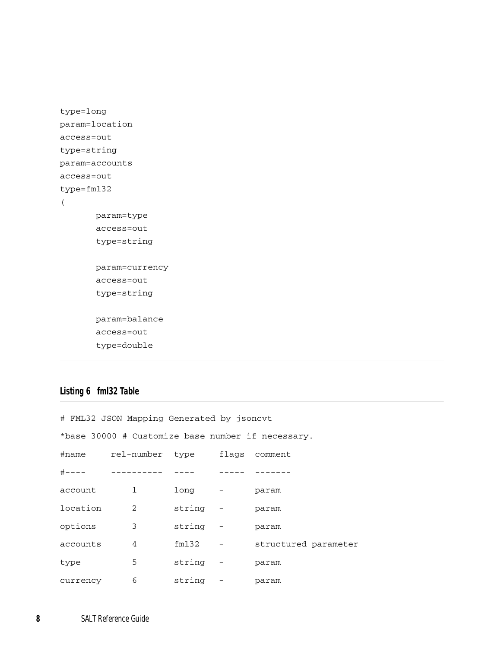```
type=long
param=location
access=out
type=string
param=accounts
access=out
type=fml32
(
      param=type
       access=out
       type=string
      param=currency
       access=out
       type=string
       param=balance
       access=out
       type=double
```
## <span id="page-13-0"></span>**Listing 6 fml32 Table**

|          | # FML32 JSON Mapping Generated by jsoncyt |                |                                                   |
|----------|-------------------------------------------|----------------|---------------------------------------------------|
|          |                                           |                | *base 30000 # Customize base number if necessary. |
|          | #name rel-number type flags comment       |                |                                                   |
|          |                                           |                |                                                   |
|          | account 1                                 | long - param   |                                                   |
|          | location 2                                | string - param |                                                   |
| options  | $\overline{\mathbf{3}}$                   | string - param |                                                   |
| accounts | $\overline{4}$                            |                | fm132 - structured parameter                      |
| type     | $5^{\circ}$                               | string - param |                                                   |
| currency |                                           | 6 string -     | param                                             |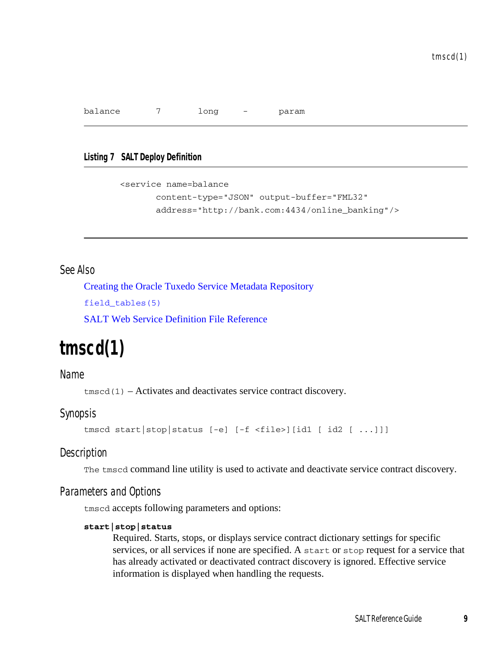balance 7 long - param

#### <span id="page-14-1"></span>**Listing 7 SALT Deploy Definition**

```
<service name=balance
       content-type="JSON" output-buffer="FML32"
      address="http://bank.com:4434/online_banking"/>
```
## See Also

[Creating the Oracle Tuxedo Service Metadata Repository](../../../tuxedo/docs1222/ads/admrp.html) [field\\_tables\(5\)](http://docs.oracle.com/cd/E53645_01/tuxedo/docs12cr2/rf5/rf5.html) [SALT Web Service Definition File Reference](http://docs.oracle.com/cd/E53645_01/salt/docs12cr2/ref/wsdf.html)

## <span id="page-14-0"></span>**tmscd(1)**

### Name

 $t$ mscd $(1)$  – Activates and deactivates service contract discovery.

## Synopsis

tmscd start|stop|status [-e] [-f <file>][id1 [ id2 [ ...]]]

### **Description**

The tmscd command line utility is used to activate and deactivate service contract discovery.

### Parameters and Options

tmscd accepts following parameters and options:

#### **start|stop|status**

Required. Starts, stops, or displays service contract dictionary settings for specific services, or all services if none are specified. A start or stop request for a service that has already activated or deactivated contract discovery is ignored. Effective service information is displayed when handling the requests.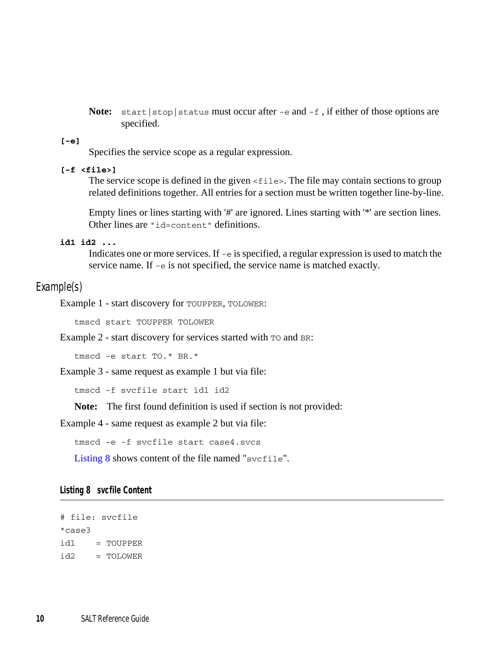**Note:** start | stop | status must occur after  $-e$  and  $-f$ , if either of those options are specified.

#### **[-e]**

Specifies the service scope as a regular expression.

#### **[-f <file>]**

The service scope is defined in the given  $\le$  files. The file may contain sections to group related definitions together. All entries for a section must be written together line-by-line.

Empty lines or lines starting with '#' are ignored. Lines starting with '\*' are section lines. Other lines are "id=content" definitions.

#### **id1 id2 ...**

Indicates one or more services. If -e is specified, a regular expression is used to match the service name. If -e is not specified, the service name is matched exactly.

#### Example(s)

Example 1 - start discovery for TOUPPER, TOLOWER:

tmscd start TOUPPER TOLOWER

Example 2 - start discovery for services started with TO and BR:

tmscd -e start TO.\* BR.\*

Example 3 - same request as example 1 but via file:

tmscd -f svcfile start id1 id2

**Note:** The first found definition is used if section is not provided:

Example 4 - same request as example 2 but via file:

```
tmscd -e -f svcfile start case4.svcs
```
[Listing](#page-15-0) 8 shows content of the file named "svcfile".

#### <span id="page-15-0"></span>**Listing 8 svcfile Content**

```
# file: svcfile
*case3
id1 = TOUPPER
id2 = TOLOWER
```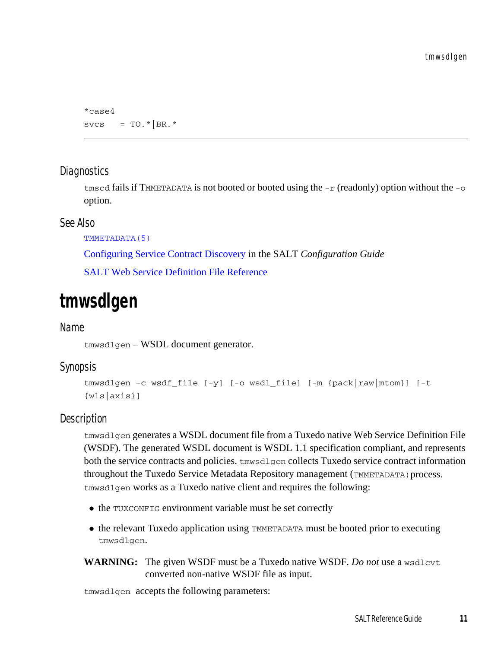```
*case4
svcs = TO.*|BR.*
```
## **Diagnostics**

tmscd fails if TMMETADATA is not booted or booted using the  $-r$  (readonly) option without the  $-0$ option.

## See Also

```
TMMETADATA(5)
```
[Configuring Service Contract Discovery](../config/config.html) in the SALT *Configuration Guide*

[SALT Web Service Definition File Reference](../ref/wsdf.html)

## <span id="page-16-1"></span><span id="page-16-0"></span>**tmwsdlgen**

### Name

tmwsdlgen – WSDL document generator.

## Synopsis

```
tmwsdlgen –c wsdf_file [-y] [-o wsdl_file] [-m {pack|raw|mtom}] [-t
{wls|axis}]
```
## Description

tmwsdlgen generates a WSDL document file from a Tuxedo native Web Service Definition File (WSDF). The generated WSDL document is WSDL 1.1 specification compliant, and represents both the service contracts and policies. tmwsdlgen collects Tuxedo service contract information throughout the Tuxedo Service Metadata Repository management (TMMETADATA)process. tmwsdlgen works as a Tuxedo native client and requires the following:

- the TUXCONFIG environment variable must be set correctly
- the relevant Tuxedo application using TMMETADATA must be booted prior to executing tmwsdlgen.
- **WARNING:** The given WSDF must be a Tuxedo native WSDF. *Do not* use a wsdlcvt converted non-native WSDF file as input.

tmwsdlgen accepts the following parameters: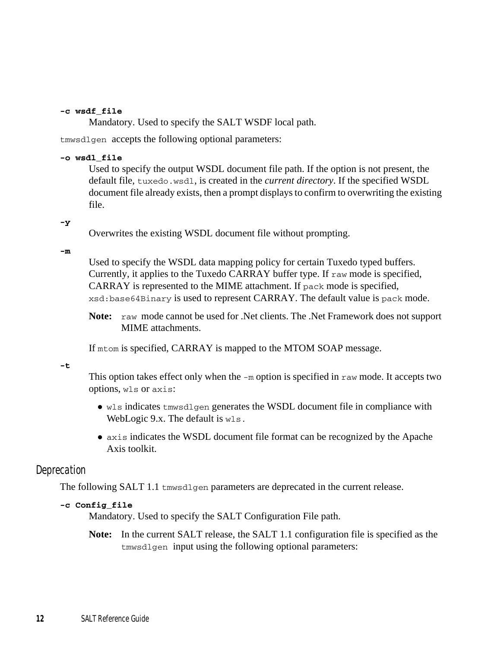#### **-c wsdf\_file**

Mandatory. Used to specify the SALT WSDF local path.

tmwsdlgen accepts the following optional parameters:

#### **-o wsdl\_file**

Used to specify the output WSDL document file path. If the option is not present, the default file, tuxedo.wsdl, is created in the *current directory*. If the specified WSDL document file already exists, then a prompt displays to confirm to overwriting the existing file.

#### **-y**

Overwrites the existing WSDL document file without prompting.

#### **-m**

Used to specify the WSDL data mapping policy for certain Tuxedo typed buffers. Currently, it applies to the Tuxedo CARRAY buffer type. If raw mode is specified, CARRAY is represented to the MIME attachment. If pack mode is specified, xsd:base64Binary is used to represent CARRAY. The default value is pack mode.

**Note:** raw mode cannot be used for .Net clients. The .Net Framework does not support MIME attachments.

If mtom is specified, CARRAY is mapped to the MTOM SOAP message.

**-t**

This option takes effect only when the  $-m$  option is specified in raw mode. It accepts two options, wls or axis:

- $\bullet$  wls indicates tmwsdlgen generates the WSDL document file in compliance with WebLogic 9.x. The default is wls.
- axis indicates the WSDL document file format can be recognized by the Apache Axis toolkit.

### **Deprecation**

The following SALT 1.1 tmwsdlgen parameters are deprecated in the current release.

#### **-c Config\_file**

Mandatory. Used to specify the SALT Configuration File path.

**Note:** In the current SALT release, the SALT 1.1 configuration file is specified as the tmwsdlgen input using the following optional parameters: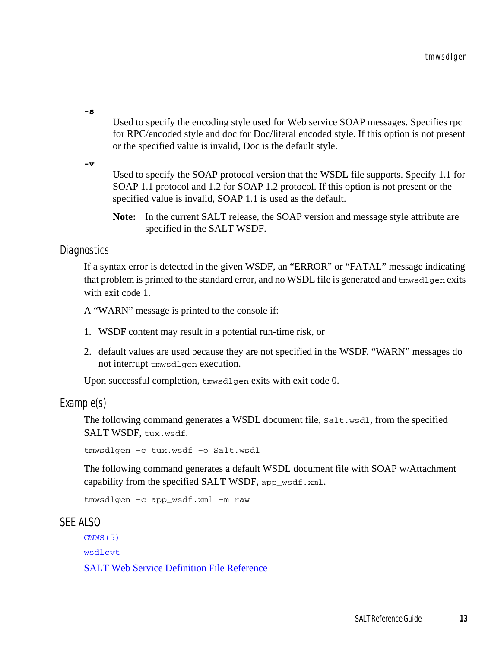**-s** 

Used to specify the encoding style used for Web service SOAP messages. Specifies rpc for RPC/encoded style and doc for Doc/literal encoded style. If this option is not present or the specified value is invalid, Doc is the default style.

**-v** 

Used to specify the SOAP protocol version that the WSDL file supports. Specify 1.1 for SOAP 1.1 protocol and 1.2 for SOAP 1.2 protocol. If this option is not present or the specified value is invalid, SOAP 1.1 is used as the default.

**Note:** In the current SALT release, the SOAP version and message style attribute are specified in the SALT WSDF.

## **Diagnostics**

If a syntax error is detected in the given WSDF, an "ERROR" or "FATAL" message indicating that problem is printed to the standard error, and no WSDL file is generated and tmwsdlgen exits with exit code 1.

A "WARN" message is printed to the console if:

- 1. WSDF content may result in a potential run-time risk, or
- 2. default values are used because they are not specified in the WSDF. "WARN" messages do not interrupt tmwsdlgen execution.

Upon successful completion, tmwsdlgen exits with exit code 0.

Example(s)

The following command generates a WSDL document file, Salt.wsdl, from the specified SALT WSDF, tux.wsdf.

tmwsdlgen –c tux.wsdf –o Salt.wsdl

The following command generates a default WSDL document file with SOAP w/Attachment capability from the specified SALT WSDF, app\_wsdf.xml.

tmwsdlgen –c app\_wsdf.xml –m raw

### SEE ALSO

[GWWS\(5\)](#page-7-0)

[wsdlcvt](#page-28-0)

[SALT Web Service Definition File Reference](../ref/wsdf.html)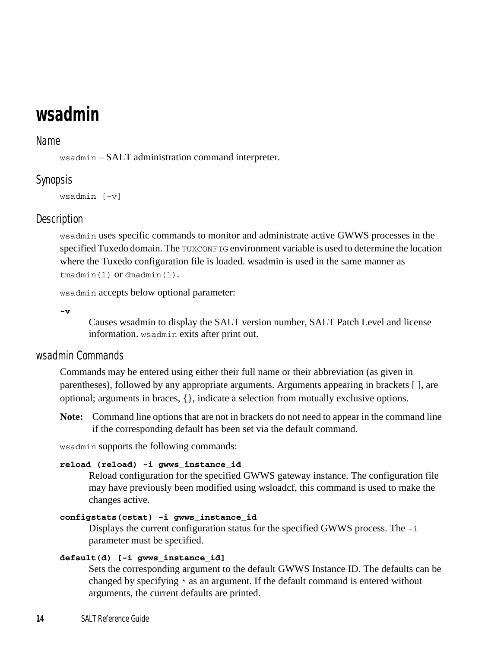## <span id="page-19-0"></span>**wsadmin**

### Name

wsadmin – SALT administration command interpreter.

## Synopsis

wsadmin [-v]

## **Description**

wsadmin uses specific commands to monitor and administrate active GWWS processes in the specified Tuxedo domain. The TUXCONFIG environment variable is used to determine the location where the Tuxedo configuration file is loaded. wsadmin is used in the same manner as tmadmin(1) or dmadmin(1).

wsadmin accepts below optional parameter:

**-v** 

Causes wsadmin to display the SALT version number, SALT Patch Level and license information. wsadmin exits after print out.

## wsadmin Commands

Commands may be entered using either their full name or their abbreviation (as given in parentheses), followed by any appropriate arguments. Arguments appearing in brackets [ ], are optional; arguments in braces, {}, indicate a selection from mutually exclusive options.

**Note:** Command line options that are not in brackets do not need to appear in the command line if the corresponding default has been set via the default command.

wsadmin supports the following commands:

#### **reload (reload) -i gwws\_instance\_id**

Reload configuration for the specified GWWS gateway instance. The configuration file may have previously been modified using wsloadcf, this command is used to make the changes active.

#### **configstats(cstat) -i gwws\_instance\_id**

Displays the current configuration status for the specified GWWS process. The  $-i$ parameter must be specified.

#### **default(d) [-i gwws\_instance\_id]**

Sets the corresponding argument to the default GWWS Instance ID. The defaults can be changed by specifying \* as an argument. If the default command is entered without arguments, the current defaults are printed.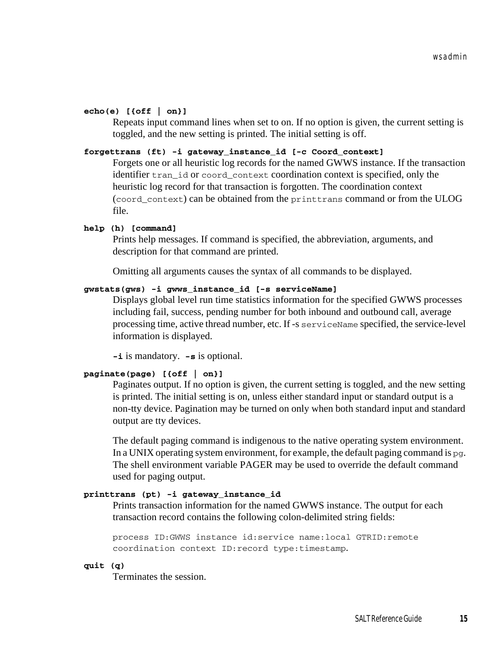#### **echo(e) [{off | on}]**

Repeats input command lines when set to on. If no option is given, the current setting is toggled, and the new setting is printed. The initial setting is off.

#### **forgettrans (ft) -i gateway\_instance\_id [-c Coord\_context]**

Forgets one or all heuristic log records for the named GWWS instance. If the transaction identifier tran\_id or coord\_context coordination context is specified, only the heuristic log record for that transaction is forgotten. The coordination context (coord\_context) can be obtained from the printtrans command or from the ULOG file.

#### **help (h) [command]**

Prints help messages. If command is specified, the abbreviation, arguments, and description for that command are printed.

Omitting all arguments causes the syntax of all commands to be displayed.

#### **gwstats(gws) -i gwws\_instance\_id [-s serviceName]**

Displays global level run time statistics information for the specified GWWS processes including fail, success, pending number for both inbound and outbound call, average processing time, active thread number, etc. If -s serviceName specified, the service-level information is displayed.

**-i** is mandatory. **-s** is optional.

#### **paginate(page) [{off | on}]**

Paginates output. If no option is given, the current setting is toggled, and the new setting is printed. The initial setting is on, unless either standard input or standard output is a non-tty device. Pagination may be turned on only when both standard input and standard output are tty devices.

The default paging command is indigenous to the native operating system environment. In a UNIX operating system environment, for example, the default paging command is  $pq$ . The shell environment variable PAGER may be used to override the default command used for paging output.

#### **printtrans (pt) -i gateway\_instance\_id**

Prints transaction information for the named GWWS instance. The output for each transaction record contains the following colon-delimited string fields:

```
process ID:GWWS instance id:service name:local GTRID:remote 
coordination context ID:record type:timestamp.
```
**quit (q)**

Terminates the session.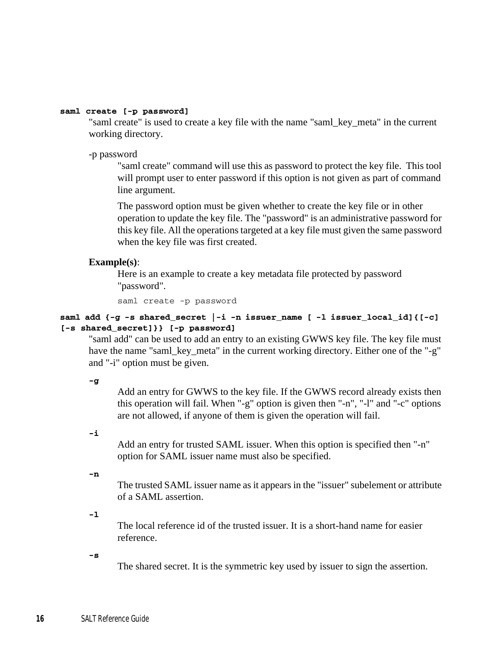#### **saml create [-p password]**

"saml create" is used to create a key file with the name "saml\_key\_meta" in the current working directory.

-p password

"saml create" command will use this as password to protect the key file. This tool will prompt user to enter password if this option is not given as part of command line argument.

The password option must be given whether to create the key file or in other operation to update the key file. The "password" is an administrative password for this key file. All the operations targeted at a key file must given the same password when the key file was first created.

#### **Example(s)**:

Here is an example to create a key metadata file protected by password "password".

saml create -p password

#### **saml add {-g -s shared\_secret |-i -n issuer\_name [ -l issuer\_local\_id]{[-c] [-s shared\_secret]}} [-p password]**

"saml add" can be used to add an entry to an existing GWWS key file. The key file must have the name "saml\_key\_meta" in the current working directory. Either one of the "-g" and "-i" option must be given.

**-g**

Add an entry for GWWS to the key file. If the GWWS record already exists then this operation will fail. When "-g" option is given then "-n", "-l" and "-c" options are not allowed, if anyone of them is given the operation will fail.

**-i**

Add an entry for trusted SAML issuer. When this option is specified then "-n" option for SAML issuer name must also be specified.

**-n**

The trusted SAML issuer name as it appears in the "issuer" subelement or attribute of a SAML assertion.

**-l**

The local reference id of the trusted issuer. It is a short-hand name for easier reference.

**-s**

The shared secret. It is the symmetric key used by issuer to sign the assertion.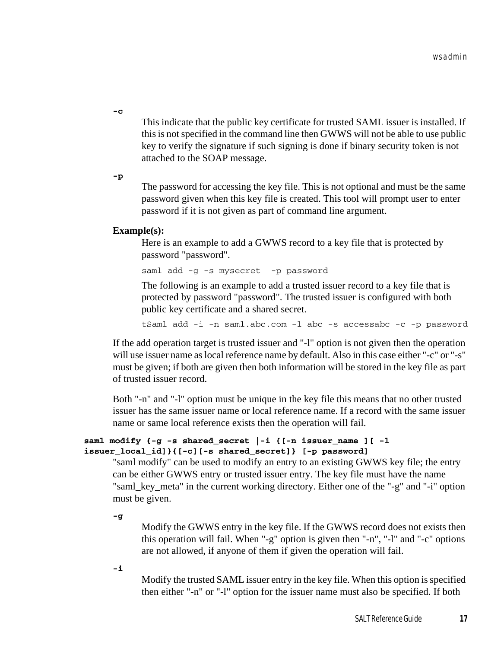**-c**

This indicate that the public key certificate for trusted SAML issuer is installed. If this is not specified in the command line then GWWS will not be able to use public key to verify the signature if such signing is done if binary security token is not attached to the SOAP message.

**-p**

The password for accessing the key file. This is not optional and must be the same password given when this key file is created. This tool will prompt user to enter password if it is not given as part of command line argument.

#### **Example(s):**

Here is an example to add a GWWS record to a key file that is protected by password "password".

saml add -g -s mysecret -p password

The following is an example to add a trusted issuer record to a key file that is protected by password "password". The trusted issuer is configured with both public key certificate and a shared secret.

tSaml add -i -n saml.abc.com -l abc -s accessabc -c -p password

If the add operation target is trusted issuer and "-l" option is not given then the operation will use issuer name as local reference name by default. Also in this case either "-c" or "-s" must be given; if both are given then both information will be stored in the key file as part of trusted issuer record.

Both "-n" and "-l" option must be unique in the key file this means that no other trusted issuer has the same issuer name or local reference name. If a record with the same issuer name or same local reference exists then the operation will fail.

#### **saml modify {-g -s shared\_secret |-i {[-n issuer\_name ][ -l issuer\_local\_id]}{[-c][-s shared\_secret]} [-p password]**

"saml modify" can be used to modify an entry to an existing GWWS key file; the entry can be either GWWS entry or trusted issuer entry. The key file must have the name "saml\_key\_meta" in the current working directory. Either one of the "-g" and "-i" option must be given.

**-g**

Modify the GWWS entry in the key file. If the GWWS record does not exists then this operation will fail. When "-g" option is given then "-n", "-l" and "-c" options are not allowed, if anyone of them if given the operation will fail.

**-i**

Modify the trusted SAML issuer entry in the key file. When this option is specified then either "-n" or "-l" option for the issuer name must also be specified. If both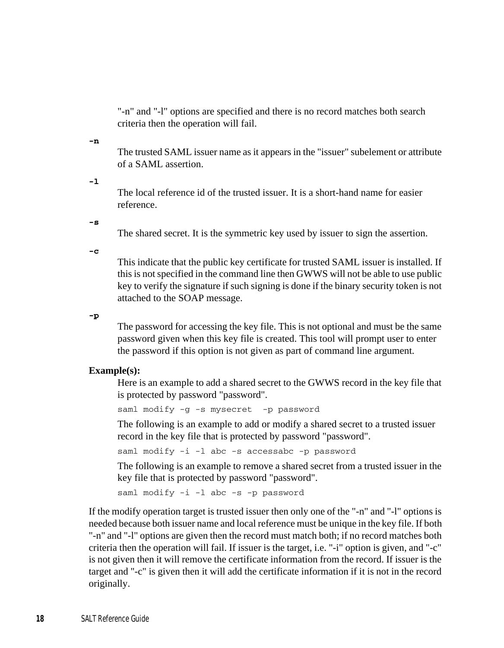"-n" and "-l" options are specified and there is no record matches both search criteria then the operation will fail.

#### **-n**

The trusted SAML issuer name as it appears in the "issuer" subelement or attribute of a SAML assertion.

**-l**

The local reference id of the trusted issuer. It is a short-hand name for easier reference.

**-s**

The shared secret. It is the symmetric key used by issuer to sign the assertion.

**-c**

This indicate that the public key certificate for trusted SAML issuer is installed. If this is not specified in the command line then GWWS will not be able to use public key to verify the signature if such signing is done if the binary security token is not attached to the SOAP message.

**-p**

The password for accessing the key file. This is not optional and must be the same password given when this key file is created. This tool will prompt user to enter the password if this option is not given as part of command line argument.

#### **Example(s):**

Here is an example to add a shared secret to the GWWS record in the key file that is protected by password "password".

saml modify -g -s mysecret -p password

The following is an example to add or modify a shared secret to a trusted issuer record in the key file that is protected by password "password".

saml modify -i -l abc -s accessabc -p password

The following is an example to remove a shared secret from a trusted issuer in the key file that is protected by password "password".

saml modify -i -l abc -s -p password

If the modify operation target is trusted issuer then only one of the "-n" and "-l" options is needed because both issuer name and local reference must be unique in the key file. If both "-n" and "-l" options are given then the record must match both; if no record matches both criteria then the operation will fail. If issuer is the target, i.e. "-i" option is given, and "-c" is not given then it will remove the certificate information from the record. If issuer is the target and "-c" is given then it will add the certificate information if it is not in the record originally.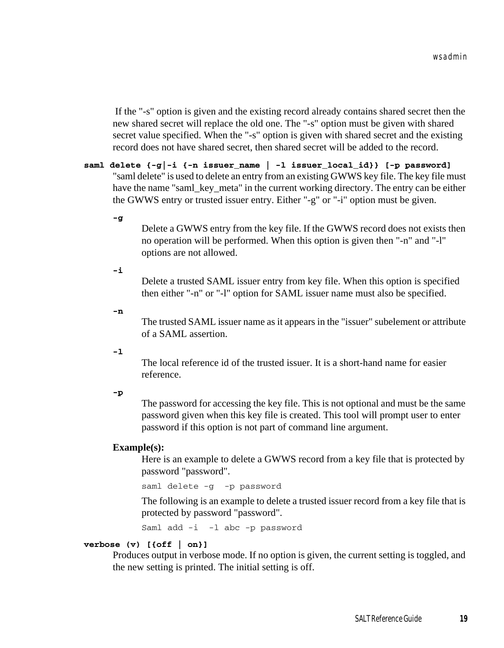If the "-s" option is given and the existing record already contains shared secret then the new shared secret will replace the old one. The "-s" option must be given with shared secret value specified. When the "-s" option is given with shared secret and the existing record does not have shared secret, then shared secret will be added to the record.

**saml delete {-g|-i {-n issuer\_name | -l issuer\_local\_id}} [-p password]** "saml delete" is used to delete an entry from an existing GWWS key file. The key file must have the name "saml\_key\_meta" in the current working directory. The entry can be either the GWWS entry or trusted issuer entry. Either "-g" or "-i" option must be given.

#### **-g**

Delete a GWWS entry from the key file. If the GWWS record does not exists then no operation will be performed. When this option is given then "-n" and "-l" options are not allowed.

#### **-i**

Delete a trusted SAML issuer entry from key file. When this option is specified then either "-n" or "-l" option for SAML issuer name must also be specified.

#### **-n**

The trusted SAML issuer name as it appears in the "issuer" subelement or attribute of a SAML assertion.

#### **-l**

The local reference id of the trusted issuer. It is a short-hand name for easier reference.

#### **-p**

The password for accessing the key file. This is not optional and must be the same password given when this key file is created. This tool will prompt user to enter password if this option is not part of command line argument.

#### **Example(s):**

Here is an example to delete a GWWS record from a key file that is protected by password "password".

saml delete -g -p password

The following is an example to delete a trusted issuer record from a key file that is protected by password "password".

Saml add -i -l abc -p password

#### **verbose (v) [{off | on}]**

Produces output in verbose mode. If no option is given, the current setting is toggled, and the new setting is printed. The initial setting is off.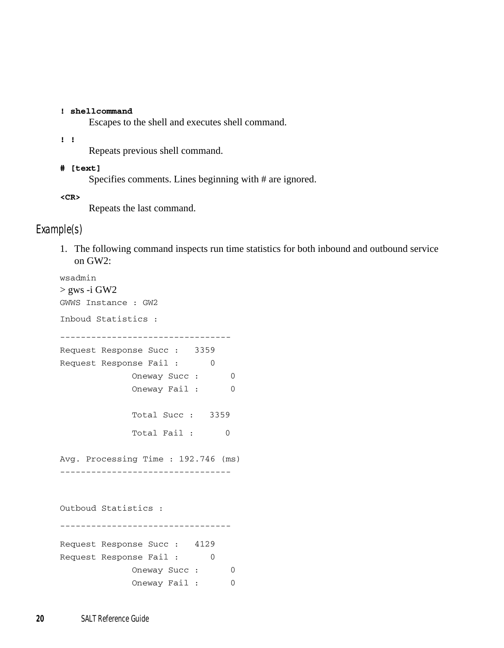#### **! shellcommand**

Escapes to the shell and executes shell command.

**! !**

Repeats previous shell command.

#### **# [text]**

Specifies comments. Lines beginning with # are ignored.

**<CR>**

Repeats the last command.

## Example(s)

1. The following command inspects run time statistics for both inbound and outbound service on GW2:

```
wsadmin
> gws -i GW2
GWWS Instance : GW2
Inboud Statistics :
---------------------------------
Request Response Succ : 3359
Request Response Fail: 0
            Oneway Succ : 0
            Oneway Fail: 0
             Total Succ : 3359
            Total Fail : 0
Avg. Processing Time : 192.746 (ms)
---------------------------------
Outboud Statistics :
---------------------------------
Request Response Succ : 4129
Request Response Fail: 0
            Oneway Succ : 0
             Oneway Fail: 0
```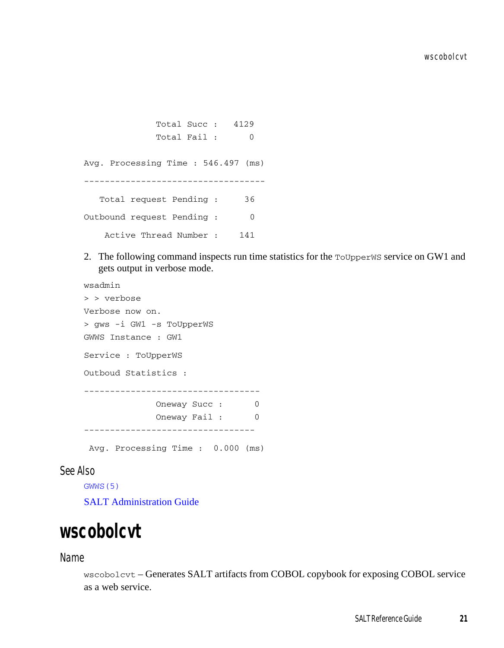Total Succ : 4129 Total Fail : 0 Avg. Processing Time : 546.497 (ms) ----------------------------------- Total request Pending : 36 Outbound request Pending : 0 Active Thread Number : 141

2. The following command inspects run time statistics for the ToUpperWS service on GW1 and gets output in verbose mode.

```
wsadmin
> > verbose
Verbose now on.
> gws -i GW1 -s ToUpperWS
GWWS Instance : GW1
Service : ToUpperWS
Outboud Statistics :
----------------------------------
            Oneway Succ : 0
            Oneway Fail : 0
---------------------------------
 Avg. Processing Time : 0.000 (ms)
```
## See Also

[GWWS\(5\)](#page-7-0)

[SALT Administration Guide](../admin/index.html)

## <span id="page-26-0"></span>**wscobolcvt**

#### Name

wscobolcvt – Generates SALT artifacts from COBOL copybook for exposing COBOL service as a web service.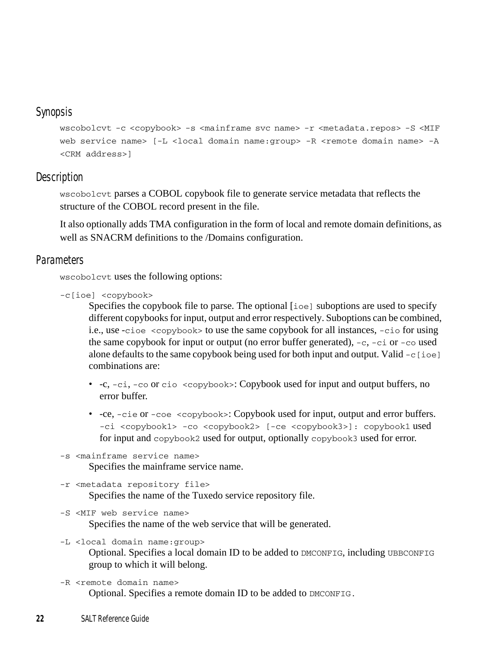## Synopsis

wscobolcvt -c <copybook> -s <mainframe svc name> -r <metadata.repos> -S <MIF web service name> [-L <local domain name:group> -R <remote domain name> -A <CRM address>]

## **Description**

wscobolcvt parses a COBOL copybook file to generate service metadata that reflects the structure of the COBOL record present in the file.

It also optionally adds TMA configuration in the form of local and remote domain definitions, as well as SNACRM definitions to the /Domains configuration.

## **Parameters**

wscobolcvt uses the following options:

```
-c[ioe] <copybook>
```
Specifies the copybook file to parse. The optional [ioe] suboptions are used to specify different copybooks for input, output and error respectively. Suboptions can be combined, i.e., use -cioe <copybook> to use the same copybook for all instances, -cio for using the same copybook for input or output (no error buffer generated),  $-c$ ,  $-ci$  or  $-co$  used alone defaults to the same copybook being used for both input and output. Valid  $-c$  [ioe] combinations are:

- $-c$ ,  $-ci$ ,  $-co$  or  $cio \leq copybook$ : Copybook used for input and output buffers, no error buffer.
- -ce, -cie or -coe <copybook>: Copybook used for input, output and error buffers. -ci <copybook1> -co <copybook2> [-ce <copybook3>]: copybook1 used for input and copybook2 used for output, optionally copybook3 used for error.

```
-s <mainframe service name>
```
Specifies the mainframe service name.

```
-r <metadata repository file>
```
Specifies the name of the Tuxedo service repository file.

-S <MIF web service name>

Specifies the name of the web service that will be generated.

- -L <local domain name:group> Optional. Specifies a local domain ID to be added to DMCONFIG, including UBBCONFIG group to which it will belong.
- -R <remote domain name> Optional. Specifies a remote domain ID to be added to DMCONFIG.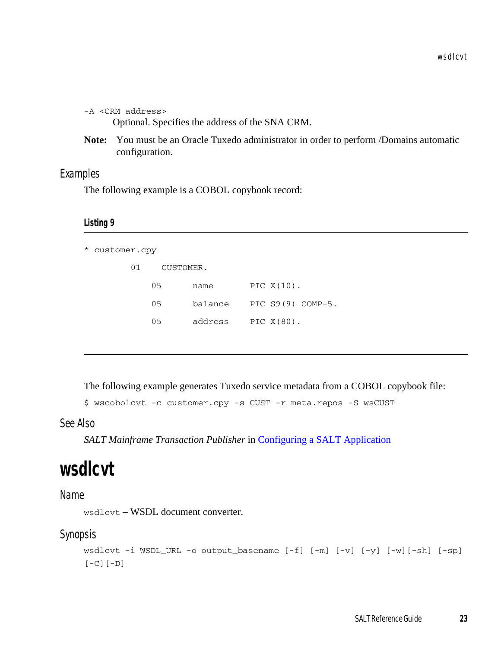-A <CRM address>

Optional. Specifies the address of the SNA CRM.

**Note:** You must be an Oracle Tuxedo administrator in order to perform /Domains automatic configuration.

## Examples

The following example is a COBOL copybook record:

#### **Listing 9**

```
* customer.cpy
```
01 CUSTOMER.

| 0.5 | name    | PIC $X(10)$ .     |
|-----|---------|-------------------|
| 05  | balance | PIC S9(9) COMP-5. |
| 05  | address | PIC $X(80)$ .     |

The following example generates Tuxedo service metadata from a COBOL copybook file:

```
$ wscobolcvt -c customer.cpy -s CUST -r meta.repos -S wsCUST
```
See Also

*SALT Mainframe Transaction Publisher* in [Configuring a SALT Application](../config/config.html)

## <span id="page-28-1"></span><span id="page-28-0"></span>**wsdlcvt**

#### Name

wsdlcvt – WSDL document converter.

#### Synopsis

```
wsdlcvt -i WSDL_URL -o output_basename [-f] [-m] [-v] [-y] [-w][-sh] [-sp] 
[-C][-D]
```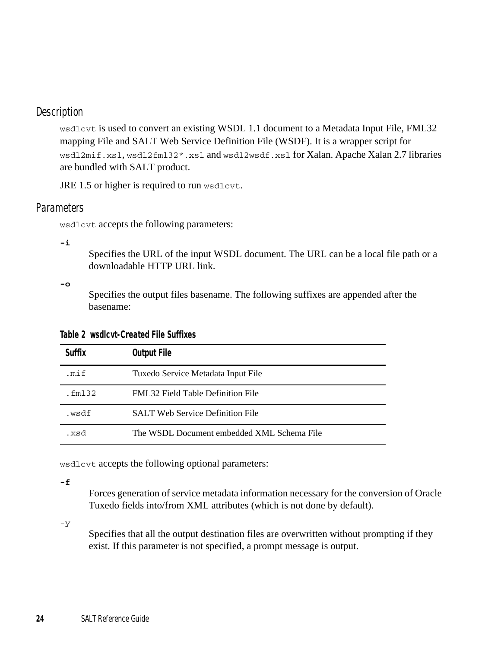## Description

wsdlcvt is used to convert an existing WSDL 1.1 document to a Metadata Input File, FML32 mapping File and SALT Web Service Definition File (WSDF). It is a wrapper script for wsdl2mif.xsl, wsdl2fml32\*.xsl and wsdl2wsdf.xsl for Xalan. Apache Xalan 2.7 libraries are bundled with SALT product.

JRE 1.5 or higher is required to run wsdlcvt.

### **Parameters**

wsdlcvt accepts the following parameters:

**-i** 

Specifies the URL of the input WSDL document. The URL can be a local file path or a downloadable HTTP URL link.

#### **-o**

Specifies the output files basename. The following suffixes are appended after the basename:

| Table 2 wsdlcyt-Created File Suffixes |  |
|---------------------------------------|--|
|---------------------------------------|--|

| Suffix  | <b>Output File</b>                         |
|---------|--------------------------------------------|
| .mif    | Tuxedo Service Metadata Input File         |
| . fm132 | <b>FML32 Field Table Definition File</b>   |
| .wsdf   | <b>SALT Web Service Definition File</b>    |
| bzx.    | The WSDL Document embedded XML Schema File |

wsdlcvt accepts the following optional parameters:

**-f**

Forces generation of service metadata information necessary for the conversion of Oracle Tuxedo fields into/from XML attributes (which is not done by default).

-y

Specifies that all the output destination files are overwritten without prompting if they exist. If this parameter is not specified, a prompt message is output.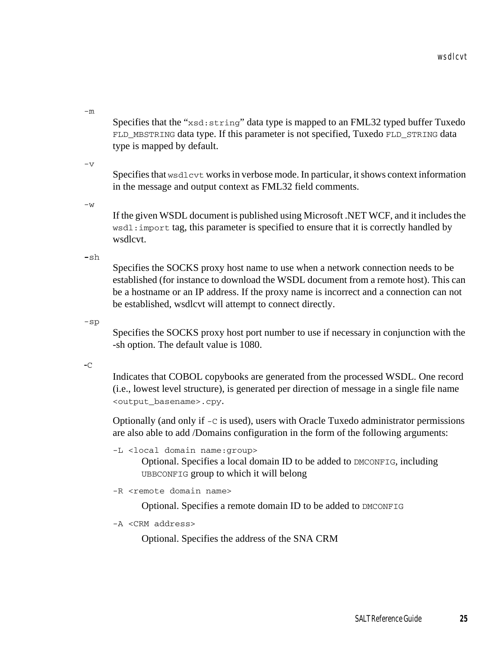-m

Specifies that the "xsd:string" data type is mapped to an FML32 typed buffer Tuxedo FLD\_MBSTRING data type. If this parameter is not specified, Tuxedo FLD\_STRING data type is mapped by default.

 $-\nabla$ 

Specifies that wsdlcvt works in verbose mode. In particular, it shows context information in the message and output context as FML32 field comments.

 $-VV$ 

If the given WSDL document is published using Microsoft .NET WCF, and it includes the wsdl: import tag, this parameter is specified to ensure that it is correctly handled by wsdlcvt.

**-**sh

Specifies the SOCKS proxy host name to use when a network connection needs to be established (for instance to download the WSDL document from a remote host). This can be a hostname or an IP address. If the proxy name is incorrect and a connection can not be established, wsdlcvt will attempt to connect directly.

-sp

Specifies the SOCKS proxy host port number to use if necessary in conjunction with the -sh option. The default value is 1080.

**-**C

Indicates that COBOL copybooks are generated from the processed WSDL. One record (i.e., lowest level structure), is generated per direction of message in a single file name <output\_basename>.cpy.

Optionally (and only if -C is used), users with Oracle Tuxedo administrator permissions are also able to add /Domains configuration in the form of the following arguments:

```
-L <local domain name:group>
```
Optional. Specifies a local domain ID to be added to DMCONFIG, including UBBCONFIG group to which it will belong

```
-R <remote domain name>
```
Optional. Specifies a remote domain ID to be added to DMCONFIG

```
-A <CRM address>
```
Optional. Specifies the address of the SNA CRM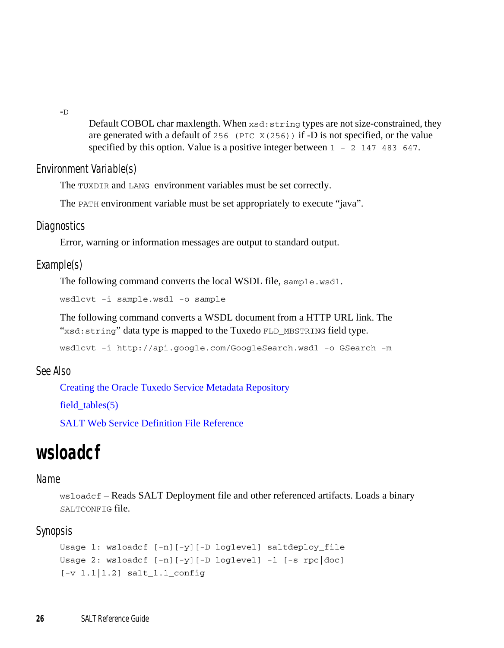**-**D

Default COBOL char maxlength. When xsd:string types are not size-constrained, they are generated with a default of 256 (PIC  $X(256)$ ) if -D is not specified, or the value specified by this option. Value is a positive integer between  $1 - 2$  147 483 647.

## Environment Variable(s)

The TUXDIR and LANG environment variables must be set correctly.

The PATH environment variable must be set appropriately to execute "java".

## Diagnostics

Error, warning or information messages are output to standard output.

## Example(s)

The following command converts the local WSDL file, sample.wsdl.

wsdlcvt -i sample.wsdl -o sample

The following command converts a WSDL document from a HTTP URL link. The "xsd: string" data type is mapped to the Tuxedo FLD\_MBSTRING field type.

wsdlcvt -i http://api.google.com/GoogleSearch.wsdl -o GSearch -m

## See Also

[Creating the Oracle Tuxedo Service Metadata Repository](../../../tuxedo/docs1222/ads/admrp.html)

field  $tables(5)$ 

[SALT Web Service Definition File Reference](../ref/wsdf.html)

## <span id="page-31-0"></span>**wsloadcf**

## Name

wsloadcf – Reads SALT Deployment file and other referenced artifacts. Loads a binary SALTCONFIG file.

## Synopsis

```
Usage 1: wsloadcf [-n][-y][-D loglevel] saltdeploy_file
Usage 2: wsloadcf [-n][-y][-D loglevel] -1 [-s rpc|doc]
[-v 1.1|1.2] salt_1.1_config
```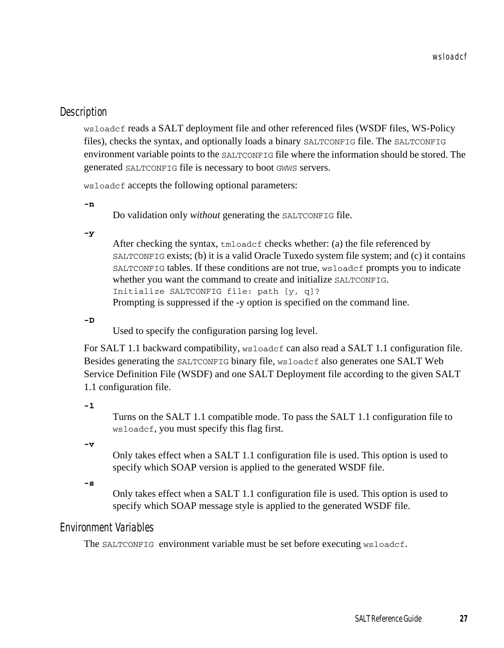## **Description**

wsloadcf reads a SALT deployment file and other referenced files (WSDF files, WS-Policy files), checks the syntax, and optionally loads a binary SALTCONFIG file. The SALTCONFIG environment variable points to the SALTCONFIG file where the information should be stored. The generated SALTCONFIG file is necessary to boot GWWS servers.

wsloadcf accepts the following optional parameters:

**-n** 

Do validation only *without* generating the SALTCONFIG file.

**-y** 

After checking the syntax, tmloadcf checks whether: (a) the file referenced by SALTCONFIG exists; (b) it is a valid Oracle Tuxedo system file system; and (c) it contains SALTCONFIG tables. If these conditions are not true, wsloadcf prompts you to indicate whether you want the command to create and initialize SALTCONFIG. Initialize SALTCONFIG file: path [y, q]? Prompting is suppressed if the -y option is specified on the command line.

**-D**

Used to specify the configuration parsing log level.

For SALT 1.1 backward compatibility, wsloadef can also read a SALT 1.1 configuration file. Besides generating the SALTCONFIG binary file, wsloadcf also generates one SALT Web Service Definition File (WSDF) and one SALT Deployment file according to the given SALT 1.1 configuration file.

**-1**

Turns on the SALT 1.1 compatible mode. To pass the SALT 1.1 configuration file to wsloadcf, you must specify this flag first.

**-v**

Only takes effect when a SALT 1.1 configuration file is used. This option is used to specify which SOAP version is applied to the generated WSDF file.

**-s**

Only takes effect when a SALT 1.1 configuration file is used. This option is used to specify which SOAP message style is applied to the generated WSDF file.

## Environment Variables

The SALTCONFIG environment variable must be set before executing wsloadcf.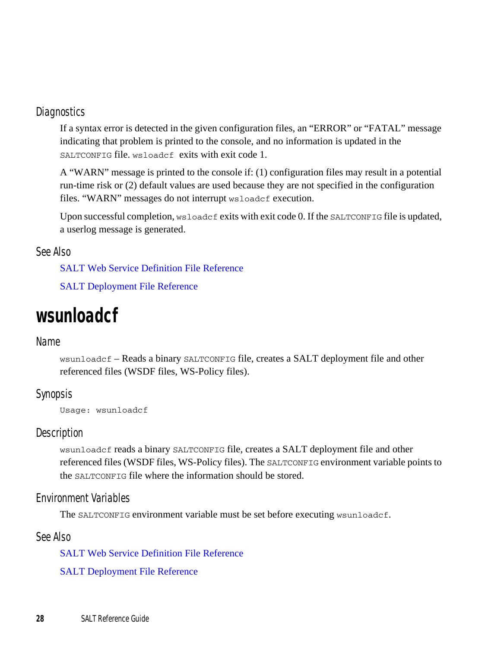## **Diagnostics**

If a syntax error is detected in the given configuration files, an "ERROR" or "FATAL" message indicating that problem is printed to the console, and no information is updated in the SALTCONFIG file. wsloadcf exits with exit code 1.

A "WARN" message is printed to the console if: (1) configuration files may result in a potential run-time risk or (2) default values are used because they are not specified in the configuration files. "WARN" messages do not interrupt wsloadcf execution.

Upon successful completion, wsloadcf exits with exit code 0. If the SALTCONFIG file is updated, a userlog message is generated.

## See Also

[SALT Web Service Definition File Reference](../ref/wsdf.html)

[SALT Deployment File Reference](../ref/deploy.html)

## <span id="page-33-0"></span>**wsunloadcf**

## Name

wsunloadcf – Reads a binary SALTCONFIG file, creates a SALT deployment file and other referenced files (WSDF files, WS-Policy files).

## Synopsis

Usage: wsunloadcf

## Description

wsunloadcf reads a binary SALTCONFIG file, creates a SALT deployment file and other referenced files (WSDF files, WS-Policy files). The SALTCONFIG environment variable points to the SALTCONFIG file where the information should be stored.

## Environment Variables

The SALTCONFIG environment variable must be set before executing wsunloadcf.

See Also

[SALT Web Service Definition File Reference](../ref/wsdf.html)

[SALT Deployment File Reference](../ref/deploy.html)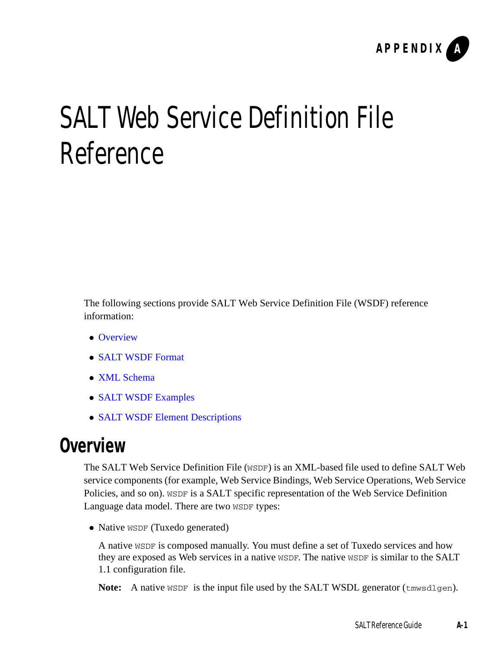

# <span id="page-34-0"></span>SALT Web Service Definition File Reference

The following sections provide SALT Web Service Definition File (WSDF) reference information:

- [Overview](#page-34-1)
- [SALT WSDF Format](#page-35-0)
- [XML Schema](#page-38-0)
- [SALT WSDF Examples](#page-38-1)
- [SALT WSDF Element Descriptions](#page-39-0)

## <span id="page-34-1"></span>**Overview**

The SALT Web Service Definition File (WSDF) is an XML-based file used to define SALT Web service components (for example, Web Service Bindings, Web Service Operations, Web Service Policies, and so on). WSDF is a SALT specific representation of the Web Service Definition Language data model. There are two WSDF types:

• Native WSDF (Tuxedo generated)

A native WSDF is composed manually. You must define a set of Tuxedo services and how they are exposed as Web services in a native WSDF. The native WSDF is similar to the SALT 1.1 configuration file.

**Note:** A native WSDF is the input file used by the SALT WSDL generator (tmwsdlgen).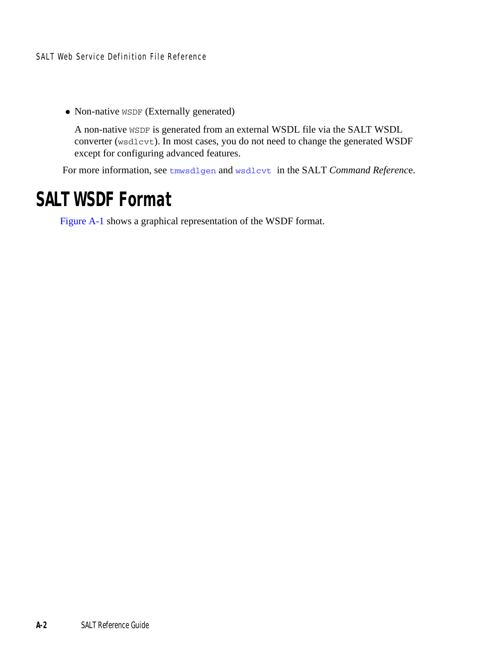SALT Web Service Definition File Reference

• Non-native WSDF (Externally generated)

A non-native WSDF is generated from an external WSDL file via the SALT WSDL converter (wsdlcvt). In most cases, you do not need to change the generated WSDF except for configuring advanced features.

For more information, see [tmwsdlgen](#page-16-1) and [wsdlcvt](#page-28-1) in the SALT *Command Referenc*e.

## <span id="page-35-0"></span>**SALT WSDF Format**

[Figure](#page-36-0) A-1 shows a graphical representation of the WSDF format.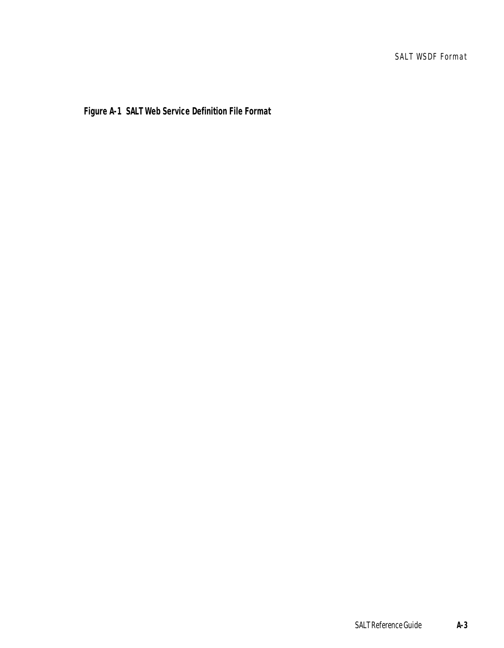**Figure A-1 SALT Web Service Definition File Format**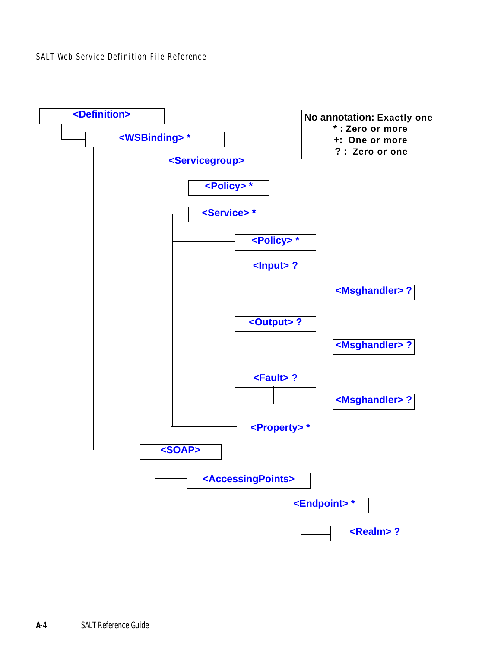SALT Web Service Definition File Reference

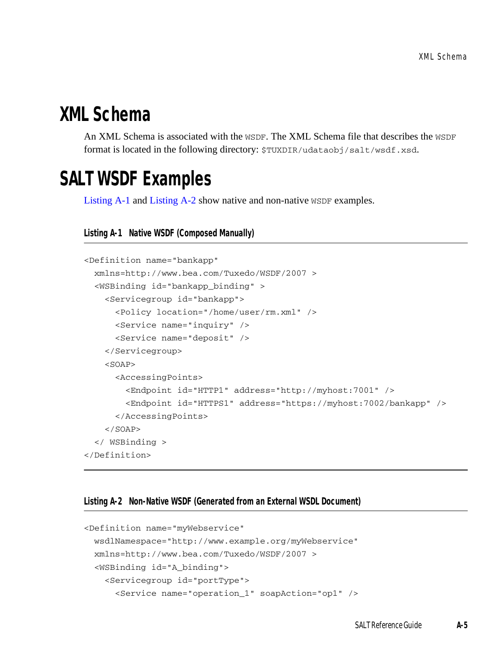## **XML Schema**

An XML Schema is associated with the WSDF. The XML Schema file that describes the WSDF format is located in the following directory: \$TUXDIR/udataobj/salt/wsdf.xsd.

# **SALT WSDF Examples**

[Listing](#page-38-0) A-1 and [Listing](#page-38-1) A-2 show native and non-native WSDF examples.

```
Listing A-1 Native WSDF (Composed Manually)
```

```
<Definition name="bankapp" 
 xmlns=http://www.bea.com/Tuxedo/WSDF/2007 >
 <WSBinding id="bankapp_binding" >
    <Servicegroup id="bankapp">
      <Policy location="/home/user/rm.xml" />
      <Service name="inquiry" />
      <Service name="deposit" />
    </Servicegroup>
    <SOAP><AccessingPoints>
        <Endpoint id="HTTP1" address="http://myhost:7001" />
        <Endpoint id="HTTPS1" address="https://myhost:7002/bankapp" />
      </AccessingPoints>
    </SOAP>
 </ WSBinding >
</Definition>
```
#### <span id="page-38-1"></span>**Listing A-2 Non-Native WSDF (Generated from an External WSDL Document)**

```
<Definition name="myWebservice"
 wsdlNamespace="http://www.example.org/myWebservice"
 xmlns=http://www.bea.com/Tuxedo/WSDF/2007 >
 <WSBinding id="A_binding">
   <Servicegroup id="portType">
      <Service name="operation_1" soapAction="op1" />
```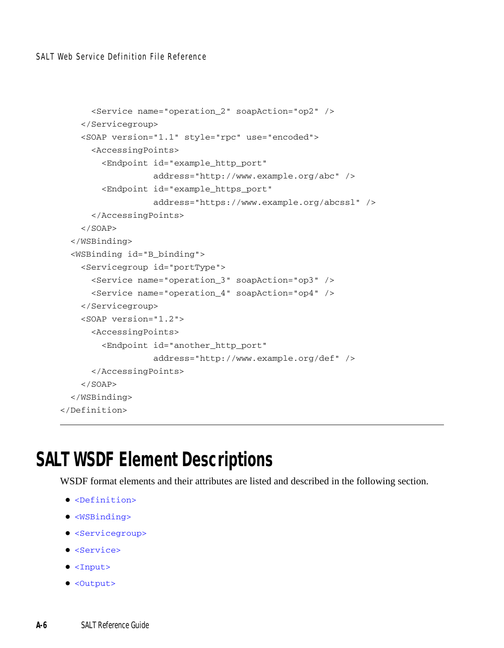SALT Web Service Definition File Reference

```
<Service name="operation_2" soapAction="op2" />
    </Servicegroup>
    <SOAP version="1.1" style="rpc" use="encoded">
      <AccessingPoints>
        <Endpoint id="example_http_port"
                  address="http://www.example.org/abc" />
        <Endpoint id="example_https_port"
                  address="https://www.example.org/abcssl" />
      </AccessingPoints>
    </SOAP>
  </WSBinding>
  <WSBinding id="B_binding">
    <Servicegroup id="portType">
      <Service name="operation_3" soapAction="op3" />
      <Service name="operation_4" soapAction="op4" />
    </Servicegroup>
    <SOAP version="1.2">
     <AccessingPoints>
        <Endpoint id="another_http_port"
                  address="http://www.example.org/def" />
      </AccessingPoints>
    </SOAP>
 </WSBinding>
</Definition>
```
## **SALT WSDF Element Descriptions**

WSDF format elements and their attributes are listed and described in the following section.

- [<Definition>](#page-40-0)
- $\bullet$  [<WSBinding>](#page-41-0)
- [<Servicegroup>](#page-41-1)
- [<Service>](#page-42-0)
- [<Input>](#page-43-0)
- [<Output>](#page-44-0)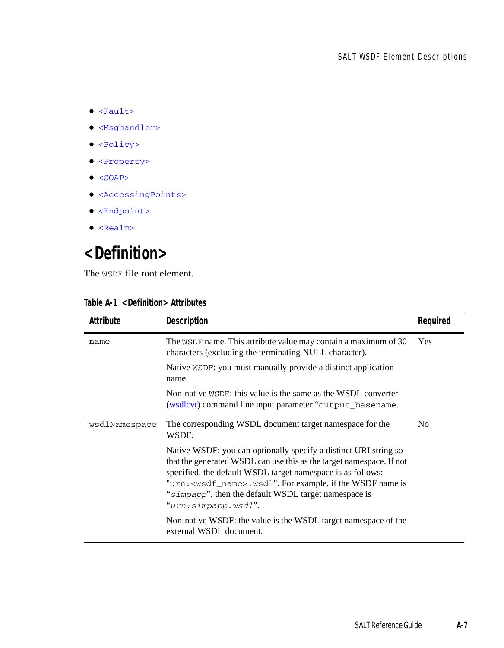- $\bullet$  [<Fault>](#page-44-1)
- $\bullet$  [<Msghandler>](#page-45-1)
- [<Policy>](#page-45-0)
- [<Property>](#page-46-0)
- $\bullet$  [<SOAP>](#page-48-0)
- [<AccessingPoints>](#page-49-0)
- [<Endpoint>](#page-49-1)
- [<Realm>](#page-49-2)

# <span id="page-40-0"></span>**<Definition>**

The WSDF file root element.

| Attribute     | Description                                                                                                                                                                                                                                                                                                                                                       | Required       |
|---------------|-------------------------------------------------------------------------------------------------------------------------------------------------------------------------------------------------------------------------------------------------------------------------------------------------------------------------------------------------------------------|----------------|
| name          | The WSDF name. This attribute value may contain a maximum of 30<br>characters (excluding the terminating NULL character).                                                                                                                                                                                                                                         | <b>Yes</b>     |
|               | Native WSDF: you must manually provide a distinct application<br>name.                                                                                                                                                                                                                                                                                            |                |
|               | Non-native $WSDF$ : this value is the same as the WSDL converter<br>(wsdlcvt) command line input parameter "output_basename.                                                                                                                                                                                                                                      |                |
| wsdlNamespace | The corresponding WSDL document target namespace for the<br>WSDF.                                                                                                                                                                                                                                                                                                 | N <sub>0</sub> |
|               | Native WSDF: you can optionally specify a distinct URI string so<br>that the generated WSDL can use this as the target namespace. If not<br>specified, the default WSDL target namespace is as follows:<br>"urn: <wsdf_name>.wsd1". For example, if the WSDF name is<br/>"simpapp", then the default WSDL target namespace is<br/>"urn:simpapp.wsdl".</wsdf_name> |                |
|               | Non-native WSDF: the value is the WSDL target namespace of the<br>external WSDL document.                                                                                                                                                                                                                                                                         |                |

#### **Table A-1 <Definition> Attributes**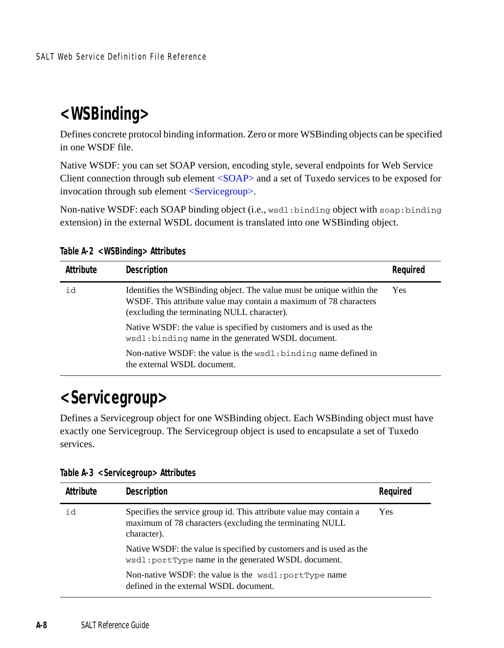## <span id="page-41-0"></span>**<WSBinding>**

Defines concrete protocol binding information. Zero or more WSBinding objects can be specified in one WSDF file.

Native WSDF: you can set SOAP version, encoding style, several endpoints for Web Service Client connection through sub element [<SOAP>](#page-48-0) and a set of Tuxedo services to be exposed for invocation through sub element [<Servicegroup>.](#page-41-1)

Non-native WSDF: each SOAP binding object (i.e., wsdl:binding object with soap:binding extension) in the external WSDL document is translated into one WSBinding object.

| Attribute | Description                                                                                                                                                                               | Required |
|-----------|-------------------------------------------------------------------------------------------------------------------------------------------------------------------------------------------|----------|
| id        | Identifies the WSB inding object. The value must be unique within the<br>WSDF. This attribute value may contain a maximum of 78 characters<br>(excluding the terminating NULL character). | Yes      |
|           | Native WSDF: the value is specified by customers and is used as the<br>wsdl: binding name in the generated WSDL document.                                                                 |          |
|           | Non-native WSDF: the value is the $wsdl : binding$ name defined in<br>the external WSDL document.                                                                                         |          |

**Table A-2 <WSBinding> Attributes** 

## <span id="page-41-1"></span>**<Servicegroup>**

Defines a Servicegroup object for one WSBinding object. Each WSBinding object must have exactly one Servicegroup. The Servicegroup object is used to encapsulate a set of Tuxedo services.

| Attribute | Description                                                                                                                                   | Reguired |
|-----------|-----------------------------------------------------------------------------------------------------------------------------------------------|----------|
| id        | Specifies the service group id. This attribute value may contain a<br>maximum of 78 characters (excluding the terminating NULL<br>character). | Yes      |
|           | Native WSDF: the value is specified by customers and is used as the<br>wsdl: portType name in the generated WSDL document.                    |          |
|           | Non-native WSDF: the value is the wsdl: portType name<br>defined in the external WSDL document.                                               |          |

**Table A-3 <Servicegroup> Attributes**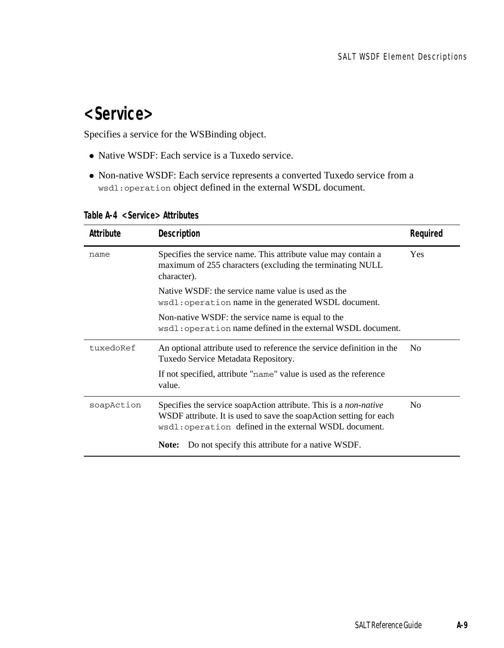## <span id="page-42-0"></span>**<Service>**

Specifies a service for the WSBinding object.

- Native WSDF: Each service is a Tuxedo service.
- Non-native WSDF: Each service represents a converted Tuxedo service from a wsdl:operation object defined in the external WSDL document.

| Attribute  | Description                                                                                                                                                                                             | Required       |
|------------|---------------------------------------------------------------------------------------------------------------------------------------------------------------------------------------------------------|----------------|
| name       | Specifies the service name. This attribute value may contain a<br>maximum of 255 characters (excluding the terminating NULL<br>character).                                                              | Yes            |
|            | Native WSDF: the service name value is used as the<br>wsdl: operation name in the generated WSDL document.                                                                                              |                |
|            | Non-native WSDF: the service name is equal to the<br>wsdl: operation name defined in the external WSDL document.                                                                                        |                |
| tuxedoRef  | An optional attribute used to reference the service definition in the<br>Tuxedo Service Metadata Repository.                                                                                            | No             |
|            | If not specified, attribute "name" value is used as the reference<br>value.                                                                                                                             |                |
| soapAction | Specifies the service soapAction attribute. This is a <i>non-native</i><br>WSDF attribute. It is used to save the soapAction setting for each<br>wsdl: operation defined in the external WSDL document. | N <sub>0</sub> |
|            | Do not specify this attribute for a native WSDF.<br>Note:                                                                                                                                               |                |

**Table A-4 <Service> Attributes**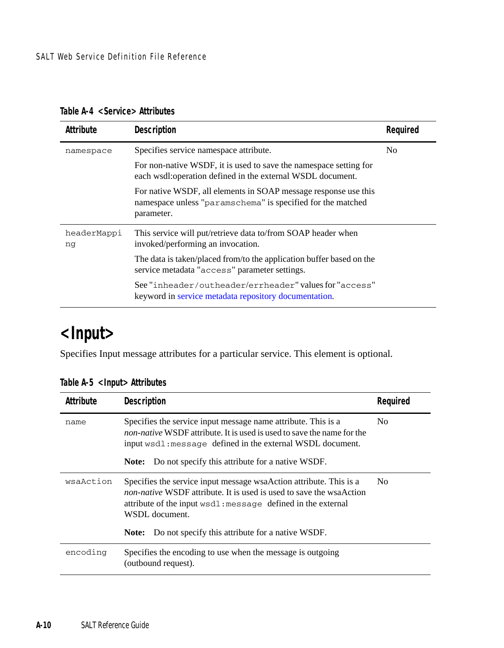| Attribute         | <b>Description</b>                                                                                                                           | Required |
|-------------------|----------------------------------------------------------------------------------------------------------------------------------------------|----------|
| namespace         | Specifies service namespace attribute.                                                                                                       | No       |
|                   | For non-native WSDF, it is used to save the namespace setting for<br>each wsdl: operation defined in the external WSDL document.             |          |
|                   | For native WSDF, all elements in SOAP message response use this<br>namespace unless "paramschema" is specified for the matched<br>parameter. |          |
| headerMappi<br>ng | This service will put/retrieve data to/from SOAP header when<br>invoked/performing an invocation.                                            |          |
|                   | The data is taken/placed from/to the application buffer based on the<br>service metadata "access" parameter settings.                        |          |
|                   | See "inheader/outheader/errheader" values for "access"<br>keyword in service metadata repository documentation.                              |          |

**Table A-4 <Service> Attributes** 

## <span id="page-43-0"></span>**<Input>**

Specifies Input message attributes for a particular service. This element is optional.

| Attribute | Description                                                                                                                                                                                                                                                                                      | Reguired |
|-----------|--------------------------------------------------------------------------------------------------------------------------------------------------------------------------------------------------------------------------------------------------------------------------------------------------|----------|
| name      | Specifies the service input message name attribute. This is a<br><i>non-native</i> WSDF attribute. It is used is used to save the name for the<br>input wsdl: message defined in the external WSDL document.<br><b>Note:</b> Do not specify this attribute for a native WSDF.                    | No.      |
| wsaAction | Specifies the service input message wsa Action attribute. This is a<br><i>non-native</i> WSDF attribute. It is used is used to save the wsaAction<br>attribute of the input wsdl: message defined in the external<br>WSDL document.<br>Do not specify this attribute for a native WSDF.<br>Note: | No       |
| encoding  | Specifies the encoding to use when the message is outgoing<br>(outbound request).                                                                                                                                                                                                                |          |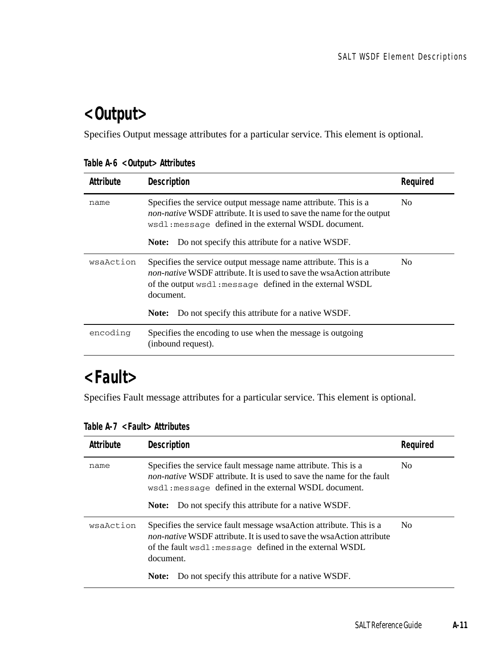# <span id="page-44-0"></span>**<Output>**

Specifies Output message attributes for a particular service. This element is optional.

|  |  | Table A-6 < Output > Attributes |
|--|--|---------------------------------|
|--|--|---------------------------------|

| Attribute | Description                                                                                                                                                                                                                                                                          | Reguired |
|-----------|--------------------------------------------------------------------------------------------------------------------------------------------------------------------------------------------------------------------------------------------------------------------------------------|----------|
| name      | Specifies the service output message name attribute. This is a<br><i>non-native</i> WSDF attribute. It is used to save the name for the output<br>wsdl: message defined in the external WSDL document.                                                                               | No.      |
|           | Do not specify this attribute for a native WSDF.<br>Note:                                                                                                                                                                                                                            |          |
| wsaAction | Specifies the service output message name attribute. This is a<br><i>non-native</i> WSDF attribute. It is used to save the wsaAction attribute<br>of the output wsdl: message defined in the external WSDL<br>document.<br>Do not specify this attribute for a native WSDF.<br>Note: | No.      |
|           |                                                                                                                                                                                                                                                                                      |          |
| encoding  | Specifies the encoding to use when the message is outgoing<br>(inbound request).                                                                                                                                                                                                     |          |

## <span id="page-44-1"></span>**<Fault>**

Specifies Fault message attributes for a particular service. This element is optional.

| Attribute | <b>Description</b>                                                                                                                                                                                                                                                                          | Reauired |
|-----------|---------------------------------------------------------------------------------------------------------------------------------------------------------------------------------------------------------------------------------------------------------------------------------------------|----------|
| name      | Specifies the service fault message name attribute. This is a<br><i>non-native</i> WSDF attribute. It is used to save the name for the fault<br>wsdl: message defined in the external WSDL document.<br><b>Note:</b> Do not specify this attribute for a native WSDF.                       | No.      |
| wsaAction | Specifies the service fault message wsaAction attribute. This is a<br><i>non-native</i> WSDF attribute. It is used to save the wsaAction attribute<br>of the fault wsdl: message defined in the external WSDL<br>document.<br><b>Note:</b> Do not specify this attribute for a native WSDF. | No.      |

**Table A-7 <Fault> Attributes**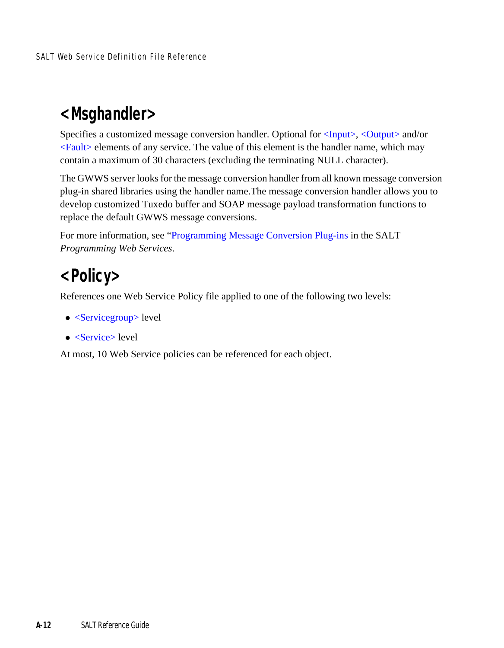## <span id="page-45-1"></span>**<Msghandler>**

Specifies a customized message conversion handler. Optional for [<Input>,](#page-43-0) [<Output>](#page-44-0) and/or  $\le$ Fault $>$  elements of any service. The value of this element is the handler name, which may contain a maximum of 30 characters (excluding the terminating NULL character).

The GWWS server looks for the message conversion handler from all known message conversion plug-in shared libraries using the handler name.The message conversion handler allows you to develop customized Tuxedo buffer and SOAP message payload transformation functions to replace the default GWWS message conversions.

For more information, see ["Programming Message Conversion Plug-ins](../prog/plugin.html#wp1043350) in the SALT *Programming Web Services*.

## <span id="page-45-0"></span>**<Policy>**

References one Web Service Policy file applied to one of the following two levels:

- $\bullet$  [<Servicegroup>](#page-41-1) level
- $\bullet$  [<Service>](#page-42-0) level

At most, 10 Web Service policies can be referenced for each object.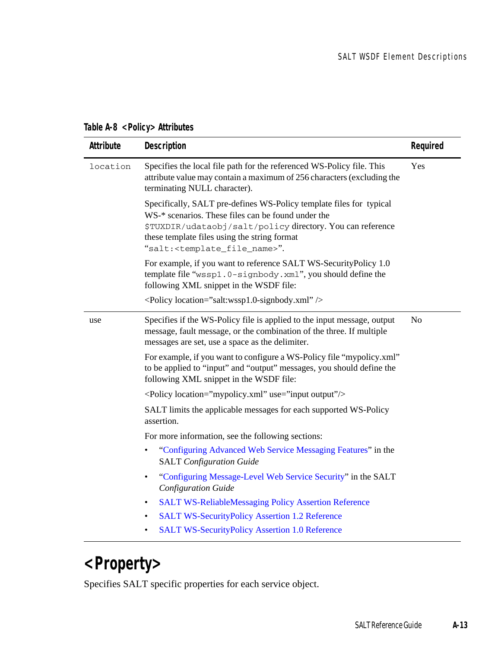#### **Table A-8 <Policy> Attributes**

| Attribute | Description                                                                                                                                                                                                                                                                                   | Required       |
|-----------|-----------------------------------------------------------------------------------------------------------------------------------------------------------------------------------------------------------------------------------------------------------------------------------------------|----------------|
| location  | Specifies the local file path for the referenced WS-Policy file. This<br>attribute value may contain a maximum of 256 characters (excluding the<br>terminating NULL character).                                                                                                               | Yes            |
|           | Specifically, SALT pre-defines WS-Policy template files for typical<br>WS-* scenarios. These files can be found under the<br>\$TUXDIR/udataobj/salt/policy directory. You can reference<br>these template files using the string format<br>"salt: <template_file_name>".</template_file_name> |                |
|           | For example, if you want to reference SALT WS-SecurityPolicy 1.0<br>template file "wssp1.0-signbody.xml", you should define the<br>following XML snippet in the WSDF file:                                                                                                                    |                |
|           | $\leq$ Policy location="salt:wssp1.0-signbody.xml" $\geq$                                                                                                                                                                                                                                     |                |
| use       | Specifies if the WS-Policy file is applied to the input message, output<br>message, fault message, or the combination of the three. If multiple<br>messages are set, use a space as the delimiter.                                                                                            | N <sub>0</sub> |
|           | For example, if you want to configure a WS-Policy file "mypolicy.xml"<br>to be applied to "input" and "output" messages, you should define the<br>following XML snippet in the WSDF file:                                                                                                     |                |
|           | <policy location="mypolicy.xml" use="input output"></policy>                                                                                                                                                                                                                                  |                |
|           | SALT limits the applicable messages for each supported WS-Policy<br>assertion.                                                                                                                                                                                                                |                |
|           | For more information, see the following sections:                                                                                                                                                                                                                                             |                |
|           | "Configuring Advanced Web Service Messaging Features" in the<br>$\bullet$<br><b>SALT</b> Configuration Guide                                                                                                                                                                                  |                |
|           | "Configuring Message-Level Web Service Security" in the SALT<br>$\bullet$<br>Configuration Guide                                                                                                                                                                                              |                |
|           | <b>SALT WS-ReliableMessaging Policy Assertion Reference</b><br>$\bullet$                                                                                                                                                                                                                      |                |
|           | <b>SALT WS-SecurityPolicy Assertion 1.2 Reference</b><br>$\bullet$                                                                                                                                                                                                                            |                |
|           | <b>SALT WS-SecurityPolicy Assertion 1.0 Reference</b><br>٠                                                                                                                                                                                                                                    |                |

# <span id="page-46-0"></span>**<Property>**

Specifies SALT specific properties for each service object.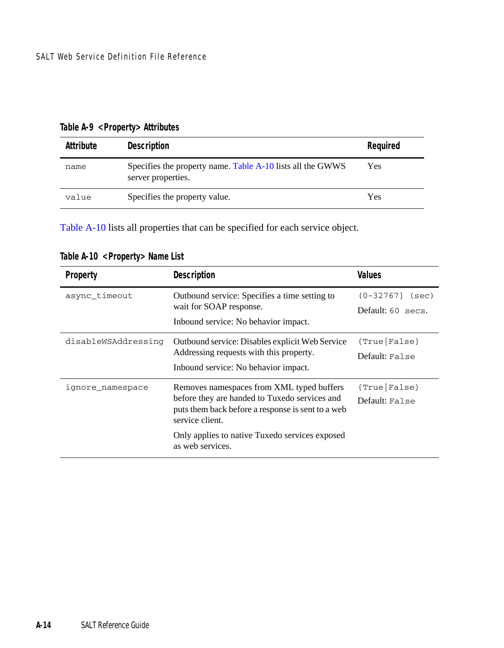| Attribute | <b>Description</b>                                                               | Reguired |
|-----------|----------------------------------------------------------------------------------|----------|
| name      | Specifies the property name. Table A-10 lists all the GWWS<br>server properties. | Yes      |
| value     | Specifies the property value.                                                    | Yes      |

**Table A-9 <Property> Attributes** 

[Table](#page-47-0) A-10 lists all properties that can be specified for each service object.

| Property            | <b>Description</b>                                                                                                                                                                                                                       | Values                                      |
|---------------------|------------------------------------------------------------------------------------------------------------------------------------------------------------------------------------------------------------------------------------------|---------------------------------------------|
| async_timeout       | Outbound service: Specifies a time setting to<br>wait for SOAP response.<br>Inbound service: No behavior impact.                                                                                                                         | $(0 - 32767]$<br>(sec)<br>Default: 60 secs. |
| disableWSAddressing | Outbound service: Disables explicit Web Service<br>Addressing requests with this property.<br>Inbound service: No behavior impact.                                                                                                       | ${True}$   False }<br>Default: False        |
| ignore_namespace    | Removes namespaces from XML typed buffers<br>before they are handed to Tuxedo services and<br>puts them back before a response is sent to a web<br>service client.<br>Only applies to native Tuxedo services exposed<br>as web services. | ${True}$ [False]<br>Default: False          |

<span id="page-47-0"></span>**Table A-10 <Property> Name List**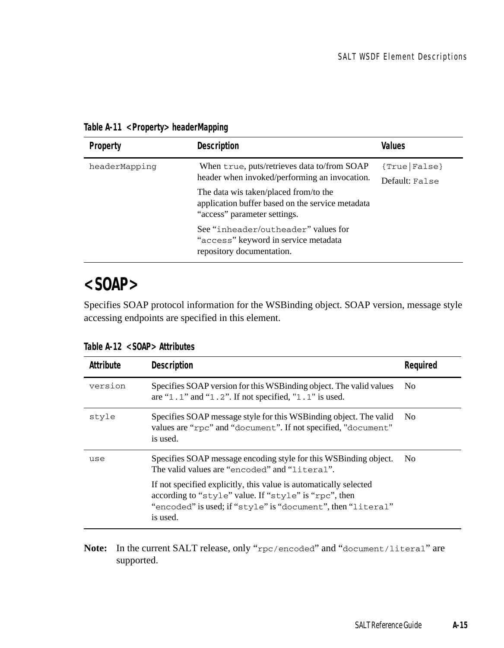| Property      | Description                                                                                                                                                                                                                                                      | Values                             |
|---------------|------------------------------------------------------------------------------------------------------------------------------------------------------------------------------------------------------------------------------------------------------------------|------------------------------------|
| headerMapping | When true, puts/retrieves data to/from SOAP<br>header when invoked/performing an invocation.<br>The data wis taken/placed from/to the<br>application buffer based on the service metadata<br>"access" parameter settings.<br>See "inheader/outheader" values for | ${True}$ [False]<br>Default: False |
|               | "access" keyword in service metadata<br>repository documentation.                                                                                                                                                                                                |                                    |

**Table A-11 <Property> headerMapping**

## <span id="page-48-0"></span>**<SOAP>**

Specifies SOAP protocol information for the WSBinding object. SOAP version, message style accessing endpoints are specified in this element.

| Attribute | Description                                                                                                                                                                                           | Reauired |
|-----------|-------------------------------------------------------------------------------------------------------------------------------------------------------------------------------------------------------|----------|
| version   | Specifies SOAP version for this WSB inding object. The valid values<br>are "1.1" and "1.2". If not specified, "1.1" is used.                                                                          | No.      |
| style     | Specifies SOAP message style for this WSB inding object. The valid<br>values are "rpc" and "document". If not specified, "document"<br>is used.                                                       | No.      |
| use       | Specifies SOAP message encoding style for this WSB inding object.<br>The valid values are "encoded" and "literal".                                                                                    | No.      |
|           | If not specified explicitly, this value is automatically selected<br>according to "style" value. If "style" is "rpc", then<br>"encoded" is used; if "style" is "document", then "literal"<br>is used. |          |

**Table A-12 <SOAP> Attributes** 

**Note:** In the current SALT release, only "rpc/encoded" and "document/literal" are supported.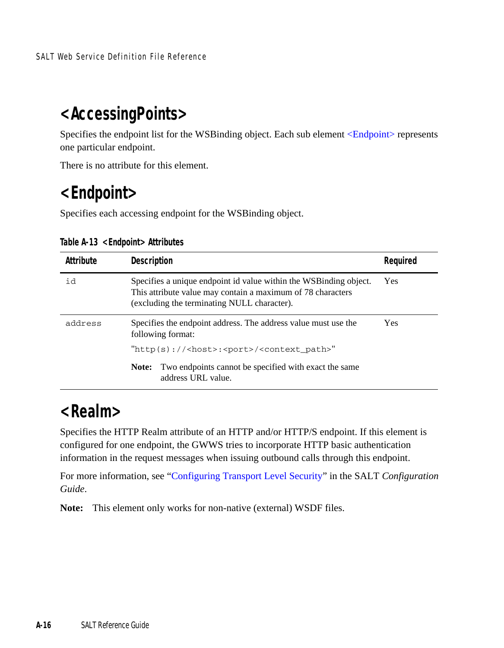## <span id="page-49-0"></span>**<AccessingPoints>**

Specifies the endpoint list for the WSBinding object. Each sub element [<Endpoint>](#page-49-1) represents one particular endpoint.

There is no attribute for this element.

## <span id="page-49-1"></span>**<Endpoint>**

Specifies each accessing endpoint for the WSBinding object.

| Attribute | Description                                                                                                                                                                      | Reguired   |
|-----------|----------------------------------------------------------------------------------------------------------------------------------------------------------------------------------|------------|
| id        | Specifies a unique endpoint id value within the WSB inding object.<br>This attribute value may contain a maximum of 78 characters<br>(excluding the terminating NULL character). | Yes        |
| address   | Specifies the endpoint address. The address value must use the<br>following format:                                                                                              | <b>Yes</b> |
|           | "http(s):// <host>:<port>/<context_path>"</context_path></port></host>                                                                                                           |            |
|           | Two endpoints cannot be specified with exact the same<br>Note:<br>address URL value.                                                                                             |            |

**Table A-13 <Endpoint> Attributes** 

## <span id="page-49-2"></span>**<Realm>**

Specifies the HTTP Realm attribute of an HTTP and/or HTTP/S endpoint. If this element is configured for one endpoint, the GWWS tries to incorporate HTTP basic authentication information in the request messages when issuing outbound calls through this endpoint.

For more information, see ["Configuring Transport Level Security"](../config/index.html) in the SALT *Configuration Guide*.

**Note:** This element only works for non-native (external) WSDF files.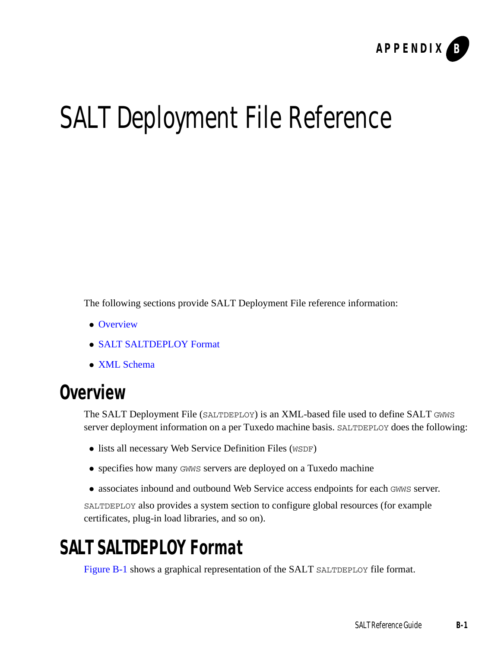

# SALT Deployment File Reference

The following sections provide SALT Deployment File reference information:

- [Overview](#page-50-0)
- [SALT SALTDEPLOY Format](#page-50-1)
- [XML Schema](#page-52-0)

# <span id="page-50-0"></span>**Overview**

The SALT Deployment File (SALTDEPLOY) is an XML-based file used to define SALT GWWS server deployment information on a per Tuxedo machine basis. SALTDEPLOY does the following:

- lists all necessary Web Service Definition Files (WSDF)
- specifies how many GWWS servers are deployed on a Tuxedo machine
- associates inbound and outbound Web Service access endpoints for each GWWS server.

SALTDEPLOY also provides a system section to configure global resources (for example certificates, plug-in load libraries, and so on).

# <span id="page-50-1"></span>**SALT SALTDEPLOY Format**

[Figure](#page-51-0) B-1 shows a graphical representation of the SALT SALTDEPLOY file format.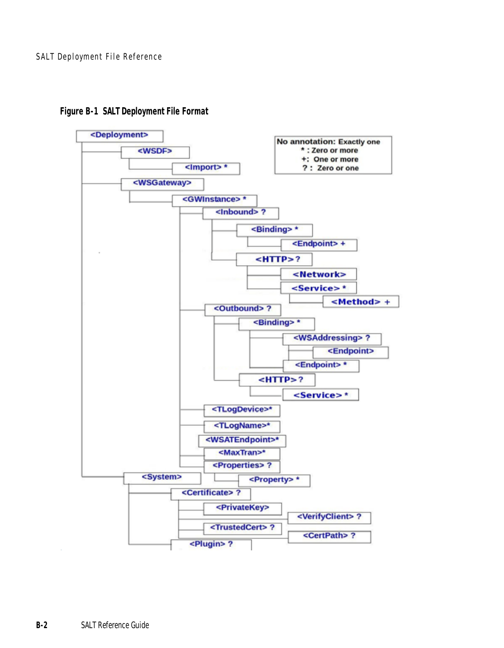

#### <span id="page-51-0"></span>**Figure B-1 SALT Deployment File Format**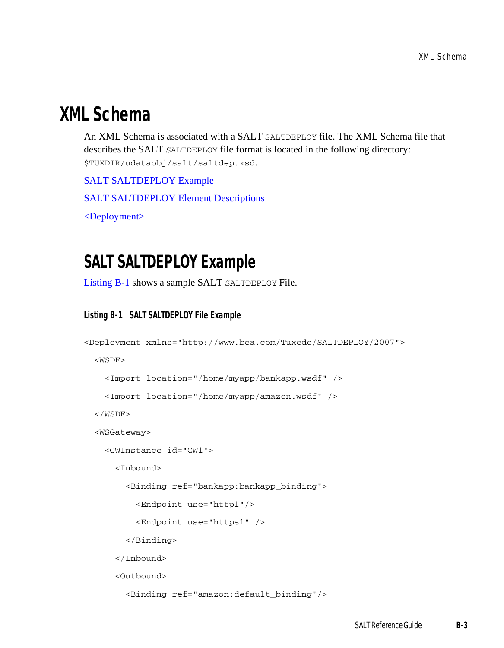## <span id="page-52-0"></span>**XML Schema**

An XML Schema is associated with a SALT SALTDEPLOY file. The XML Schema file that describes the SALT SALTDEPLOY file format is located in the following directory: \$TUXDIR/udataobj/salt/saltdep.xsd.

[SALT SALTDEPLOY Example](#page-52-1)

[SALT SALTDEPLOY Element Descriptions](#page-53-0)

[<Deployment>](#page-53-1)

## <span id="page-52-1"></span>**SALT SALTDEPLOY Example**

[Listing](#page-52-2) B-1 shows a sample SALT SALTDEPLOY File.

#### <span id="page-52-2"></span>**Listing B-1 SALT SALTDEPLOY File Example**

```
<Deployment xmlns="http://www.bea.com/Tuxedo/SALTDEPLOY/2007">
   <WSDF>
     <Import location="/home/myapp/bankapp.wsdf" />
     <Import location="/home/myapp/amazon.wsdf" />
   </WSDF>
   <WSGateway>
     <GWInstance id="GW1">
       <Inbound>
         <Binding ref="bankapp:bankapp_binding">
           <Endpoint use="http1"/>
           <Endpoint use="https1" />
         </Binding>
       </Inbound>
       <Outbound>
         <Binding ref="amazon:default_binding"/>
```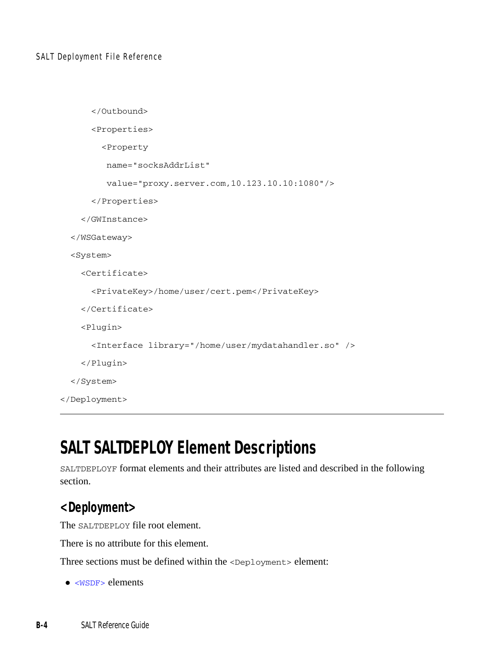```
 </Outbound>
       <Properties>
         <Property
          name="socksAddrList"
          value="proxy.server.com,10.123.10.10:1080"/>
       </Properties>
     </GWInstance>
   </WSGateway>
   <System>
     <Certificate>
       <PrivateKey>/home/user/cert.pem</PrivateKey>
     </Certificate>
     <Plugin>
       <Interface library="/home/user/mydatahandler.so" />
     </Plugin>
   </System>
</Deployment>
```
## <span id="page-53-0"></span>**SALT SALTDEPLOY Element Descriptions**

SALTDEPLOYF format elements and their attributes are listed and described in the following section.

## <span id="page-53-1"></span>**<Deployment>**

The SALTDEPLOY file root element.

There is no attribute for this element.

Three sections must be defined within the <Deployment> element:

 $\bullet$  [<WSDF>](#page-54-0) elements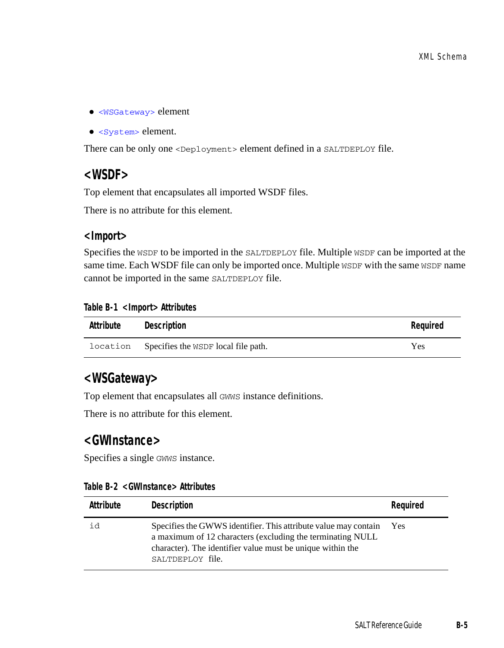- $\bullet$  [<WSGateway>](#page-54-1) element
- <system> element.

There can be only one <Deployment> element defined in a SALTDEPLOY file.

#### <span id="page-54-0"></span>**<WSDF>**

Top element that encapsulates all imported WSDF files.

There is no attribute for this element.

#### **<Import>**

Specifies the WSDF to be imported in the SALTDEPLOY file. Multiple WSDF can be imported at the same time. Each WSDF file can only be imported once. Multiple WSDF with the same WSDF name cannot be imported in the same SALTDEPLOY file.

#### **Table B-1 <Import> Attributes**

| Attribute | Description                                  | Reguired |
|-----------|----------------------------------------------|----------|
|           | location Specifies the WSDF local file path. | Yes      |

#### <span id="page-54-1"></span>**<WSGateway>**

Top element that encapsulates all GWWS instance definitions.

There is no attribute for this element.

#### **<GWInstance>**

Specifies a single GWWS instance.

|  | Table B-2 <gwinstance> Attributes</gwinstance> |  |
|--|------------------------------------------------|--|
|--|------------------------------------------------|--|

| Attribute | Description                                                                                                                                                                                                     | Required |
|-----------|-----------------------------------------------------------------------------------------------------------------------------------------------------------------------------------------------------------------|----------|
| id        | Specifies the GWWS identifier. This attribute value may contain<br>a maximum of 12 characters (excluding the terminating NULL<br>character). The identifier value must be unique within the<br>SALTDEPLOY file. | Yes      |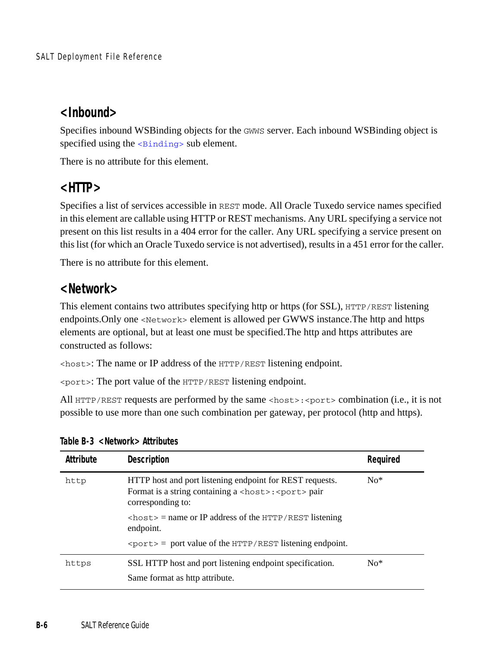## **<Inbound>**

Specifies inbound WSBinding objects for the GWWS server. Each inbound WSBinding object is specified using the <br/> <br/>sub element.

There is no attribute for this element.

## **<HTTP>**

Specifies a list of services accessible in REST mode. All Oracle Tuxedo service names specified in this element are callable using HTTP or REST mechanisms. Any URL specifying a service not present on this list results in a 404 error for the caller. Any URL specifying a service present on this list (for which an Oracle Tuxedo service is not advertised), results in a 451 error for the caller.

There is no attribute for this element.

## **<Network>**

This element contains two attributes specifying http or https (for SSL), HTTP/REST listening endpoints. Only one <Network> element is allowed per GWWS instance. The http and https elements are optional, but at least one must be specified.The http and https attributes are constructed as follows:

<host>: The name or IP address of the HTTP/REST listening endpoint.

<port>: The port value of the HTTP/REST listening endpoint.

All HTTP/REST requests are performed by the same <host>:<port> combination (i.e., it is not possible to use more than one such combination per gateway, per protocol (http and https).

| Attribute | Description                                                                                                                                         | Required |
|-----------|-----------------------------------------------------------------------------------------------------------------------------------------------------|----------|
| http      | HTTP host and port listening endpoint for REST requests.<br>Format is a string containing a <host>: <port> pair<br/>corresponding to:</port></host> | $No*$    |
|           | $\langle$ host> = name or IP address of the HTTP/REST listening<br>endpoint.                                                                        |          |
|           | $\epsilon$ $\gamma$ $\epsilon$ = port value of the HTTP/REST listening endpoint.                                                                    |          |
| https     | SSL HTTP host and port listening endpoint specification.                                                                                            | $No*$    |
|           | Same format as http attribute.                                                                                                                      |          |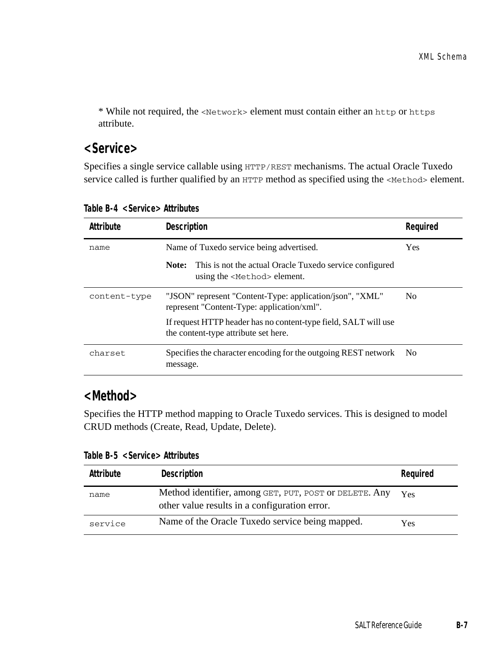\* While not required, the <Network> element must contain either an http or https attribute.

#### **<Service>**

Specifies a single service callable using HTTP/REST mechanisms. The actual Oracle Tuxedo service called is further qualified by an HTTP method as specified using the <Method> element.

| Attribute    | <b>Description</b>                                                                                       | Reguired       |
|--------------|----------------------------------------------------------------------------------------------------------|----------------|
| name         | Name of Tuxedo service being advertised.                                                                 | <b>Yes</b>     |
|              | This is not the actual Oracle Tuxedo service configured<br>Note:<br>using the <method> element.</method> |                |
| content-type | "JSON" represent "Content-Type: application/json", "XML"<br>represent "Content-Type: application/xml".   | N <sub>0</sub> |
|              | If request HTTP header has no content-type field, SALT will use<br>the content-type attribute set here.  |                |
| charset      | Specifies the character encoding for the outgoing REST network<br>message.                               | - No           |

**Table B-4 <Service> Attributes** 

## **<Method>**

Specifies the HTTP method mapping to Oracle Tuxedo services. This is designed to model CRUD methods (Create, Read, Update, Delete).

**Table B-5 <Service> Attributes** 

| Attribute | Description                                                                                             | Required |
|-----------|---------------------------------------------------------------------------------------------------------|----------|
| name      | Method identifier, among GET, PUT, POST or DELETE. Any<br>other value results in a configuration error. | Yes      |
| service   | Name of the Oracle Tuxedo service being mapped.                                                         | Yes      |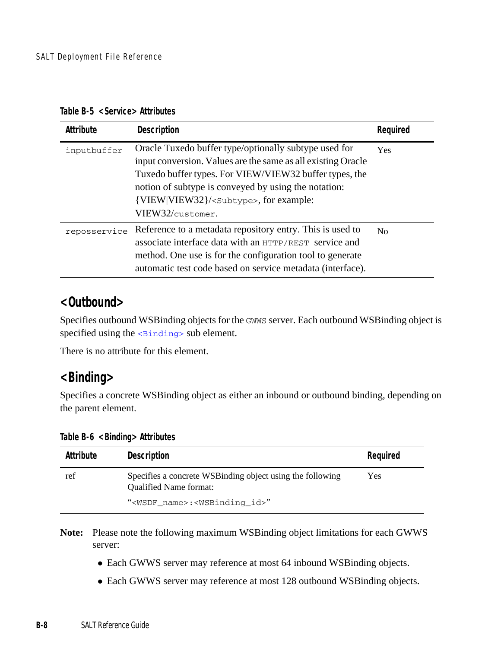| Table B-5 <service> Attributes</service> |  |  |
|------------------------------------------|--|--|
|------------------------------------------|--|--|

| Attribute    | Description                                                                                                                                                                                                                                                                                                      | Required       |
|--------------|------------------------------------------------------------------------------------------------------------------------------------------------------------------------------------------------------------------------------------------------------------------------------------------------------------------|----------------|
| inputbuffer  | Oracle Tuxedo buffer type/optionally subtype used for<br>input conversion. Values are the same as all existing Oracle<br>Tuxedo buffer types. For VIEW/VIEW32 buffer types, the<br>notion of subtype is conveyed by using the notation:<br>{VIEW VIEW32}/ <subtype>, for example:<br/>VIEW32/customer.</subtype> | <b>Yes</b>     |
| reposservice | Reference to a metadata repository entry. This is used to<br>associate interface data with an HTTP/REST service and<br>method. One use is for the configuration tool to generate<br>automatic test code based on service metadata (interface).                                                                   | N <sub>0</sub> |

#### **<Outbound>**

Specifies outbound WSBinding objects for the GWWS server. Each outbound WSBinding object is specified using the <br/> <br/>sub element.

There is no attribute for this element.

#### <span id="page-57-0"></span>**<Binding>**

Specifies a concrete WSBinding object as either an inbound or outbound binding, depending on the parent element.

| Attribute | Description                                                                                 | Reguired |
|-----------|---------------------------------------------------------------------------------------------|----------|
| ref       | Specifies a concrete WSB inding object using the following<br><b>Oualified Name format:</b> | Yes      |
|           | " <wsdf name="">:<wsbinding id="">"</wsbinding></wsdf>                                      |          |

**Table B-6 <Binding> Attributes** 

**Note:** Please note the following maximum WSBinding object limitations for each GWWS server:

- Each GWWS server may reference at most 64 inbound WSBinding objects.
- Each GWWS server may reference at most 128 outbound WSBinding objects.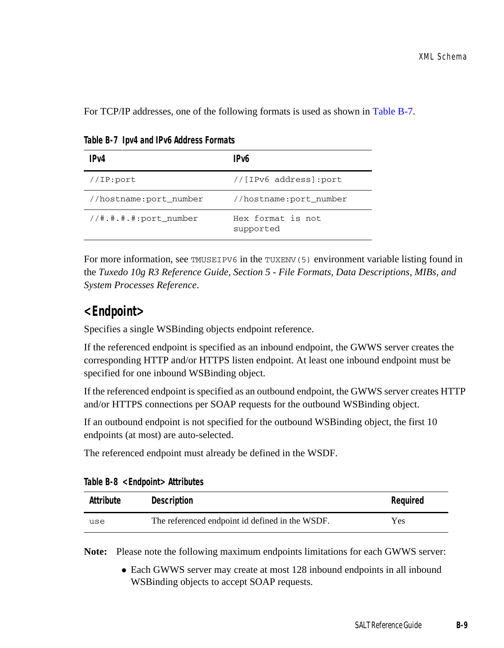For TCP/IP addresses, one of the following formats is used as shown in [Table](#page-58-0) B-7.

| IP <sub>V</sub> 4        | IP <sub>V</sub> 6              |
|--------------------------|--------------------------------|
| //IP:port                | //[IPv6 address]:port          |
| //hostname:port_number   | //hostname:port number         |
| $1/4$ .#.#.#:port number | Hex format is not<br>supported |

<span id="page-58-0"></span>**Table B-7 Ipv4 and IPv6 Address Formats**

For more information, see TMUSEIPV6 in the TUXENV(5) environment variable listing found in the *Tuxedo 10g R3 Reference Guide, Section 5 - File Formats, Data Descriptions, MIBs, and System Processes Reference*.

#### **<Endpoint>**

Specifies a single WSBinding objects endpoint reference.

If the referenced endpoint is specified as an inbound endpoint, the GWWS server creates the corresponding HTTP and/or HTTPS listen endpoint. At least one inbound endpoint must be specified for one inbound WSBinding object.

If the referenced endpoint is specified as an outbound endpoint, the GWWS server creates HTTP and/or HTTPS connections per SOAP requests for the outbound WSBinding object.

If an outbound endpoint is not specified for the outbound WSBinding object, the first 10 endpoints (at most) are auto-selected.

The referenced endpoint must already be defined in the WSDF.

| Attribute | Description                                     | Required |
|-----------|-------------------------------------------------|----------|
| use       | The referenced endpoint id defined in the WSDF. | Yes      |

**Table B-8 <Endpoint> Attributes** 

**Note:** Please note the following maximum endpoints limitations for each GWWS server:

• Each GWWS server may create at most 128 inbound endpoints in all inbound WSBinding objects to accept SOAP requests.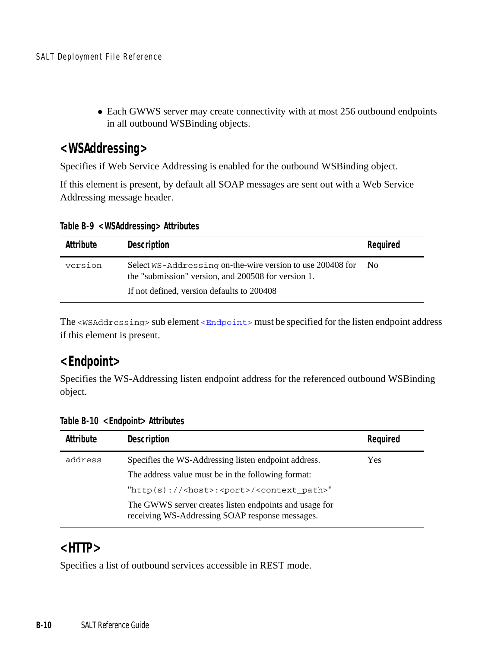• Each GWWS server may create connectivity with at most 256 outbound endpoints in all outbound WSBinding objects.

#### **<WSAddressing>**

Specifies if Web Service Addressing is enabled for the outbound WSBinding object.

If this element is present, by default all SOAP messages are sent out with a Web Service Addressing message header.

**Table B-9 <WSAddressing> Attributes** 

| Attribute | Description                                                                                                                                                     | Reguired |
|-----------|-----------------------------------------------------------------------------------------------------------------------------------------------------------------|----------|
| version   | Select WS-Addressing on-the-wire version to use 200408 for<br>the "submission" version, and 200508 for version 1.<br>If not defined, version defaults to 200408 | No.      |

The <WSAddressing> sub element [<Endpoint>](#page-59-0) must be specified for the listen endpoint address if this element is present.

## <span id="page-59-0"></span>**<Endpoint>**

Specifies the WS-Addressing listen endpoint address for the referenced outbound WSBinding object.

**Table B-10 <Endpoint> Attributes** 

| Attribute | <b>Description</b>                                                                                        | Required |
|-----------|-----------------------------------------------------------------------------------------------------------|----------|
| address   | Specifies the WS-Addressing listen endpoint address.                                                      | Yes      |
|           | The address value must be in the following format:                                                        |          |
|           | $"http(s):///<$ host>: <port>/<context path="">"</context></port>                                         |          |
|           | The GWWS server creates listen endpoints and usage for<br>receiving WS-Addressing SOAP response messages. |          |

#### **<HTTP>**

Specifies a list of outbound services accessible in REST mode.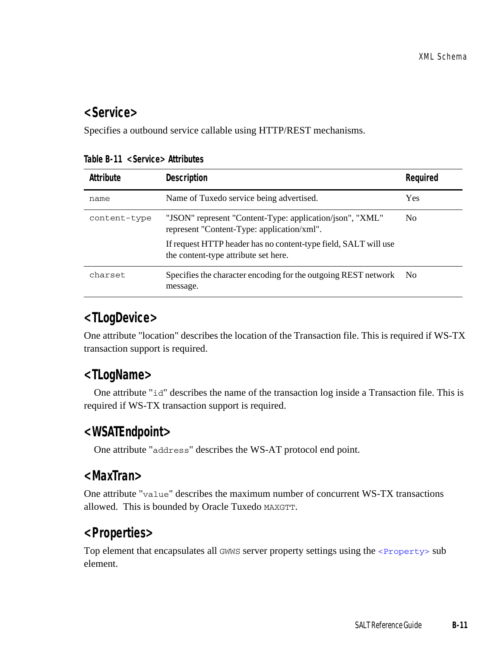#### **<Service>**

Specifies a outbound service callable using HTTP/REST mechanisms.

| Attribute    | <b>Description</b>                                                                                      | Reguired |
|--------------|---------------------------------------------------------------------------------------------------------|----------|
| name         | Name of Tuxedo service being advertised.                                                                | Yes      |
| content-type | "JSON" represent "Content-Type: application/json", "XML"<br>represent "Content-Type: application/xml".  | No.      |
|              | If request HTTP header has no content-type field, SALT will use<br>the content-type attribute set here. |          |
| charset.     | Specifies the character encoding for the outgoing REST network<br>message.                              | - No     |

**Table B-11 <Service> Attributes** 

## **<TLogDevice>**

One attribute "location" describes the location of the Transaction file. This is required if WS-TX transaction support is required.

## **<TLogName>**

 One attribute "id" describes the name of the transaction log inside a Transaction file. This is required if WS-TX transaction support is required.

## **<WSATEndpoint>**

One attribute "address" describes the WS-AT protocol end point.

#### **<MaxTran>**

One attribute "value" describes the maximum number of concurrent WS-TX transactions allowed. This is bounded by Oracle Tuxedo MAXGTT.

## **<Properties>**

Top element that encapsulates all GWWS server property settings using the  $\langle$ Property> sub element.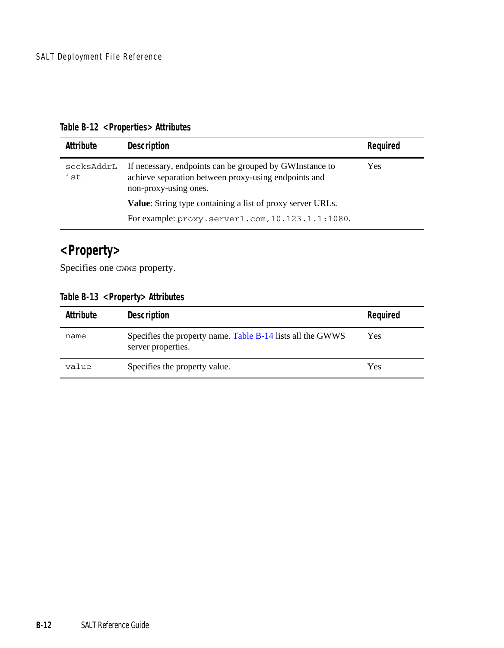|  | Table B-12 <properties> Attributes</properties> |  |
|--|-------------------------------------------------|--|
|--|-------------------------------------------------|--|

| Attribute         | Description                                                                                                                              | Reguired |
|-------------------|------------------------------------------------------------------------------------------------------------------------------------------|----------|
| socksAddrL<br>ist | If necessary, endpoints can be grouped by GWInstance to<br>achieve separation between proxy-using endpoints and<br>non-proxy-using ones. | Yes      |
|                   | Value: String type containing a list of proxy server URLs.                                                                               |          |
|                   | For example: proxy.server1.com, 10.123.1.1:1080.                                                                                         |          |

## <span id="page-61-0"></span>**<Property>**

Specifies one GWWS property.

**Table B-13 <Property> Attributes** 

| Attribute | Description                                                                      | Required |
|-----------|----------------------------------------------------------------------------------|----------|
| name      | Specifies the property name. Table B-14 lists all the GWWS<br>server properties. | Yes      |
| value     | Specifies the property value.                                                    | Yes      |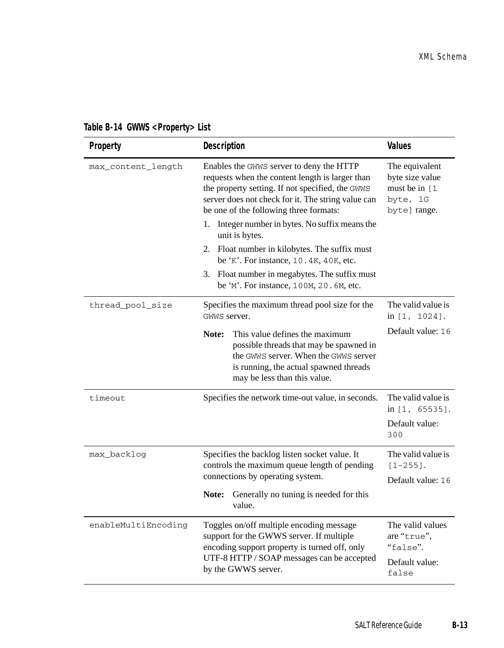<span id="page-62-0"></span>

| Table B-14 GWWS <property> List</property> |  |  |
|--------------------------------------------|--|--|
|--------------------------------------------|--|--|

| Property            | Description                                                                                                                                                                                                                                                                                                                                                                                                                                                                                                    | Values                                                                          |
|---------------------|----------------------------------------------------------------------------------------------------------------------------------------------------------------------------------------------------------------------------------------------------------------------------------------------------------------------------------------------------------------------------------------------------------------------------------------------------------------------------------------------------------------|---------------------------------------------------------------------------------|
| max_content_length  | Enables the GWWS server to deny the HTTP<br>requests when the content length is larger than<br>the property setting. If not specified, the GWWS<br>server does not check for it. The string value can<br>be one of the following three formats:<br>Integer number in bytes. No suffix means the<br>1.<br>unit is bytes.<br>2. Float number in kilobytes. The suffix must<br>be 'K'. For instance, 10.4K, 40K, etc.<br>3. Float number in megabytes. The suffix must<br>be 'M'. For instance, 100M, 20.6M, etc. | The equivalent<br>byte size value<br>must be in [1]<br>byte, 1G<br>byte] range. |
| thread_pool_size    | Specifies the maximum thread pool size for the<br>GWWS server.                                                                                                                                                                                                                                                                                                                                                                                                                                                 | The valid value is<br>in $[1, 1024]$ .                                          |
|                     | This value defines the maximum<br>Note:<br>possible threads that may be spawned in<br>the GWWS server. When the GWWS server<br>is running, the actual spawned threads<br>may be less than this value.                                                                                                                                                                                                                                                                                                          | Default value: 16                                                               |
| timeout             | Specifies the network time-out value, in seconds.                                                                                                                                                                                                                                                                                                                                                                                                                                                              | The valid value is<br>in [1, 65535].<br>Default value:<br>300                   |
| max_backlog         | Specifies the backlog listen socket value. It<br>controls the maximum queue length of pending<br>connections by operating system.                                                                                                                                                                                                                                                                                                                                                                              | The valid value is<br>$[1 - 255]$ .<br>Default value: 16                        |
|                     | Note:<br>Generally no tuning is needed for this<br>value.                                                                                                                                                                                                                                                                                                                                                                                                                                                      |                                                                                 |
| enableMultiEncoding | Toggles on/off multiple encoding message<br>support for the GWWS server. If multiple<br>encoding support property is turned off, only<br>UTF-8 HTTP / SOAP messages can be accepted<br>by the GWWS server.                                                                                                                                                                                                                                                                                                     | The valid values<br>are "true".<br>"false".<br>Default value:<br>false          |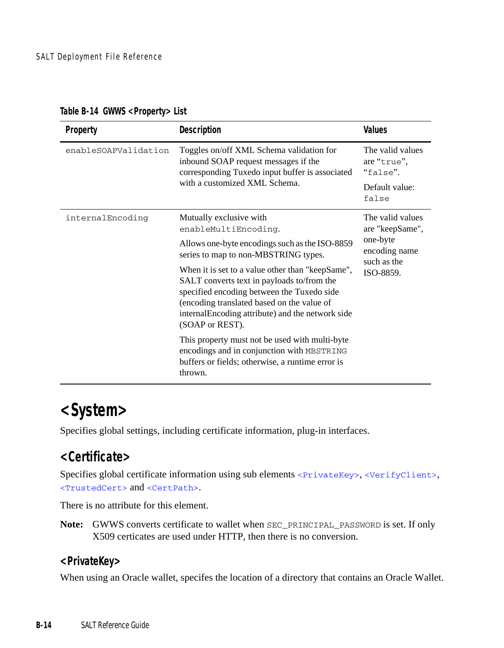| Property             | Description                                                                                                                                                                                                                                                                                                                                                                                                                                                                                                                                                                    | <b>Values</b>                                                                                |
|----------------------|--------------------------------------------------------------------------------------------------------------------------------------------------------------------------------------------------------------------------------------------------------------------------------------------------------------------------------------------------------------------------------------------------------------------------------------------------------------------------------------------------------------------------------------------------------------------------------|----------------------------------------------------------------------------------------------|
| enableSOAPValidation | Toggles on/off XML Schema validation for<br>inbound SOAP request messages if the<br>corresponding Tuxedo input buffer is associated<br>with a customized XML Schema.                                                                                                                                                                                                                                                                                                                                                                                                           | The valid values<br>are "true",<br>"false".<br>Default value:<br>false                       |
| internalEncoding     | Mutually exclusive with<br>enableMultiEncoding.<br>Allows one-byte encodings such as the ISO-8859<br>series to map to non-MBSTRING types.<br>When it is set to a value other than "keepSame",<br>SALT converts text in payloads to/from the<br>specified encoding between the Tuxedo side<br>(encoding translated based on the value of<br>internal Encoding attribute) and the network side<br>(SOAP or REST).<br>This property must not be used with multi-byte<br>encodings and in conjunction with MBSTRING<br>buffers or fields; otherwise, a runtime error is<br>thrown. | The valid values<br>are "keepSame",<br>one-byte<br>encoding name<br>such as the<br>ISO-8859. |

**Table B-14 GWWS <Property> List**

## <span id="page-63-0"></span>**<System>**

Specifies global settings, including certificate information, plug-in interfaces.

## <span id="page-63-2"></span>**<Certificate>**

Specifies global certificate information using sub elements [<PrivateKey>](#page-63-1), [<VerifyClient>](#page-64-0), [<TrustedCert>](#page-64-1) and [<CertPath>](#page-65-0).

There is no attribute for this element.

**Note:** GWWS converts certificate to wallet when SEC\_PRINCIPAL\_PASSWORD is set. If only X509 certicates are used under HTTP, then there is no conversion.

#### <span id="page-63-1"></span>**<PrivateKey>**

When using an Oracle wallet, specifes the location of a directory that contains an Oracle Wallet.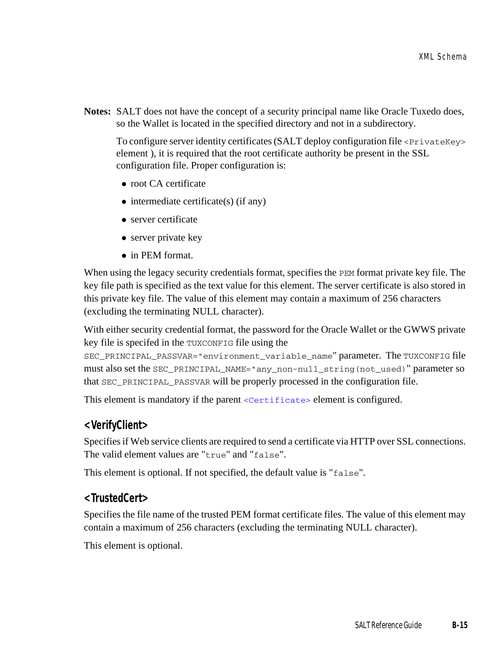**Notes:** SALT does not have the concept of a security principal name like Oracle Tuxedo does, so the Wallet is located in the specified directory and not in a subdirectory.

To configure server identity certificates (SALT deploy configuration file <privateKey> element ), it is required that the root certificate authority be present in the SSL configuration file. Proper configuration is:

- root CA certificate
- $\bullet$  intermediate certificate(s) (if any)
- $\bullet$  server certificate
- $\bullet$  server private key
- $\bullet$  in PEM format.

When using the legacy security credentials format, specifies the PEM format private key file. The key file path is specified as the text value for this element. The server certificate is also stored in this private key file. The value of this element may contain a maximum of 256 characters (excluding the terminating NULL character).

With either security credential format, the password for the Oracle Wallet or the GWWS private key file is specifed in the TUXCONFIG file using the

SEC\_PRINCIPAL\_PASSVAR="environment\_variable\_name" parameter. The TUXCONFIG file must also set the SEC\_PRINCIPAL\_NAME="any\_non-null\_string(not\_used)" parameter so that SEC\_PRINCIPAL\_PASSVAR will be properly processed in the configuration file.

This element is mandatory if the parent [<Certificate>](#page-63-2) element is configured.

#### <span id="page-64-0"></span>**<VerifyClient>**

Specifies if Web service clients are required to send a certificate via HTTP over SSL connections. The valid element values are "true" and "false".

This element is optional. If not specified, the default value is "false".

#### <span id="page-64-1"></span>**<TrustedCert>**

Specifies the file name of the trusted PEM format certificate files. The value of this element may contain a maximum of 256 characters (excluding the terminating NULL character).

This element is optional.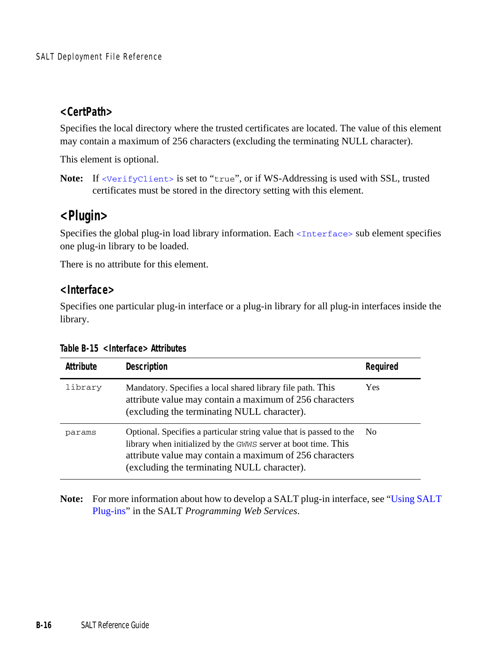#### <span id="page-65-0"></span>**<CertPath>**

Specifies the local directory where the trusted certificates are located. The value of this element may contain a maximum of 256 characters (excluding the terminating NULL character).

This element is optional.

Note: If <verifyClient> is set to "true", or if WS-Addressing is used with SSL, trusted certificates must be stored in the directory setting with this element.

## **<Plugin>**

Specifies the global plug-in load library information. Each [<Interface>](#page-65-1) sub element specifies one plug-in library to be loaded.

There is no attribute for this element.

#### <span id="page-65-1"></span>**<Interface>**

Specifies one particular plug-in interface or a plug-in library for all plug-in interfaces inside the library.

| Attribute | Description                                                                                                                                                                                                                                     | Required       |
|-----------|-------------------------------------------------------------------------------------------------------------------------------------------------------------------------------------------------------------------------------------------------|----------------|
| library   | Mandatory. Specifies a local shared library file path. This<br>attribute value may contain a maximum of 256 characters<br>(excluding the terminating NULL character).                                                                           | Yes            |
| params    | Optional. Specifies a particular string value that is passed to the<br>library when initialized by the GWWS server at boot time. This<br>attribute value may contain a maximum of 256 characters<br>(excluding the terminating NULL character). | N <sub>0</sub> |

**Table B-15 <Interface> Attributes** 

**Note:** For more information about how to develop a SALT plug-in interface, see ["Using SALT](../prog/plugin.html)  [Plug-ins"](../prog/plugin.html) in the SALT *Programming Web Services*.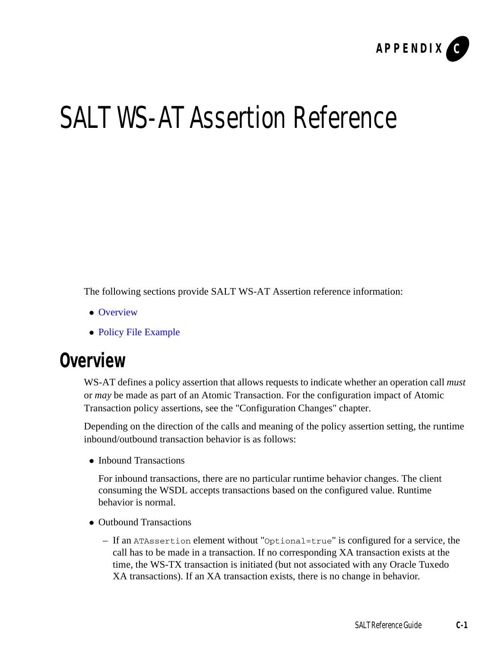

# SALT WS-AT Assertion Reference

The following sections provide SALT WS-AT Assertion reference information:

- [Overview](#page-66-0)
- [Policy File Example](#page-67-0)

## <span id="page-66-0"></span>**Overview**

WS-AT defines a policy assertion that allows requests to indicate whether an operation call *must* or *may* be made as part of an Atomic Transaction. For the configuration impact of Atomic Transaction policy assertions, see the "Configuration Changes" chapter.

Depending on the direction of the calls and meaning of the policy assertion setting, the runtime inbound/outbound transaction behavior is as follows:

• Inbound Transactions

For inbound transactions, there are no particular runtime behavior changes. The client consuming the WSDL accepts transactions based on the configured value. Runtime behavior is normal.

- Outbound Transactions
	- If an ATAssertion element without "Optional=true" is configured for a service, the call has to be made in a transaction. If no corresponding XA transaction exists at the time, the WS-TX transaction is initiated (but not associated with any Oracle Tuxedo XA transactions). If an XA transaction exists, there is no change in behavior.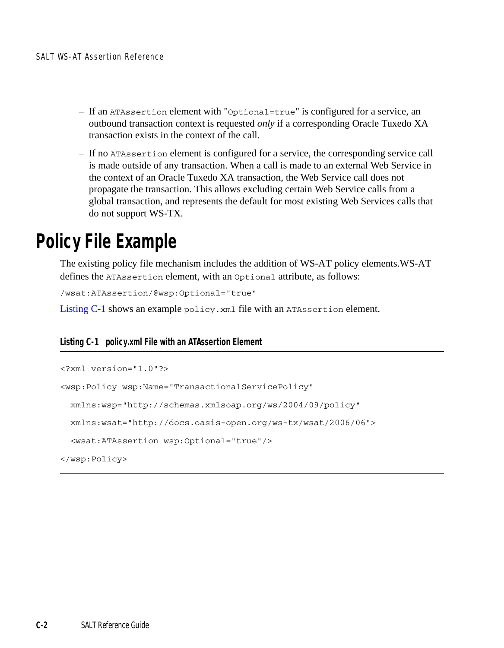- If an ATAssertion element with "Optional=true" is configured for a service, an outbound transaction context is requested *only* if a corresponding Oracle Tuxedo XA transaction exists in the context of the call.
- If no ATAssertion element is configured for a service, the corresponding service call is made outside of any transaction. When a call is made to an external Web Service in the context of an Oracle Tuxedo XA transaction, the Web Service call does not propagate the transaction. This allows excluding certain Web Service calls from a global transaction, and represents the default for most existing Web Services calls that do not support WS-TX.

# <span id="page-67-0"></span>**Policy File Example**

The existing policy file mechanism includes the addition of WS-AT policy elements.WS-AT defines the ATAssertion element, with an Optional attribute, as follows:

```
/wsat:ATAssertion/@wsp:Optional="true"
```
[Listing](#page-67-1) C-1 shows an example policy. xml file with an ATAssertion element.

#### <span id="page-67-1"></span>**Listing C-1 policy.xml File with an ATAssertion Element**

```
<?xml version="1.0"?>
<wsp:Policy wsp:Name="TransactionalServicePolicy"
  xmlns:wsp="http://schemas.xmlsoap.org/ws/2004/09/policy"
  xmlns:wsat="http://docs.oasis-open.org/ws-tx/wsat/2006/06">
   <wsat:ATAssertion wsp:Optional="true"/>
</wsp:Policy>
```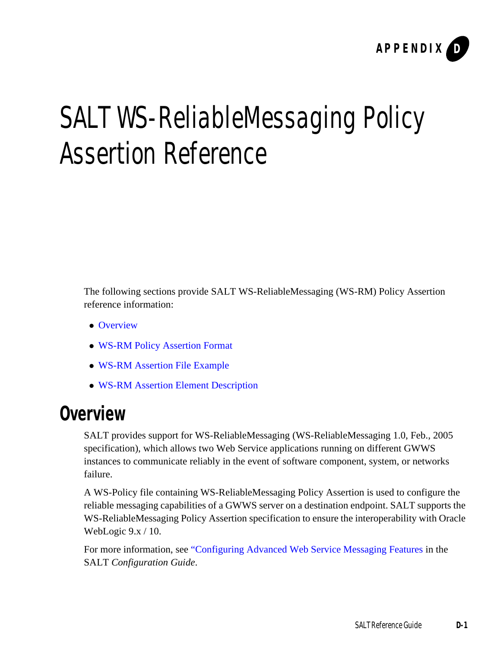

# <span id="page-68-0"></span>SALT WS-ReliableMessaging Policy Assertion Reference

The following sections provide SALT WS-ReliableMessaging (WS-RM) Policy Assertion reference information:

- [Overview](#page-68-1)
- [WS-RM Policy Assertion Format](#page-69-0)
- [WS-RM Assertion File Example](#page-69-1)
- [WS-RM Assertion Element Description](#page-70-0)

## <span id="page-68-1"></span>**Overview**

SALT provides support for WS-ReliableMessaging (WS-ReliableMessaging 1.0, Feb., 2005 specification), which allows two Web Service applications running on different GWWS instances to communicate reliably in the event of software component, system, or networks failure.

A WS-Policy file containing WS-ReliableMessaging Policy Assertion is used to configure the reliable messaging capabilities of a GWWS server on a destination endpoint. SALT supports the WS-ReliableMessaging Policy Assertion specification to ensure the interoperability with Oracle WebLogic 9.x / 10.

For more information, see ["Configuring Advanced Web Service Messaging Features](../config/config.html#wp1055943) in the SALT *Configuration Guide*.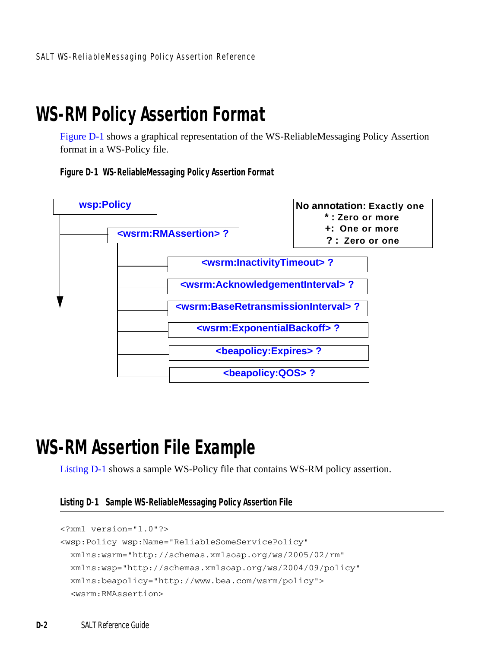# <span id="page-69-0"></span>**WS-RM Policy Assertion Format**

[Figure](#page-69-2) D-1 shows a graphical representation of the WS-ReliableMessaging Policy Assertion format in a WS-Policy file.

<span id="page-69-2"></span>**Figure D-1 WS-ReliableMessaging Policy Assertion Format**



# <span id="page-69-1"></span>**WS-RM Assertion File Example**

[Listing](#page-69-3) D-1 shows a sample WS-Policy file that contains WS-RM policy assertion.

<span id="page-69-3"></span>**Listing D-1 Sample WS-ReliableMessaging Policy Assertion File**

```
<?xml version="1.0"?>
<wsp:Policy wsp:Name="ReliableSomeServicePolicy"
 xmlns:wsrm="http://schemas.xmlsoap.org/ws/2005/02/rm"
 xmlns:wsp="http://schemas.xmlsoap.org/ws/2004/09/policy"
 xmlns:beapolicy="http://www.bea.com/wsrm/policy">
 <wsrm:RMAssertion>
```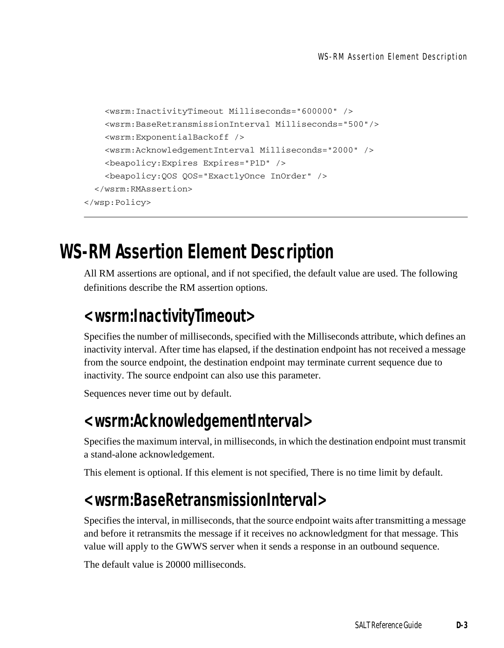```
<wsrm:InactivityTimeout Milliseconds="600000" />
   <wsrm:BaseRetransmissionInterval Milliseconds="500"/>
   <wsrm:ExponentialBackoff />
   <wsrm:AcknowledgementInterval Milliseconds="2000" />
   <beapolicy:Expires Expires="P1D" />
   <beapolicy:QOS QOS="ExactlyOnce InOrder" />
 </wsrm:RMAssertion>
</wsp:Policy>
```
# <span id="page-70-0"></span>**WS-RM Assertion Element Description**

All RM assertions are optional, and if not specified, the default value are used. The following definitions describe the RM assertion options.

## <span id="page-70-1"></span>**<wsrm:InactivityTimeout>**

Specifies the number of milliseconds, specified with the Milliseconds attribute, which defines an inactivity interval. After time has elapsed, if the destination endpoint has not received a message from the source endpoint, the destination endpoint may terminate current sequence due to inactivity. The source endpoint can also use this parameter.

Sequences never time out by default.

## <span id="page-70-2"></span>**<wsrm:AcknowledgementInterval>**

Specifies the maximum interval, in milliseconds, in which the destination endpoint must transmit a stand-alone acknowledgement.

This element is optional. If this element is not specified, There is no time limit by default.

## <span id="page-70-3"></span>**<wsrm:BaseRetransmissionInterval>**

Specifies the interval, in milliseconds, that the source endpoint waits after transmitting a message and before it retransmits the message if it receives no acknowledgment for that message. This value will apply to the GWWS server when it sends a response in an outbound sequence.

The default value is 20000 milliseconds.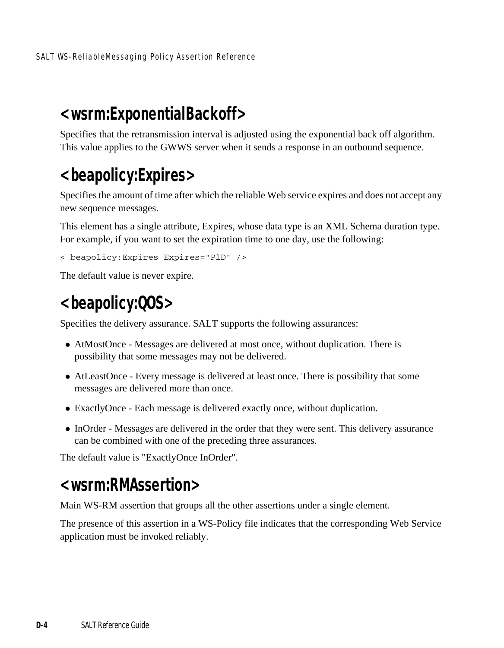## <span id="page-71-1"></span>**<wsrm:ExponentialBackoff>**

Specifies that the retransmission interval is adjusted using the exponential back off algorithm. This value applies to the GWWS server when it sends a response in an outbound sequence.

# <span id="page-71-2"></span>**<beapolicy:Expires>**

Specifies the amount of time after which the reliable Web service expires and does not accept any new sequence messages.

This element has a single attribute, Expires, whose data type is an XML Schema duration type. For example, if you want to set the expiration time to one day, use the following:

```
< beapolicy:Expires Expires="P1D" />
```
The default value is never expire.

## <span id="page-71-3"></span>**<beapolicy:QOS>**

Specifies the delivery assurance. SALT supports the following assurances:

- AtMostOnce Messages are delivered at most once, without duplication. There is possibility that some messages may not be delivered.
- AtLeastOnce Every message is delivered at least once. There is possibility that some messages are delivered more than once.
- ExactlyOnce Each message is delivered exactly once, without duplication.
- InOrder Messages are delivered in the order that they were sent. This delivery assurance can be combined with one of the preceding three assurances.

The default value is "ExactlyOnce InOrder".

## <span id="page-71-0"></span>**<wsrm:RMAssertion>**

Main WS-RM assertion that groups all the other assertions under a single element.

The presence of this assertion in a WS-Policy file indicates that the corresponding Web Service application must be invoked reliably.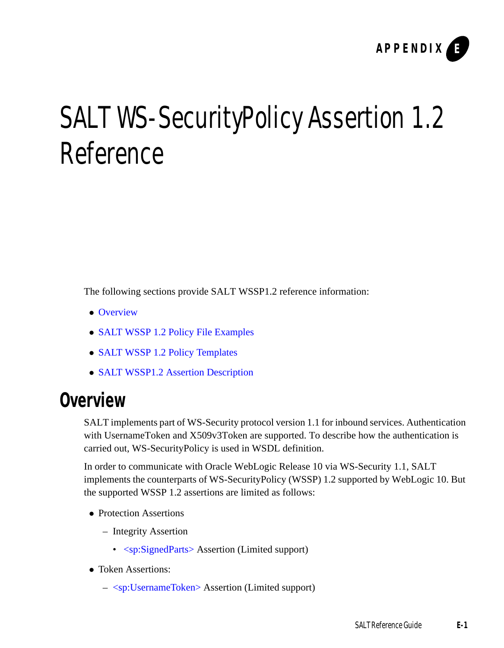

# SALT WS-SecurityPolicy Assertion 1.2 Reference

The following sections provide SALT WSSP1.2 reference information:

- [Overview](#page-72-0)
- [SALT WSSP 1.2 Policy File Examples](#page-73-0)
- [SALT WSSP 1.2 Policy Templates](#page-76-1)
- [SALT WSSP1.2 Assertion Description](#page-76-0)

### <span id="page-72-0"></span>**Overview**

SALT implements part of WS-Security protocol version 1.1 for inbound services. Authentication with UsernameToken and X509v3Token are supported. To describe how the authentication is carried out, WS-SecurityPolicy is used in WSDL definition.

In order to communicate with Oracle WebLogic Release 10 via WS-Security 1.1, SALT implements the counterparts of WS-SecurityPolicy (WSSP) 1.2 supported by WebLogic 10. But the supported WSSP 1.2 assertions are limited as follows:

- Protection Assertions
	- Integrity Assertion
		- [<sp:SignedParts>](#page-77-0) Assertion (Limited support)
- Token Assertions:
	- [<sp:UsernameToken>](#page-77-1) Assertion (Limited support)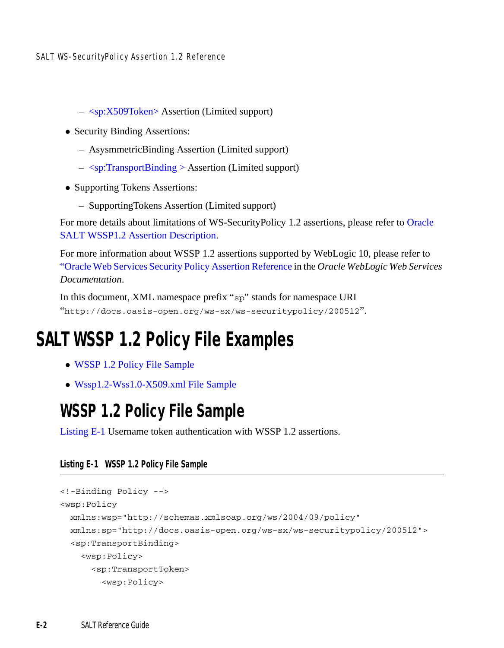SALT WS-SecurityPolicy Assertion 1.2 Reference

- [<sp:X509Token>](#page-77-2) Assertion (Limited support)
- Security Binding Assertions:
	- AsysmmetricBinding Assertion (Limited support)
	- [<sp:TransportBinding >](#page-79-0) Assertion (Limited support)
- Supporting Tokens Assertions:
	- SupportingTokens Assertion (Limited support)

For more details about limitations of WS-SecurityPolicy 1.2 assertions, please refer to Oracle SALT WSSP1.2 Assertion Description.

For more information about WSSP 1.2 assertions supported by WebLogic 10, please refer to ["Oracle Web Services Security Policy Assertion Reference](http://docs.oracle.com/middleware/1212/wls/WSREF/sec_assert.htm#g1077013) in the *Oracle WebLogic Web Services Documentation*.

In this document, XML namespace prefix "sp" stands for namespace URI "http://docs.oasis-open.org/ws-sx/ws-securitypolicy/200512".

# <span id="page-73-0"></span>**SALT WSSP 1.2 Policy File Examples**

- [WSSP 1.2 Policy File Sample](#page-73-1)
- [Wssp1.2-Wss1.0-X509.xml File Sample](#page-74-0)

### <span id="page-73-1"></span>**WSSP 1.2 Policy File Sample**

[Listing](#page-73-2) E-1 Username token authentication with WSSP 1.2 assertions.

#### <span id="page-73-2"></span>**Listing E-1 WSSP 1.2 Policy File Sample**

```
<!-Binding Policy -->
<wsp:Policy
 xmlns:wsp="http://schemas.xmlsoap.org/ws/2004/09/policy"
 xmlns:sp="http://docs.oasis-open.org/ws-sx/ws-securitypolicy/200512"> 
  <sp:TransportBinding>
    <wsp:Policy>
      <sp:TransportToken>
        <wsp:Policy>
```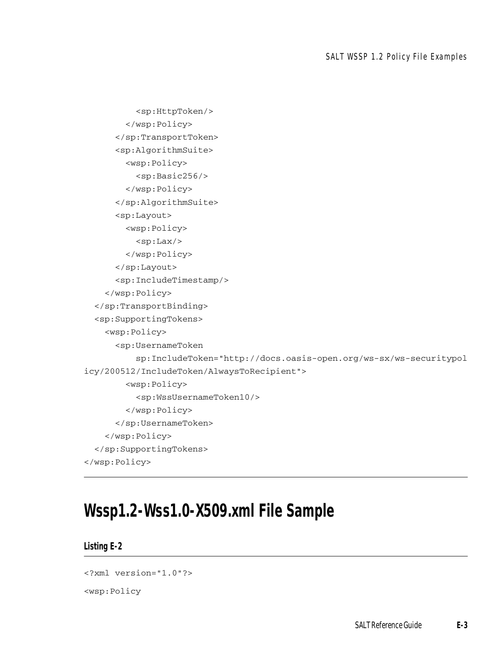```
<sp:HttpToken/>
        </wsp:Policy>
      </sp:TransportToken>
      <sp:AlgorithmSuite>
        <wsp:Policy>
          <sp:Basic256/>
        </wsp:Policy>
      </sp:AlgorithmSuite>
      <sp:Layout>
        <wsp:Policy>
          <sp:Lax/>
        </wsp:Policy>
      </sp:Layout>
      <sp:IncludeTimestamp/>
    </wsp:Policy>
 </sp:TransportBinding>
 <sp:SupportingTokens>
    <wsp:Policy>
      <sp:UsernameToken
          sp:IncludeToken="http://docs.oasis-open.org/ws-sx/ws-securitypol
icy/200512/IncludeToken/AlwaysToRecipient">
        <wsp:Policy>
          <sp:WssUsernameToken10/>
        </wsp:Policy>
      </sp:UsernameToken>
    </wsp:Policy>
 </sp:SupportingTokens>
</wsp:Policy>
```
### <span id="page-74-0"></span>**Wssp1.2-Wss1.0-X509.xml File Sample**

#### **Listing E-2**

```
<?xml version="1.0"?>
<wsp:Policy
```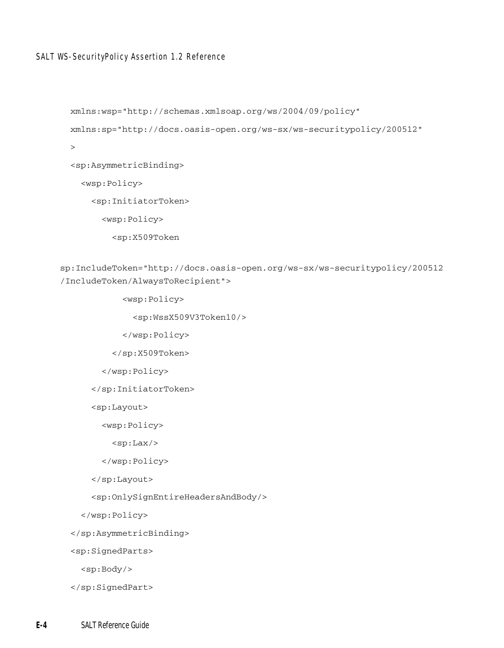#### SALT WS-SecurityPolicy Assertion 1.2 Reference

```
 xmlns:wsp="http://schemas.xmlsoap.org/ws/2004/09/policy"
 xmlns:sp="http://docs.oasis-open.org/ws-sx/ws-securitypolicy/200512"
 >
 <sp:AsymmetricBinding>
   <wsp:Policy>
     <sp:InitiatorToken>
       <wsp:Policy>
         <sp:X509Token
```
sp:IncludeToken="http://docs.oasis-open.org/ws-sx/ws-securitypolicy/200512 /IncludeToken/AlwaysToRecipient">

<wsp:Policy>

<sp:WssX509V3Token10/>

</wsp:Policy>

</sp:X509Token>

```
 </wsp:Policy>
```
</sp:InitiatorToken>

<sp:Layout>

<wsp:Policy>

```
<sp:Lax/>
```
</wsp:Policy>

</sp:Layout>

<sp:OnlySignEntireHeadersAndBody/>

</wsp:Policy>

</sp:AsymmetricBinding>

<sp:SignedParts>

<sp:Body/>

</sp:SignedPart>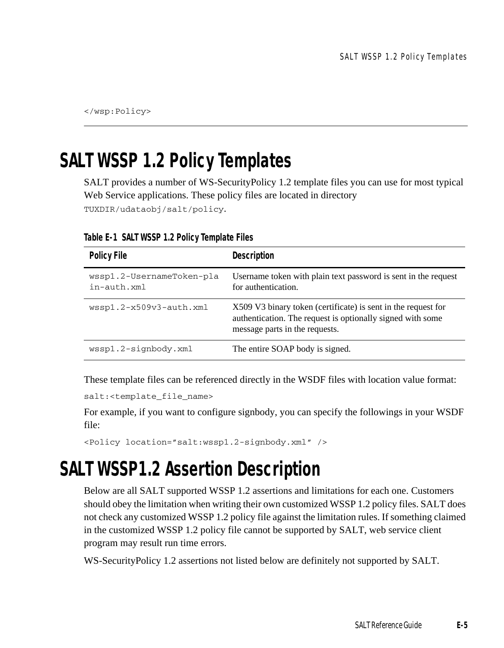</wsp:Policy>

# <span id="page-76-1"></span>**SALT WSSP 1.2 Policy Templates**

SALT provides a number of WS-SecurityPolicy 1.2 template files you can use for most typical Web Service applications. These policy files are located in directory TUXDIR/udataobj/salt/policy.

| <b>Policy File</b>                             | Description                                                                                                                                                   |
|------------------------------------------------|---------------------------------------------------------------------------------------------------------------------------------------------------------------|
| wssp1.2-UsernameToken-pla<br>$in$ -auth. $xml$ | Username token with plain text password is sent in the request<br>for authentication.                                                                         |
| $wssp1.2-x509v3$ -auth. $xml$                  | X509 V3 binary token (certificate) is sent in the request for<br>authentication. The request is optionally signed with some<br>message parts in the requests. |
| wssp1.2-signbody.xml                           | The entire SOAP body is signed.                                                                                                                               |

**Table E-1 SALT WSSP 1.2 Policy Template Files**

These template files can be referenced directly in the WSDF files with location value format:

```
salt:<template_file_name>
```
For example, if you want to configure signbody, you can specify the followings in your WSDF file:

```
<Policy location="salt:wssp1.2-signbody.xml" />
```
# <span id="page-76-0"></span>**SALT WSSP1.2 Assertion Description**

Below are all SALT supported WSSP 1.2 assertions and limitations for each one. Customers should obey the limitation when writing their own customized WSSP 1.2 policy files. SALT does not check any customized WSSP 1.2 policy file against the limitation rules. If something claimed in the customized WSSP 1.2 policy file cannot be supported by SALT, web service client program may result run time errors.

WS-SecurityPolicy 1.2 assertions not listed below are definitely not supported by SALT.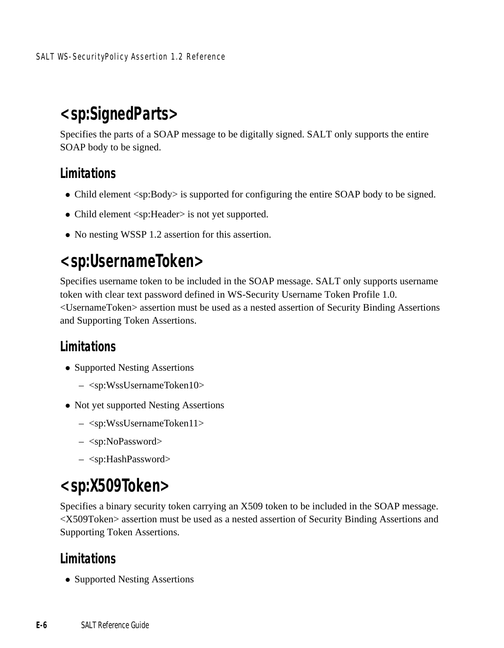# <span id="page-77-0"></span>**<sp:SignedParts>**

Specifies the parts of a SOAP message to be digitally signed. SALT only supports the entire SOAP body to be signed.

#### **Limitations**

- Child element <sp:Body> is supported for configuring the entire SOAP body to be signed.
- Child element <sp:Header> is not yet supported.
- No nesting WSSP 1.2 assertion for this assertion.

### <span id="page-77-1"></span>**<sp:UsernameToken>**

Specifies username token to be included in the SOAP message. SALT only supports username token with clear text password defined in WS-Security Username Token Profile 1.0. <UsernameToken> assertion must be used as a nested assertion of Security Binding Assertions and Supporting Token Assertions.

#### **Limitations**

- Supported Nesting Assertions
	- <sp:WssUsernameToken10>
- Not yet supported Nesting Assertions
	- <sp:WssUsernameToken11>
	- <sp:NoPassword>
	- <sp:HashPassword>

### <span id="page-77-2"></span>**<sp:X509Token>**

Specifies a binary security token carrying an X509 token to be included in the SOAP message. <X509Token> assertion must be used as a nested assertion of Security Binding Assertions and Supporting Token Assertions.

#### **Limitations**

• Supported Nesting Assertions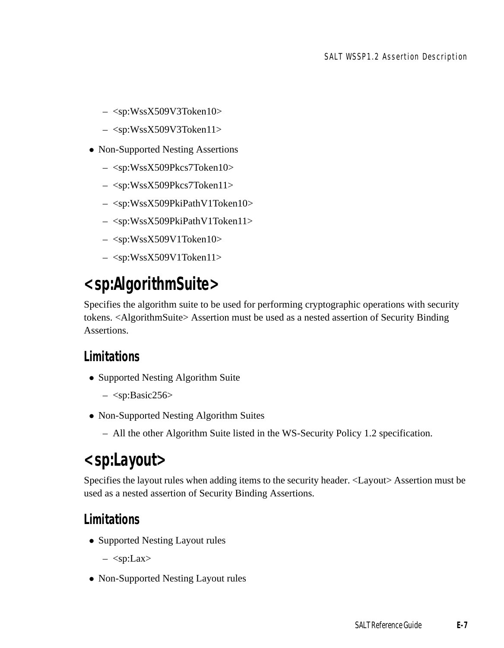- $-$  <sp:WssX509V3Token10>
- <sp:WssX509V3Token11>
- Non-Supported Nesting Assertions
	- <sp:WssX509Pkcs7Token10>
	- <sp:WssX509Pkcs7Token11>
	- <sp:WssX509PkiPathV1Token10>
	- <sp:WssX509PkiPathV1Token11>
	- <sp:WssX509V1Token10>
	- <sp:WssX509V1Token11>

# <span id="page-78-0"></span>**<sp:AlgorithmSuite>**

Specifies the algorithm suite to be used for performing cryptographic operations with security tokens. <AlgorithmSuite> Assertion must be used as a nested assertion of Security Binding Assertions.

#### **Limitations**

- Supported Nesting Algorithm Suite
	- $-$  <sp:Basic256>
- Non-Supported Nesting Algorithm Suites
	- All the other Algorithm Suite listed in the WS-Security Policy 1.2 specification.

### <span id="page-78-1"></span>**<sp:Layout>**

Specifies the layout rules when adding items to the security header. <Layout> Assertion must be used as a nested assertion of Security Binding Assertions.

#### **Limitations**

- Supported Nesting Layout rules
	- $-$  <sp:Lax>
- Non-Supported Nesting Layout rules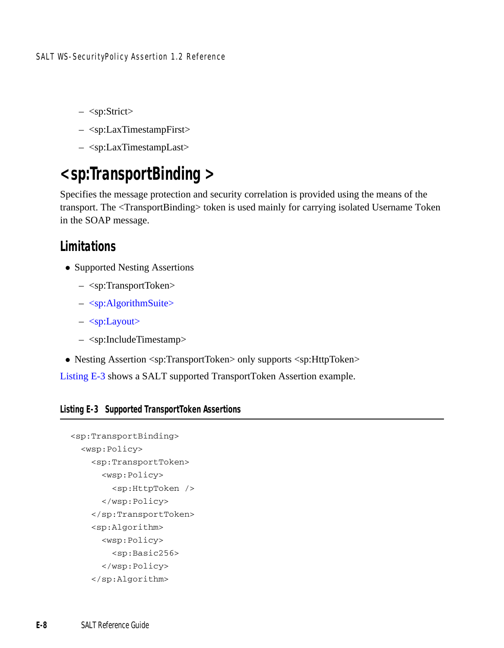- $-$  <sp:Strict>
- <sp:LaxTimestampFirst>
- <sp:LaxTimestampLast>

## <span id="page-79-0"></span>**<sp:TransportBinding >**

Specifies the message protection and security correlation is provided using the means of the transport. The <TransportBinding> token is used mainly for carrying isolated Username Token in the SOAP message.

#### **Limitations**

- Supported Nesting Assertions
	- <sp:TransportToken>
	- [<sp:AlgorithmSuite>](#page-78-0)
	- [<sp:Layout>](#page-78-1)
	- <sp:IncludeTimestamp>
- Nesting Assertion <sp:TransportToken> only supports <sp:HttpToken>

[Listing](#page-79-1) E-3 shows a SALT supported TransportToken Assertion example.

#### <span id="page-79-1"></span>**Listing E-3 Supported TransportToken Assertions**

```
<sp:TransportBinding>
 <wsp:Policy>
    <sp:TransportToken>
      <wsp:Policy>
        <sp:HttpToken />
      </wsp:Policy>
    </sp:TransportToken>
    <sp:Algorithm>
      <wsp:Policy>
        <sp:Basic256>
      </wsp:Policy>
    </sp:Algorithm>
```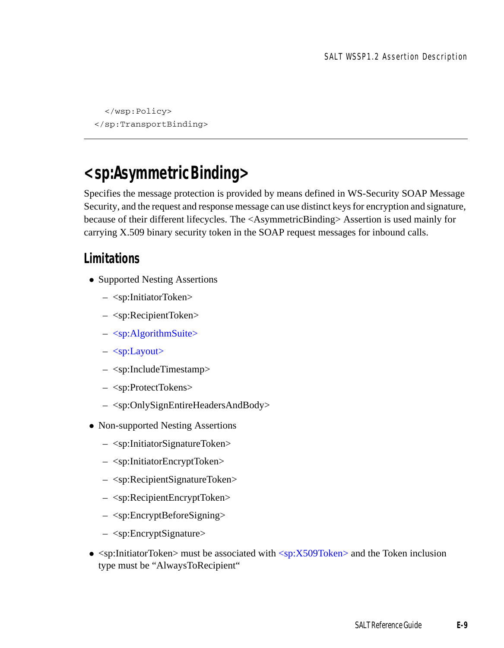</wsp:Policy> </sp:TransportBinding>

### <span id="page-80-0"></span>**<sp:AsymmetricBinding>**

Specifies the message protection is provided by means defined in WS-Security SOAP Message Security, and the request and response message can use distinct keys for encryption and signature, because of their different lifecycles. The <AsymmetricBinding> Assertion is used mainly for carrying X.509 binary security token in the SOAP request messages for inbound calls.

#### **Limitations**

- Supported Nesting Assertions
	- <sp:InitiatorToken>
	- <sp:RecipientToken>
	- $-$  [<sp:AlgorithmSuite>](#page-78-0)
	- [<sp:Layout>](#page-78-1)
	- <sp:IncludeTimestamp>
	- <sp:ProtectTokens>
	- <sp:OnlySignEntireHeadersAndBody>
- Non-supported Nesting Assertions
	- <sp:InitiatorSignatureToken>
	- <sp:InitiatorEncryptToken>
	- <sp:RecipientSignatureToken>
	- <sp:RecipientEncryptToken>
	- <sp:EncryptBeforeSigning>
	- <sp:EncryptSignature>
- $\leq$ sp:InitiatorToken> must be associated with  $\leq$ sp:X509Token> and the Token inclusion type must be "AlwaysToRecipient"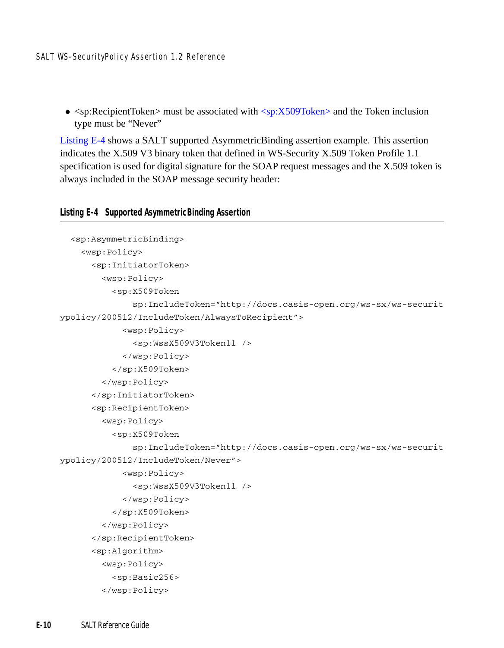•  $\leq$ sp:RecipientToken> must be associated with  $\leq$ sp:X509Token> and the Token inclusion type must be "Never"

[Listing](#page-81-0) E-4 shows a SALT supported AsymmetricBinding assertion example. This assertion indicates the X.509 V3 binary token that defined in WS-Security X.509 Token Profile 1.1 specification is used for digital signature for the SOAP request messages and the X.509 token is always included in the SOAP message security header:

#### <span id="page-81-0"></span>**Listing E-4 Supported AsymmetricBinding Assertion**

```
<sp:AsymmetricBinding>
    <wsp:Policy>
      <sp:InitiatorToken>
        <wsp:Policy>
          <sp:X509Token 
              sp:IncludeToken="http://docs.oasis-open.org/ws-sx/ws-securit
ypolicy/200512/IncludeToken/AlwaysToRecipient">
            <wsp:Policy>
              <sp:WssX509V3Token11 />
            </wsp:Policy>
          </sp:X509Token>
        </wsp:Policy>
      </sp:InitiatorToken>
      <sp:RecipientToken>
        <wsp:Policy>
          <sp:X509Token 
              sp:IncludeToken="http://docs.oasis-open.org/ws-sx/ws-securit
ypolicy/200512/IncludeToken/Never">
            <wsp:Policy>
              <sp:WssX509V3Token11 />
            </wsp:Policy>
          </sp:X509Token>
        </wsp:Policy>
      </sp:RecipientToken>
      <sp:Algorithm>
        <wsp:Policy>
          <sp:Basic256>
        </wsp:Policy>
```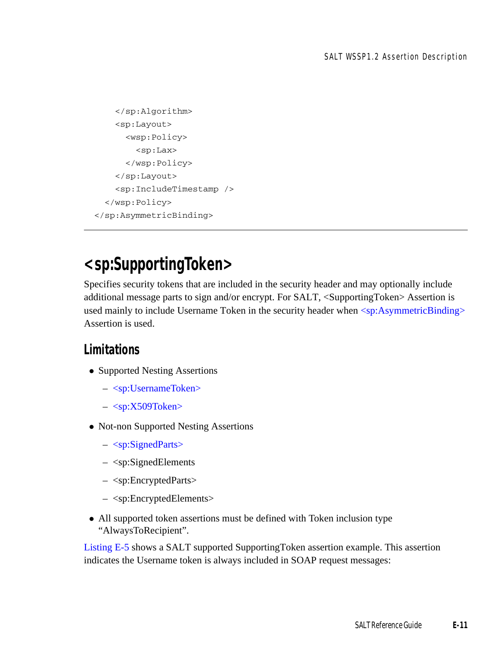```
</sp:Algorithm>
    <sp:Layout>
      <wsp:Policy>
        <sp:Lax>
      </wsp:Policy>
    </sp:Layout>
    <sp:IncludeTimestamp />
  </wsp:Policy>
</sp:AsymmetricBinding>
```
# **<sp:SupportingToken>**

Specifies security tokens that are included in the security header and may optionally include additional message parts to sign and/or encrypt. For SALT, <SupportingToken> Assertion is used mainly to include Username Token in the security header when [<sp:AsymmetricBinding>](#page-80-0) Assertion is used.

#### **Limitations**

- Supported Nesting Assertions
	- [<sp:UsernameToken>](#page-77-1)
	- $-$  [<sp:X509Token>](#page-77-2)
- Not-non Supported Nesting Assertions
	- [<sp:SignedParts>](#page-77-0)
	- <sp:SignedElements
	- <sp:EncryptedParts>
	- <sp:EncryptedElements>
- All supported token assertions must be defined with Token inclusion type "AlwaysToRecipient".

[Listing](#page-83-0) E-5 shows a SALT supported SupportingToken assertion example. This assertion indicates the Username token is always included in SOAP request messages: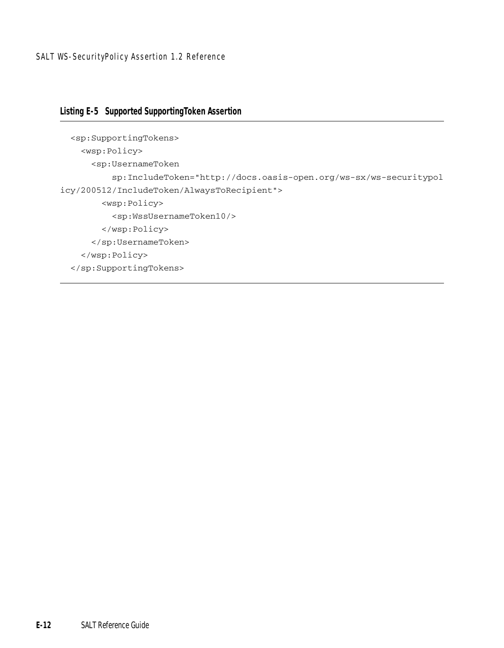#### <span id="page-83-0"></span>**Listing E-5 Supported SupportingToken Assertion**

```
<sp:SupportingTokens>
   <wsp:Policy>
      <sp:UsernameToken 
          sp:IncludeToken="http://docs.oasis-open.org/ws-sx/ws-securitypol
icy/200512/IncludeToken/AlwaysToRecipient">
        <wsp:Policy>
          <sp:WssUsernameToken10/>
        </wsp:Policy>
      </sp:UsernameToken>
    </wsp:Policy>
  </sp:SupportingTokens>
```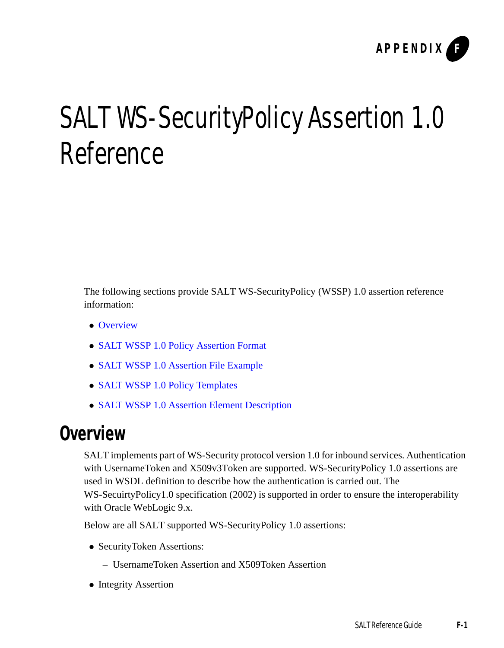

# SALT WS-SecurityPolicy Assertion 1.0 Reference

The following sections provide SALT WS-SecurityPolicy (WSSP) 1.0 assertion reference information:

- [Overview](#page-84-0)
- [SALT WSSP 1.0 Policy Assertion Format](#page-85-0)
- [SALT WSSP 1.0 Assertion File Example](#page-86-0)
- [SALT WSSP 1.0 Policy Templates](#page-86-1)
- [SALT WSSP 1.0 Assertion Element Description](#page-87-0)

### <span id="page-84-0"></span>**Overview**

SALT implements part of WS-Security protocol version 1.0 for inbound services. Authentication with UsernameToken and X509v3Token are supported. WS-SecurityPolicy 1.0 assertions are used in WSDL definition to describe how the authentication is carried out. The WS-SecuirtyPolicy1.0 specification (2002) is supported in order to ensure the interoperability with Oracle WebLogic 9.x.

Below are all SALT supported WS-SecurityPolicy 1.0 assertions:

- SecurityToken Assertions:
	- UsernameToken Assertion and X509Token Assertion
- Integrity Assertion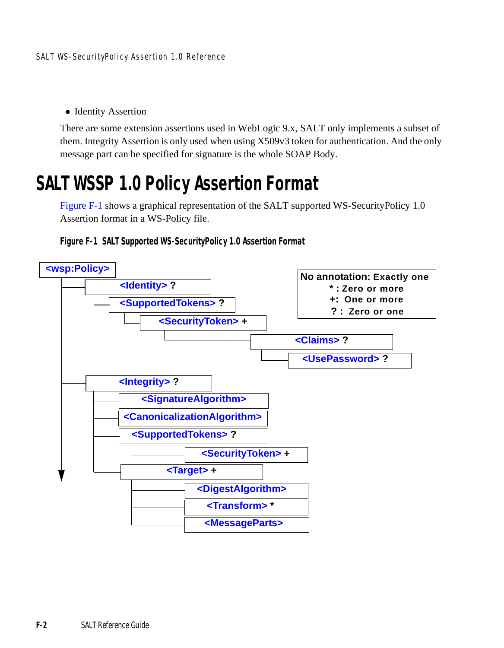• Identity Assertion

There are some extension assertions used in WebLogic 9.x, SALT only implements a subset of them. Integrity Assertion is only used when using X509v3 token for authentication. And the only message part can be specified for signature is the whole SOAP Body.

# <span id="page-85-0"></span>**SALT WSSP 1.0 Policy Assertion Format**

[Figure](#page-85-1) F-1 shows a graphical representation of the SALT supported WS-SecurityPolicy 1.0 Assertion format in a WS-Policy file.



<span id="page-85-1"></span>**Figure F-1 SALT Supported WS-SecurityPolicy 1.0 Assertion Format**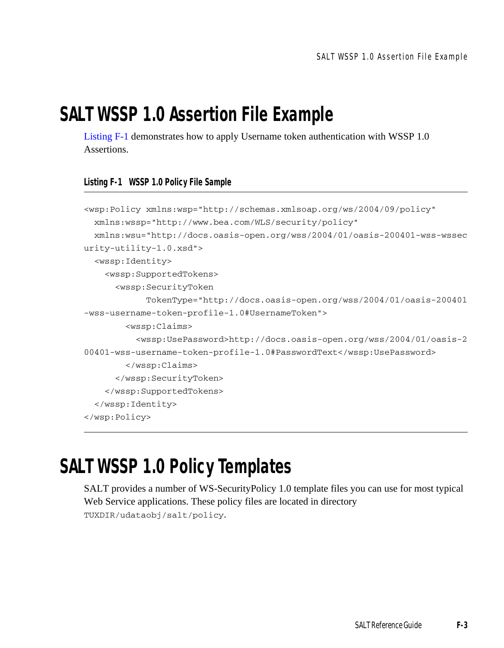# <span id="page-86-0"></span>**SALT WSSP 1.0 Assertion File Example**

[Listing](#page-86-2) F-1 demonstrates how to apply Username token authentication with WSSP 1.0 Assertions.

#### <span id="page-86-2"></span>**Listing F-1 WSSP 1.0 Policy File Sample**

```
<wsp:Policy xmlns:wsp="http://schemas.xmlsoap.org/ws/2004/09/policy"
  xmlns:wssp="http://www.bea.com/WLS/security/policy"
  xmlns:wsu="http://docs.oasis-open.org/wss/2004/01/oasis-200401-wss-wssec
urity-utility-1.0.xsd">
  <wssp:Identity>
    <wssp:SupportedTokens>
      <wssp:SecurityToken 
            TokenType="http://docs.oasis-open.org/wss/2004/01/oasis-200401
-wss-username-token-profile-1.0#UsernameToken">
        <wssp:Claims>
          <wssp:UsePassword>http://docs.oasis-open.org/wss/2004/01/oasis-2
00401-wss-username-token-profile-1.0#PasswordText</wssp:UsePassword>
        </wssp:Claims>
      </wssp:SecurityToken>
    </wssp:SupportedTokens>
  </wssp:Identity>
</wsp:Policy>
```
# <span id="page-86-1"></span>**SALT WSSP 1.0 Policy Templates**

SALT provides a number of WS-SecurityPolicy 1.0 template files you can use for most typical Web Service applications. These policy files are located in directory TUXDIR/udataobj/salt/policy.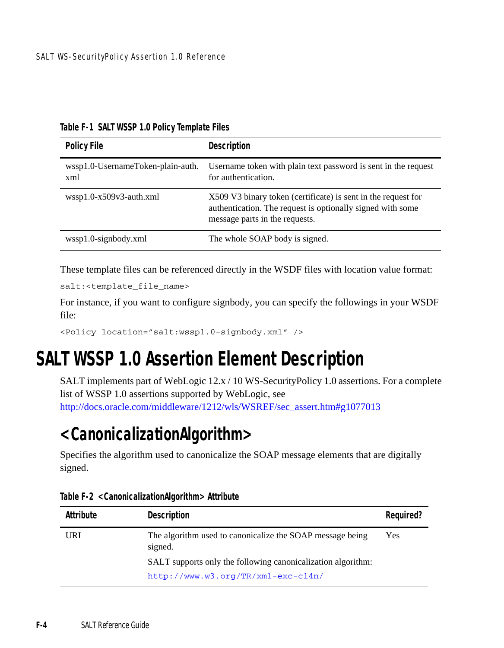| <b>Policy File</b>                       | Description                                                                                                                                                   |
|------------------------------------------|---------------------------------------------------------------------------------------------------------------------------------------------------------------|
| wssp1.0-UsernameToken-plain-auth.<br>xml | Username token with plain text password is sent in the request<br>for authentication.                                                                         |
| $wspl.0-x509v3$ -auth.xml                | X509 V3 binary token (certificate) is sent in the request for<br>authentication. The request is optionally signed with some<br>message parts in the requests. |
| wssp1.0-signbody.xml                     | The whole SOAP body is signed.                                                                                                                                |

**Table F-1 SALT WSSP 1.0 Policy Template Files**

These template files can be referenced directly in the WSDF files with location value format:

```
salt:<template_file_name>
```
For instance, if you want to configure signbody, you can specify the followings in your WSDF file:

```
<Policy location="salt:wssp1.0-signbody.xml" />
```
# <span id="page-87-0"></span>**SALT WSSP 1.0 Assertion Element Description**

SALT implements part of WebLogic 12.x / 10 WS-SecurityPolicy 1.0 assertions. For a complete list of WSSP 1.0 assertions supported by WebLogic, see [http://docs.oracle.com/middleware/1212/wls/WSREF/sec\\_assert.htm#g1077013](http://docs.oracle.com/middleware/1212/wls/WSREF/sec_assert.htm#g1077013)

# <span id="page-87-1"></span>**<CanonicalizationAlgorithm>**

Specifies the algorithm used to canonicalize the SOAP message elements that are digitally signed.

| Attribute | Description                                                          | Reguired? |
|-----------|----------------------------------------------------------------------|-----------|
| URI       | The algorithm used to canonicalize the SOAP message being<br>signed. | Yes       |
|           | SALT supports only the following canonicalization algorithm:         |           |
|           | http://www.w3.org/TR/xml-exc-c14n/                                   |           |

**Table F-2 <CanonicalizationAlgorithm> Attribute**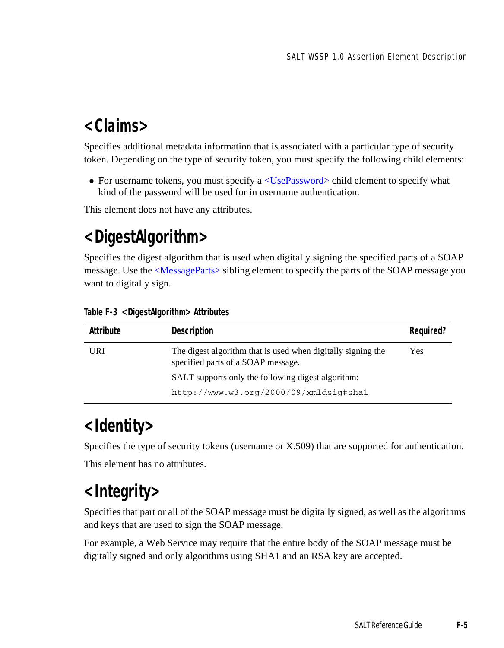# <span id="page-88-3"></span>**<Claims>**

Specifies additional metadata information that is associated with a particular type of security token. Depending on the type of security token, you must specify the following child elements:

• For username tokens, you must specify a  $\langle$ UsePassword $\rangle$  child element to specify what kind of the password will be used for in username authentication.

This element does not have any attributes.

# <span id="page-88-1"></span>**<DigestAlgorithm>**

Specifies the digest algorithm that is used when digitally signing the specified parts of a SOAP message. Use the [<MessageParts>](#page-89-1) sibling element to specify the parts of the SOAP message you want to digitally sign.

| Attribute | Description                                                                                        | Required? |
|-----------|----------------------------------------------------------------------------------------------------|-----------|
| URI       | The digest algorithm that is used when digitally signing the<br>specified parts of a SOAP message. | Yes       |
|           | SALT supports only the following digest algorithm:                                                 |           |
|           | http://www.w3.org/2000/09/xmldsig#sha1                                                             |           |

#### **Table F-3 <DigestAlgorithm> Attributes**

### <span id="page-88-2"></span>**<Identity>**

Specifies the type of security tokens (username or X.509) that are supported for authentication. This element has no attributes.

# <span id="page-88-0"></span>**<Integrity>**

Specifies that part or all of the SOAP message must be digitally signed, as well as the algorithms and keys that are used to sign the SOAP message.

For example, a Web Service may require that the entire body of the SOAP message must be digitally signed and only algorithms using SHA1 and an RSA key are accepted.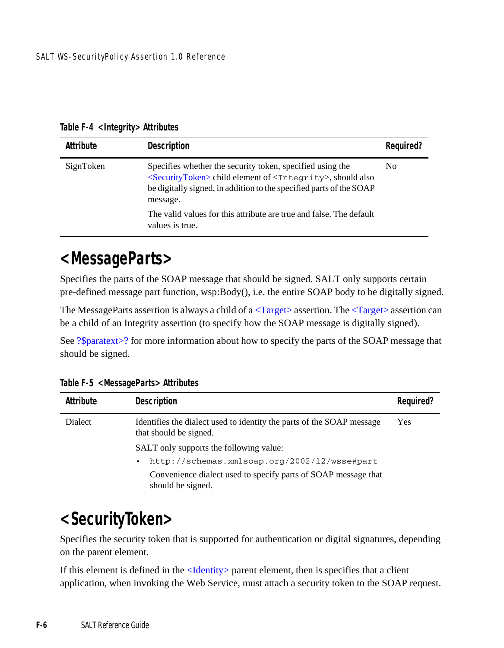| Attribute | Description                                                                                                                                                                                                                             | Reguired?      |
|-----------|-----------------------------------------------------------------------------------------------------------------------------------------------------------------------------------------------------------------------------------------|----------------|
| SignToken | Specifies whether the security token, specified using the<br><securitytoken> child element of <integrity>, should also<br/>be digitally signed, in addition to the specified parts of the SOAP<br/>message.</integrity></securitytoken> | N <sub>0</sub> |
|           | The valid values for this attribute are true and false. The default<br>values is true.                                                                                                                                                  |                |

**Table F-4 <Integrity> Attributes**

### <span id="page-89-1"></span>**<MessageParts>**

Specifies the parts of the SOAP message that should be signed. SALT only supports certain pre-defined message part function, wsp:Body(), i.e. the entire SOAP body to be digitally signed.

The MessageParts assertion is always a child of a  $\langle Target \rangle$  assertion. The  $\langle Target \rangle$  assertion can be a child of an Integrity assertion (to specify how the SOAP message is digitally signed).

See [?\\$paratext>?](#page-92-1) for more information about how to specify the parts of the SOAP message that should be signed.

| Attribute | Description                                                                                     | Reguired? |
|-----------|-------------------------------------------------------------------------------------------------|-----------|
| Dialect   | Identifies the dialect used to identity the parts of the SOAP message<br>that should be signed. | Yes       |
|           | SALT only supports the following value:                                                         |           |
|           | http://schemas.xmlsoap.org/2002/12/wsse#part<br>٠                                               |           |
|           | Convenience dialect used to specify parts of SOAP message that<br>should be signed.             |           |

**Table F-5 <MessageParts> Attributes**

### <span id="page-89-0"></span>**<SecurityToken>**

Specifies the security token that is supported for authentication or digital signatures, depending on the parent element.

If this element is defined in the [<Identity>](#page-88-2) parent element, then is specifies that a client application, when invoking the Web Service, must attach a security token to the SOAP request.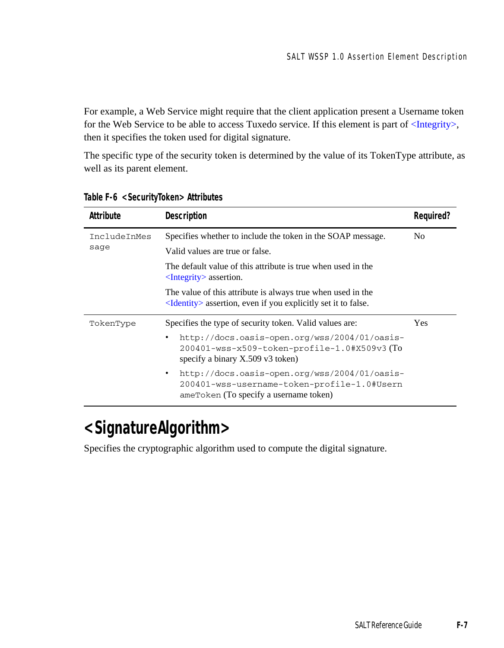For example, a Web Service might require that the client application present a Username token for the Web Service to be able to access Tuxedo service. If this element is part of [<Integrity>,](#page-88-0) then it specifies the token used for digital signature.

The specific type of the security token is determined by the value of its TokenType attribute, as well as its parent element.

| Attribute    | <b>Description</b>                                                                                                                          | Required? |
|--------------|---------------------------------------------------------------------------------------------------------------------------------------------|-----------|
| IncludeInMes | Specifies whether to include the token in the SOAP message.                                                                                 | No.       |
| sage         | Valid values are true or false.                                                                                                             |           |
|              | The default value of this attribute is true when used in the<br>$\langle$ Integrity $\rangle$ assertion.                                    |           |
|              | The value of this attribute is always true when used in the<br>$\leq$ Identity assertion, even if you explicitly set it to false.           |           |
| TokenType    | Specifies the type of security token. Valid values are:                                                                                     | Yes       |
|              | http://docs.oasis-open.org/wss/2004/01/oasis-<br>٠<br>200401-wss-x509-token-profile-1.0#X509v3(To<br>specify a binary X.509 v3 token)       |           |
|              | http://docs.oasis-open.org/wss/2004/01/oasis-<br>٠<br>200401-wss-username-token-profile-1.0#Usern<br>ameToken (To specify a username token) |           |

**Table F-6 <SecurityToken> Attributes**

# <span id="page-90-0"></span>**<SignatureAlgorithm>**

Specifies the cryptographic algorithm used to compute the digital signature.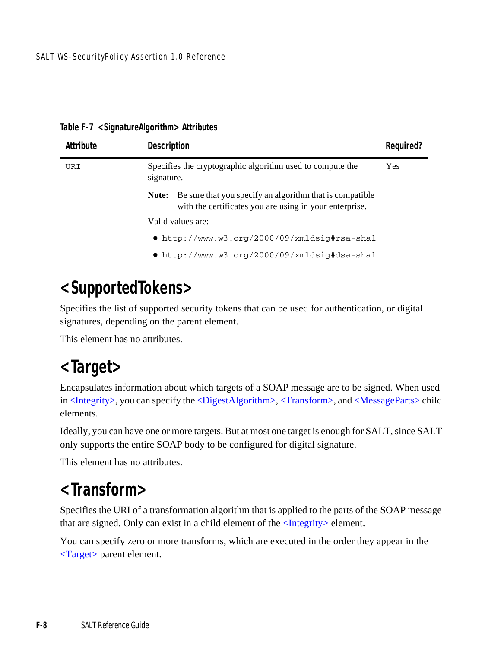| Attribute | <b>Description</b>                                                                                                            | Reguired?  |
|-----------|-------------------------------------------------------------------------------------------------------------------------------|------------|
| URI       | Specifies the cryptographic algorithm used to compute the<br>signature.                                                       | <b>Yes</b> |
|           | Be sure that you specify an algorithm that is compatible.<br>Note:<br>with the certificates you are using in your enterprise. |            |
|           | Valid values are:                                                                                                             |            |
|           | • http://www.w3.org/2000/09/xmldsig#rsa-shal                                                                                  |            |
|           | $\bullet$ http://www.w3.org/2000/09/xmldsig#dsa-shal                                                                          |            |

**Table F-7 <SignatureAlgorithm> Attributes**

# <span id="page-91-2"></span>**<SupportedTokens>**

Specifies the list of supported security tokens that can be used for authentication, or digital signatures, depending on the parent element.

This element has no attributes.

# <span id="page-91-0"></span>**<Target>**

Encapsulates information about which targets of a SOAP message are to be signed. When used in [<Integrity>](#page-88-0), you can specify the [<DigestAlgorithm>,](#page-88-1) [<Transform>,](#page-91-1) and [<MessageParts>](#page-89-1) child elements.

Ideally, you can have one or more targets. But at most one target is enough for SALT, since SALT only supports the entire SOAP body to be configured for digital signature.

This element has no attributes.

# <span id="page-91-1"></span>**<Transform>**

Specifies the URI of a transformation algorithm that is applied to the parts of the SOAP message that are signed. Only can exist in a child element of the [<Integrity>](#page-88-0) element.

You can specify zero or more transforms, which are executed in the order they appear in the [<Target>](#page-91-0) parent element.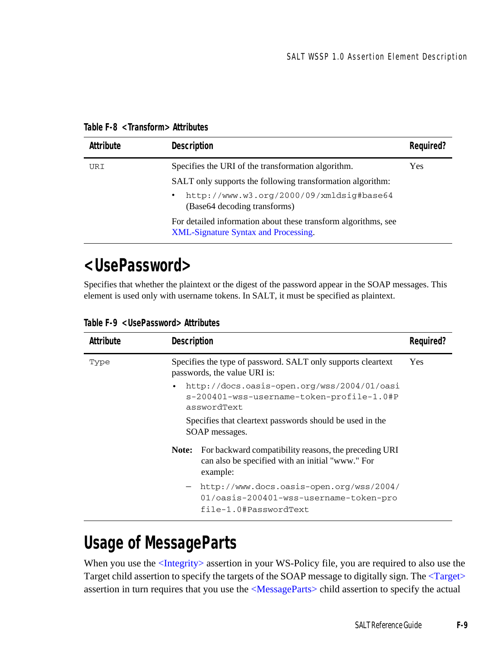|  | Table F-8 <transform> Attributes</transform> |  |
|--|----------------------------------------------|--|
|--|----------------------------------------------|--|

| Attribute | <b>Description</b>                                                                                            | Required? |
|-----------|---------------------------------------------------------------------------------------------------------------|-----------|
| URI       | Specifies the URI of the transformation algorithm.                                                            | Yes       |
|           | SALT only supports the following transformation algorithm:                                                    |           |
|           | http://www.w3.org/2000/09/xmldsig#base64<br>$\bullet$<br>(Base 64 decoding transforms)                        |           |
|           | For detailed information about these transform algorithms, see<br><b>XML-Signature Syntax and Processing.</b> |           |

### <span id="page-92-0"></span>**<UsePassword>**

Specifies that whether the plaintext or the digest of the password appear in the SOAP messages. This element is used only with username tokens. In SALT, it must be specified as plaintext.

| Attribute | Description |                                                                                                                       | Reauired? |
|-----------|-------------|-----------------------------------------------------------------------------------------------------------------------|-----------|
| Type      |             | Specifies the type of password. SALT only supports cleartext<br>passwords, the value URI is:                          | Yes       |
|           |             | http://docs.oasis-open.org/wss/2004/01/oasi<br>s-200401-wss-username-token-profile-1.0#P<br>asswordText               |           |
|           |             | Specifies that cleartext passwords should be used in the<br>SOAP messages.                                            |           |
|           | Note:       | For backward compatibility reasons, the preceding URI<br>can also be specified with an initial "www." For<br>example: |           |
|           |             | - http://www.docs.oasis-open.org/wss/2004/<br>01/oasis-200401-wss-username-token-pro<br>file-1.0#PasswordText         |           |

**Table F-9 <UsePassword> Attributes**

# <span id="page-92-1"></span>**Usage of MessageParts**

When you use the [<Integrity>](#page-88-0) assertion in your WS-Policy file, you are required to also use the Target child assertion to specify the targets of the SOAP message to digitally sign. The [<Target>](#page-91-0) assertion in turn requires that you use the [<MessageParts>](#page-89-1) child assertion to specify the actual